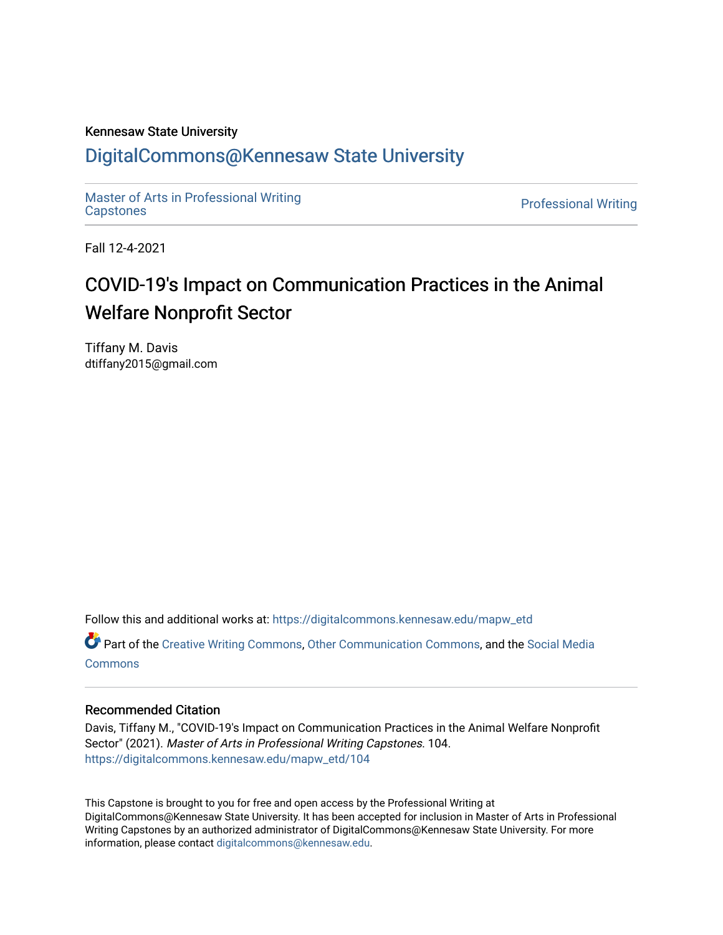#### Kennesaw State University

### [DigitalCommons@Kennesaw State University](https://digitalcommons.kennesaw.edu/)

[Master of Arts in Professional Writing](https://digitalcommons.kennesaw.edu/mapw_etd) waster of Arts in Professional Writing<br>[Capstones](https://digitalcommons.kennesaw.edu/mapw_etd) Professional Writing

Fall 12-4-2021

## COVID-19's Impact on Communication Practices in the Animal Welfare Nonprofit Sector

Tiffany M. Davis dtiffany2015@gmail.com

Follow this and additional works at: [https://digitalcommons.kennesaw.edu/mapw\\_etd](https://digitalcommons.kennesaw.edu/mapw_etd?utm_source=digitalcommons.kennesaw.edu%2Fmapw_etd%2F104&utm_medium=PDF&utm_campaign=PDFCoverPages)

Part of the [Creative Writing Commons](http://network.bepress.com/hgg/discipline/574?utm_source=digitalcommons.kennesaw.edu%2Fmapw_etd%2F104&utm_medium=PDF&utm_campaign=PDFCoverPages), [Other Communication Commons,](http://network.bepress.com/hgg/discipline/339?utm_source=digitalcommons.kennesaw.edu%2Fmapw_etd%2F104&utm_medium=PDF&utm_campaign=PDFCoverPages) and the [Social Media](http://network.bepress.com/hgg/discipline/1249?utm_source=digitalcommons.kennesaw.edu%2Fmapw_etd%2F104&utm_medium=PDF&utm_campaign=PDFCoverPages)  **[Commons](http://network.bepress.com/hgg/discipline/1249?utm_source=digitalcommons.kennesaw.edu%2Fmapw_etd%2F104&utm_medium=PDF&utm_campaign=PDFCoverPages)** 

#### Recommended Citation

Davis, Tiffany M., "COVID-19's Impact on Communication Practices in the Animal Welfare Nonprofit Sector" (2021). Master of Arts in Professional Writing Capstones. 104. [https://digitalcommons.kennesaw.edu/mapw\\_etd/104](https://digitalcommons.kennesaw.edu/mapw_etd/104?utm_source=digitalcommons.kennesaw.edu%2Fmapw_etd%2F104&utm_medium=PDF&utm_campaign=PDFCoverPages)

This Capstone is brought to you for free and open access by the Professional Writing at DigitalCommons@Kennesaw State University. It has been accepted for inclusion in Master of Arts in Professional Writing Capstones by an authorized administrator of DigitalCommons@Kennesaw State University. For more information, please contact [digitalcommons@kennesaw.edu](mailto:digitalcommons@kennesaw.edu).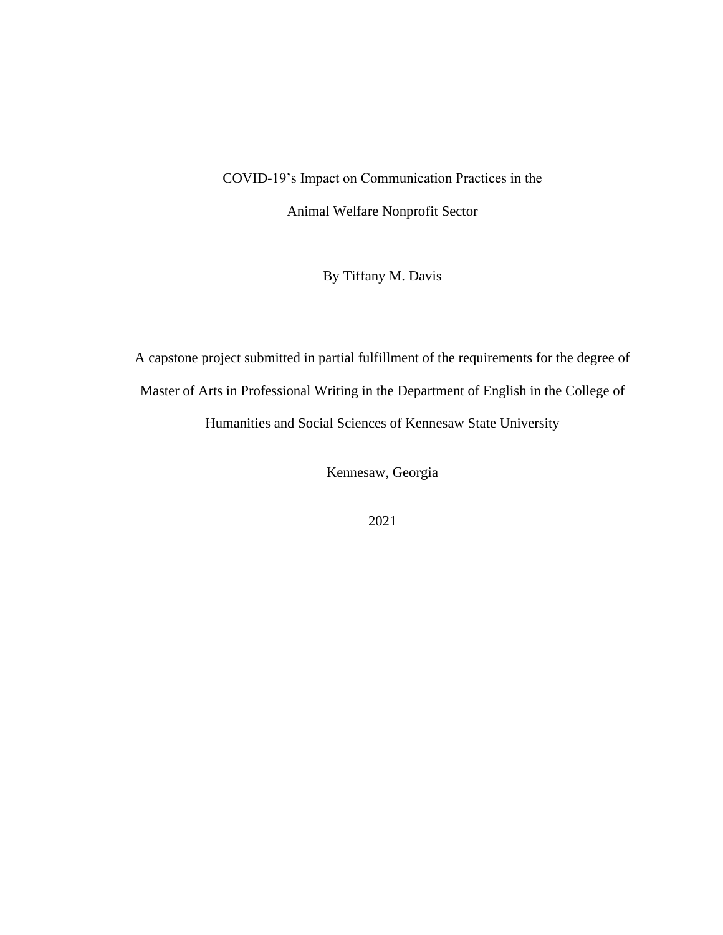# COVID-19's Impact on Communication Practices in the Animal Welfare Nonprofit Sector

By Tiffany M. Davis

A capstone project submitted in partial fulfillment of the requirements for the degree of Master of Arts in Professional Writing in the Department of English in the College of Humanities and Social Sciences of Kennesaw State University

Kennesaw, Georgia

2021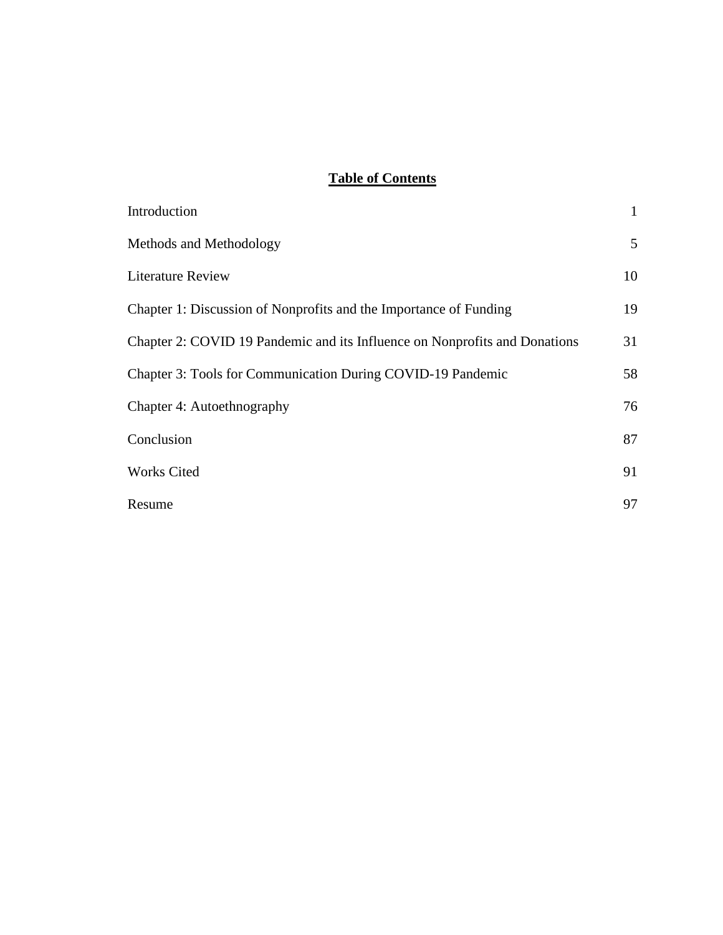### **Table of Contents**

| Introduction                                                               | $\mathbf{1}$    |
|----------------------------------------------------------------------------|-----------------|
| Methods and Methodology                                                    | $5\overline{)}$ |
| Literature Review                                                          | 10              |
| Chapter 1: Discussion of Nonprofits and the Importance of Funding          | 19              |
| Chapter 2: COVID 19 Pandemic and its Influence on Nonprofits and Donations | 31              |
| <b>Chapter 3: Tools for Communication During COVID-19 Pandemic</b>         | 58              |
| Chapter 4: Autoethnography                                                 | 76              |
| Conclusion                                                                 | 87              |
| <b>Works Cited</b>                                                         | 91              |
| Resume                                                                     | 97              |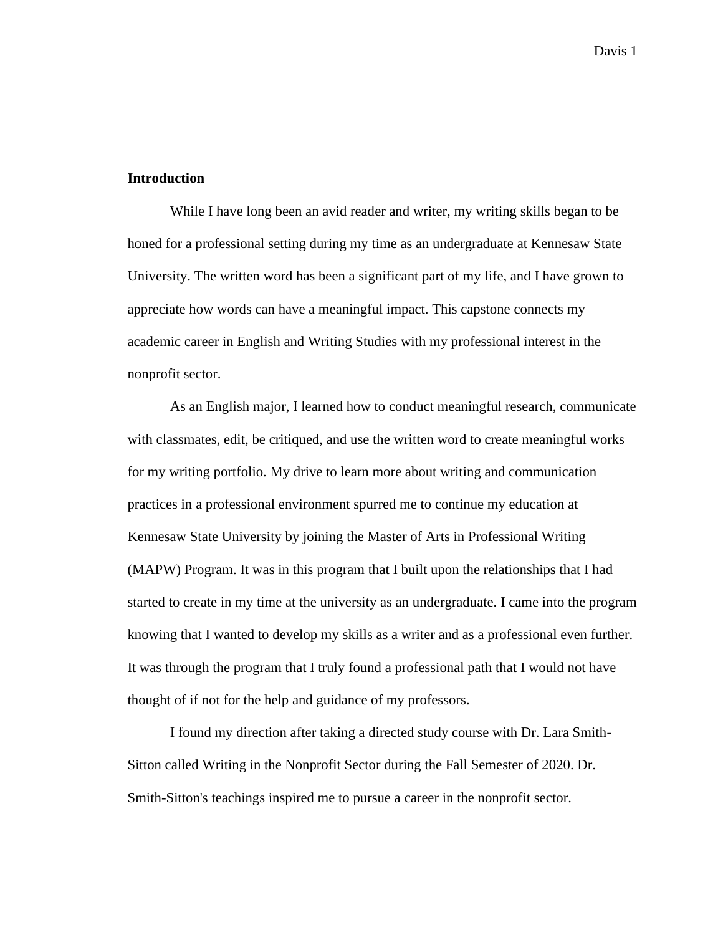#### **Introduction**

While I have long been an avid reader and writer, my writing skills began to be honed for a professional setting during my time as an undergraduate at Kennesaw State University. The written word has been a significant part of my life, and I have grown to appreciate how words can have a meaningful impact. This capstone connects my academic career in English and Writing Studies with my professional interest in the nonprofit sector.

As an English major, I learned how to conduct meaningful research, communicate with classmates, edit, be critiqued, and use the written word to create meaningful works for my writing portfolio. My drive to learn more about writing and communication practices in a professional environment spurred me to continue my education at Kennesaw State University by joining the Master of Arts in Professional Writing (MAPW) Program. It was in this program that I built upon the relationships that I had started to create in my time at the university as an undergraduate. I came into the program knowing that I wanted to develop my skills as a writer and as a professional even further. It was through the program that I truly found a professional path that I would not have thought of if not for the help and guidance of my professors.

I found my direction after taking a directed study course with Dr. Lara Smith-Sitton called Writing in the Nonprofit Sector during the Fall Semester of 2020. Dr. Smith-Sitton's teachings inspired me to pursue a career in the nonprofit sector.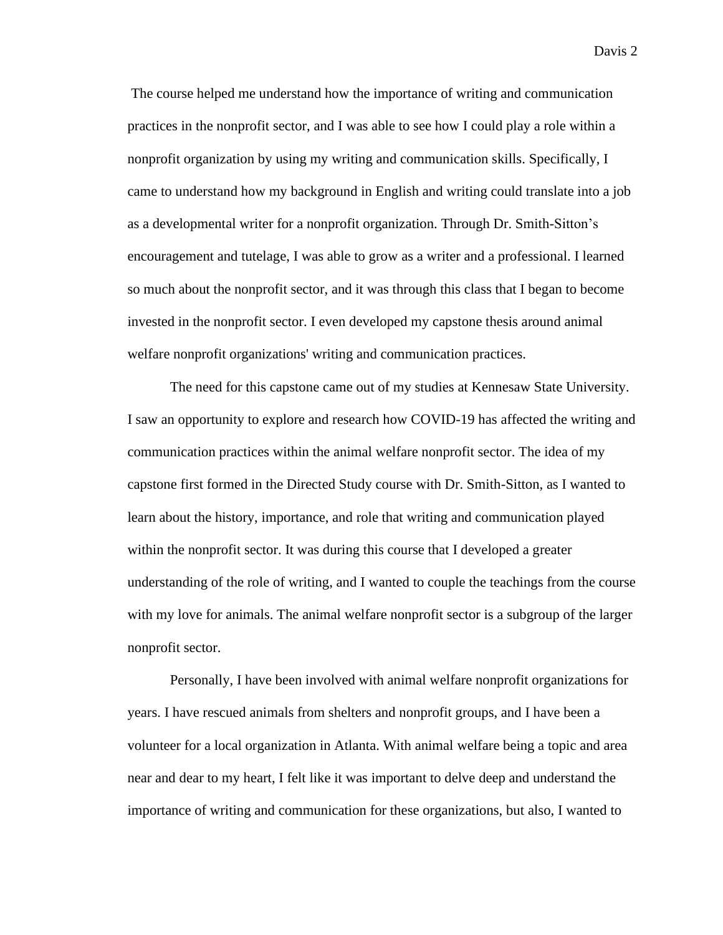The course helped me understand how the importance of writing and communication practices in the nonprofit sector, and I was able to see how I could play a role within a nonprofit organization by using my writing and communication skills. Specifically, I came to understand how my background in English and writing could translate into a job as a developmental writer for a nonprofit organization. Through Dr. Smith-Sitton's encouragement and tutelage, I was able to grow as a writer and a professional. I learned so much about the nonprofit sector, and it was through this class that I began to become invested in the nonprofit sector. I even developed my capstone thesis around animal welfare nonprofit organizations' writing and communication practices.

The need for this capstone came out of my studies at Kennesaw State University. I saw an opportunity to explore and research how COVID-19 has affected the writing and communication practices within the animal welfare nonprofit sector. The idea of my capstone first formed in the Directed Study course with Dr. Smith-Sitton, as I wanted to learn about the history, importance, and role that writing and communication played within the nonprofit sector. It was during this course that I developed a greater understanding of the role of writing, and I wanted to couple the teachings from the course with my love for animals. The animal welfare nonprofit sector is a subgroup of the larger nonprofit sector.

Personally, I have been involved with animal welfare nonprofit organizations for years. I have rescued animals from shelters and nonprofit groups, and I have been a volunteer for a local organization in Atlanta. With animal welfare being a topic and area near and dear to my heart, I felt like it was important to delve deep and understand the importance of writing and communication for these organizations, but also, I wanted to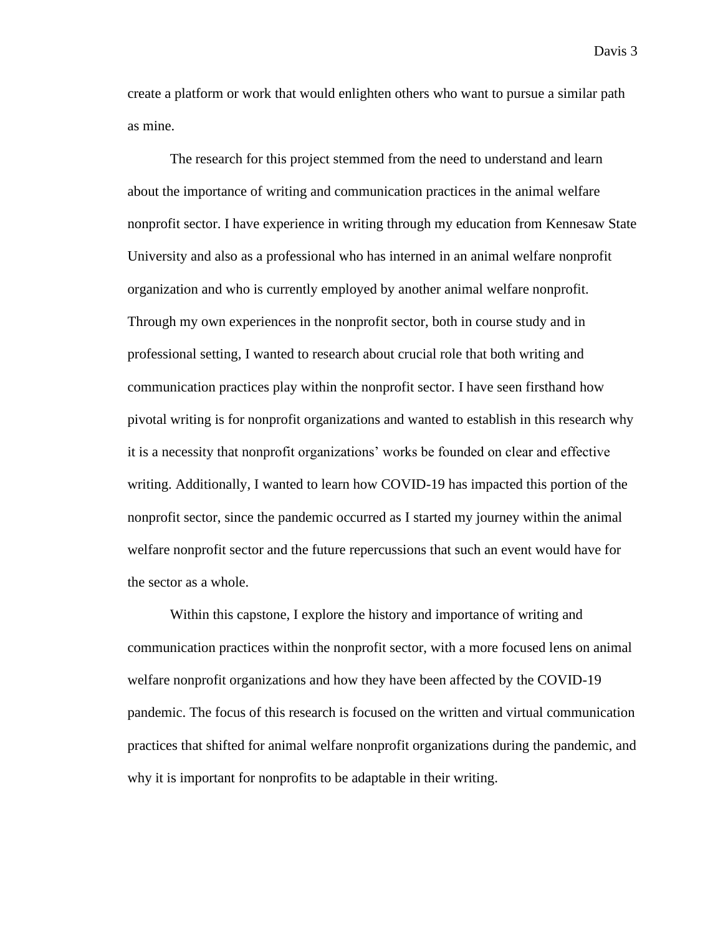create a platform or work that would enlighten others who want to pursue a similar path as mine.

The research for this project stemmed from the need to understand and learn about the importance of writing and communication practices in the animal welfare nonprofit sector. I have experience in writing through my education from Kennesaw State University and also as a professional who has interned in an animal welfare nonprofit organization and who is currently employed by another animal welfare nonprofit. Through my own experiences in the nonprofit sector, both in course study and in professional setting, I wanted to research about crucial role that both writing and communication practices play within the nonprofit sector. I have seen firsthand how pivotal writing is for nonprofit organizations and wanted to establish in this research why it is a necessity that nonprofit organizations' works be founded on clear and effective writing. Additionally, I wanted to learn how COVID-19 has impacted this portion of the nonprofit sector, since the pandemic occurred as I started my journey within the animal welfare nonprofit sector and the future repercussions that such an event would have for the sector as a whole.

Within this capstone, I explore the history and importance of writing and communication practices within the nonprofit sector, with a more focused lens on animal welfare nonprofit organizations and how they have been affected by the COVID-19 pandemic. The focus of this research is focused on the written and virtual communication practices that shifted for animal welfare nonprofit organizations during the pandemic, and why it is important for nonprofits to be adaptable in their writing.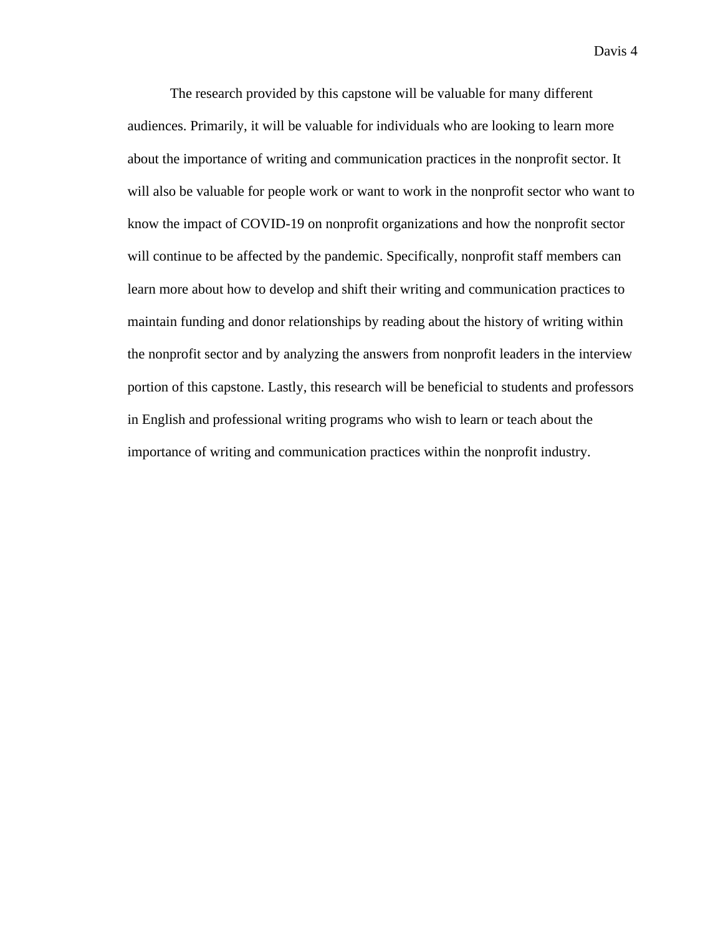The research provided by this capstone will be valuable for many different audiences. Primarily, it will be valuable for individuals who are looking to learn more about the importance of writing and communication practices in the nonprofit sector. It will also be valuable for people work or want to work in the nonprofit sector who want to know the impact of COVID-19 on nonprofit organizations and how the nonprofit sector will continue to be affected by the pandemic. Specifically, nonprofit staff members can learn more about how to develop and shift their writing and communication practices to maintain funding and donor relationships by reading about the history of writing within the nonprofit sector and by analyzing the answers from nonprofit leaders in the interview portion of this capstone. Lastly, this research will be beneficial to students and professors in English and professional writing programs who wish to learn or teach about the importance of writing and communication practices within the nonprofit industry.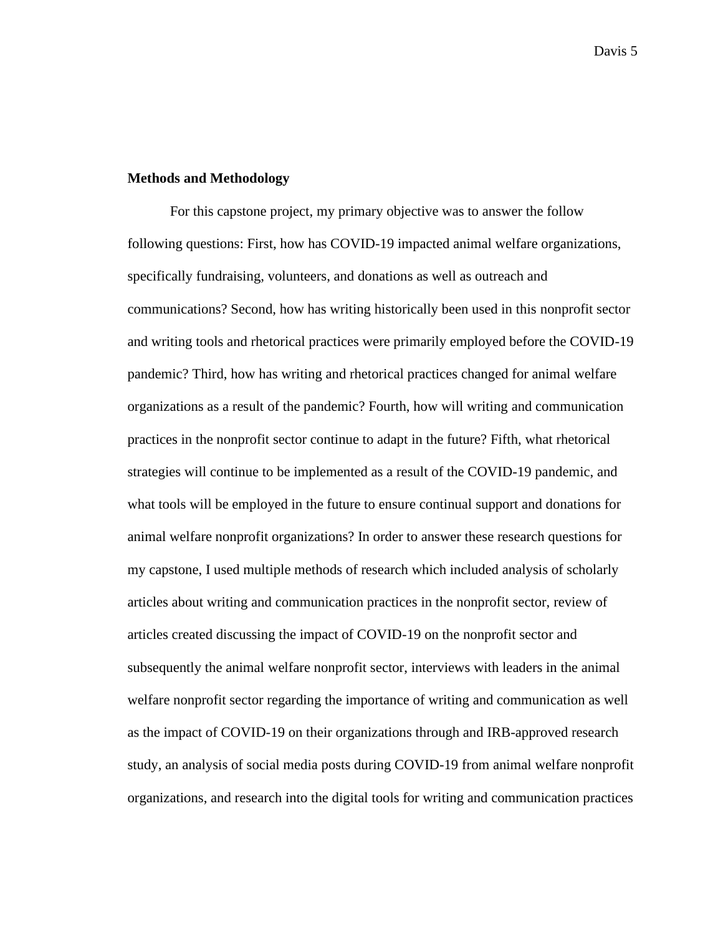#### **Methods and Methodology**

For this capstone project, my primary objective was to answer the follow following questions: First, how has COVID-19 impacted animal welfare organizations, specifically fundraising, volunteers, and donations as well as outreach and communications? Second, how has writing historically been used in this nonprofit sector and writing tools and rhetorical practices were primarily employed before the COVID-19 pandemic? Third, how has writing and rhetorical practices changed for animal welfare organizations as a result of the pandemic? Fourth, how will writing and communication practices in the nonprofit sector continue to adapt in the future? Fifth, what rhetorical strategies will continue to be implemented as a result of the COVID-19 pandemic, and what tools will be employed in the future to ensure continual support and donations for animal welfare nonprofit organizations? In order to answer these research questions for my capstone, I used multiple methods of research which included analysis of scholarly articles about writing and communication practices in the nonprofit sector, review of articles created discussing the impact of COVID-19 on the nonprofit sector and subsequently the animal welfare nonprofit sector, interviews with leaders in the animal welfare nonprofit sector regarding the importance of writing and communication as well as the impact of COVID-19 on their organizations through and IRB-approved research study, an analysis of social media posts during COVID-19 from animal welfare nonprofit organizations, and research into the digital tools for writing and communication practices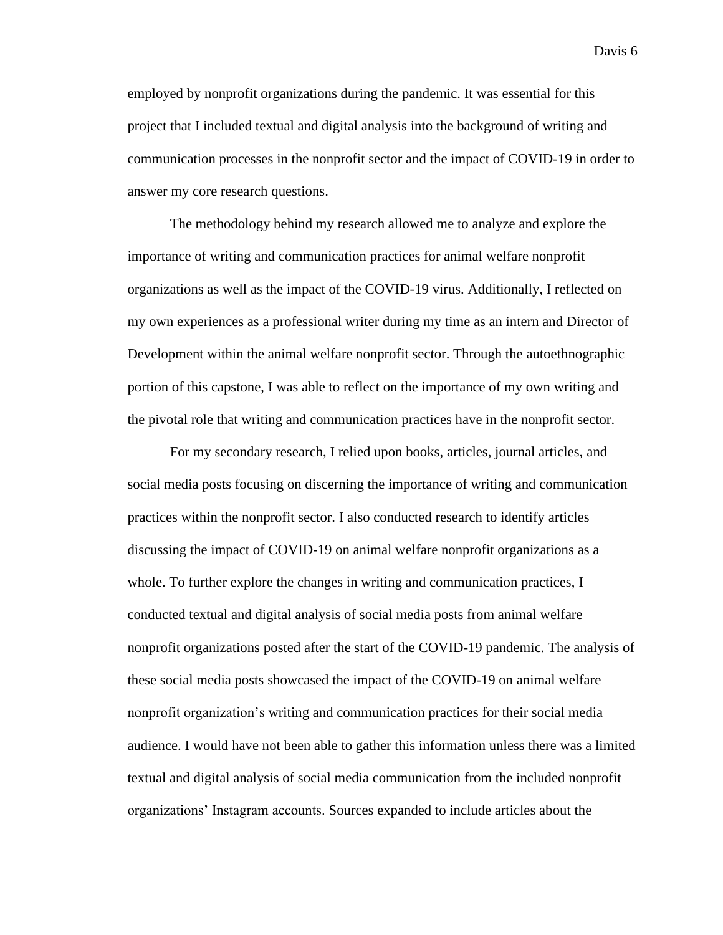employed by nonprofit organizations during the pandemic. It was essential for this project that I included textual and digital analysis into the background of writing and communication processes in the nonprofit sector and the impact of COVID-19 in order to answer my core research questions.

The methodology behind my research allowed me to analyze and explore the importance of writing and communication practices for animal welfare nonprofit organizations as well as the impact of the COVID-19 virus. Additionally, I reflected on my own experiences as a professional writer during my time as an intern and Director of Development within the animal welfare nonprofit sector. Through the autoethnographic portion of this capstone, I was able to reflect on the importance of my own writing and the pivotal role that writing and communication practices have in the nonprofit sector.

For my secondary research, I relied upon books, articles, journal articles, and social media posts focusing on discerning the importance of writing and communication practices within the nonprofit sector. I also conducted research to identify articles discussing the impact of COVID-19 on animal welfare nonprofit organizations as a whole. To further explore the changes in writing and communication practices, I conducted textual and digital analysis of social media posts from animal welfare nonprofit organizations posted after the start of the COVID-19 pandemic. The analysis of these social media posts showcased the impact of the COVID-19 on animal welfare nonprofit organization's writing and communication practices for their social media audience. I would have not been able to gather this information unless there was a limited textual and digital analysis of social media communication from the included nonprofit organizations' Instagram accounts. Sources expanded to include articles about the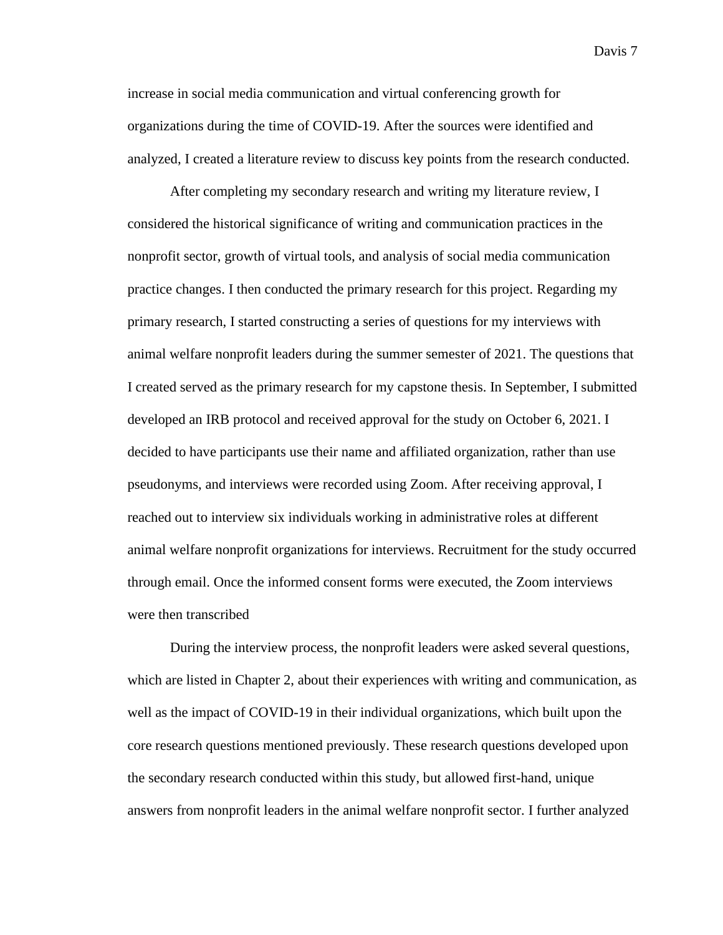increase in social media communication and virtual conferencing growth for organizations during the time of COVID-19. After the sources were identified and analyzed, I created a literature review to discuss key points from the research conducted.

After completing my secondary research and writing my literature review, I considered the historical significance of writing and communication practices in the nonprofit sector, growth of virtual tools, and analysis of social media communication practice changes. I then conducted the primary research for this project. Regarding my primary research, I started constructing a series of questions for my interviews with animal welfare nonprofit leaders during the summer semester of 2021. The questions that I created served as the primary research for my capstone thesis. In September, I submitted developed an IRB protocol and received approval for the study on October 6, 2021. I decided to have participants use their name and affiliated organization, rather than use pseudonyms, and interviews were recorded using Zoom. After receiving approval, I reached out to interview six individuals working in administrative roles at different animal welfare nonprofit organizations for interviews. Recruitment for the study occurred through email. Once the informed consent forms were executed, the Zoom interviews were then transcribed

During the interview process, the nonprofit leaders were asked several questions, which are listed in Chapter 2, about their experiences with writing and communication, as well as the impact of COVID-19 in their individual organizations, which built upon the core research questions mentioned previously. These research questions developed upon the secondary research conducted within this study, but allowed first-hand, unique answers from nonprofit leaders in the animal welfare nonprofit sector. I further analyzed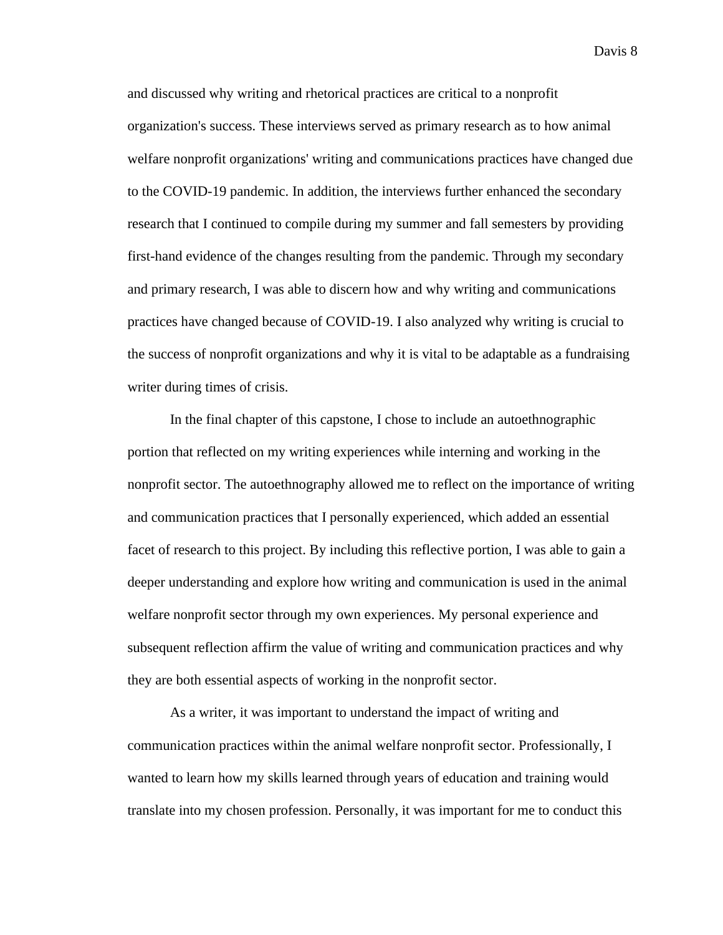and discussed why writing and rhetorical practices are critical to a nonprofit organization's success. These interviews served as primary research as to how animal welfare nonprofit organizations' writing and communications practices have changed due to the COVID-19 pandemic. In addition, the interviews further enhanced the secondary research that I continued to compile during my summer and fall semesters by providing first-hand evidence of the changes resulting from the pandemic. Through my secondary and primary research, I was able to discern how and why writing and communications practices have changed because of COVID-19. I also analyzed why writing is crucial to the success of nonprofit organizations and why it is vital to be adaptable as a fundraising writer during times of crisis.

In the final chapter of this capstone, I chose to include an autoethnographic portion that reflected on my writing experiences while interning and working in the nonprofit sector. The autoethnography allowed me to reflect on the importance of writing and communication practices that I personally experienced, which added an essential facet of research to this project. By including this reflective portion, I was able to gain a deeper understanding and explore how writing and communication is used in the animal welfare nonprofit sector through my own experiences. My personal experience and subsequent reflection affirm the value of writing and communication practices and why they are both essential aspects of working in the nonprofit sector.

As a writer, it was important to understand the impact of writing and communication practices within the animal welfare nonprofit sector. Professionally, I wanted to learn how my skills learned through years of education and training would translate into my chosen profession. Personally, it was important for me to conduct this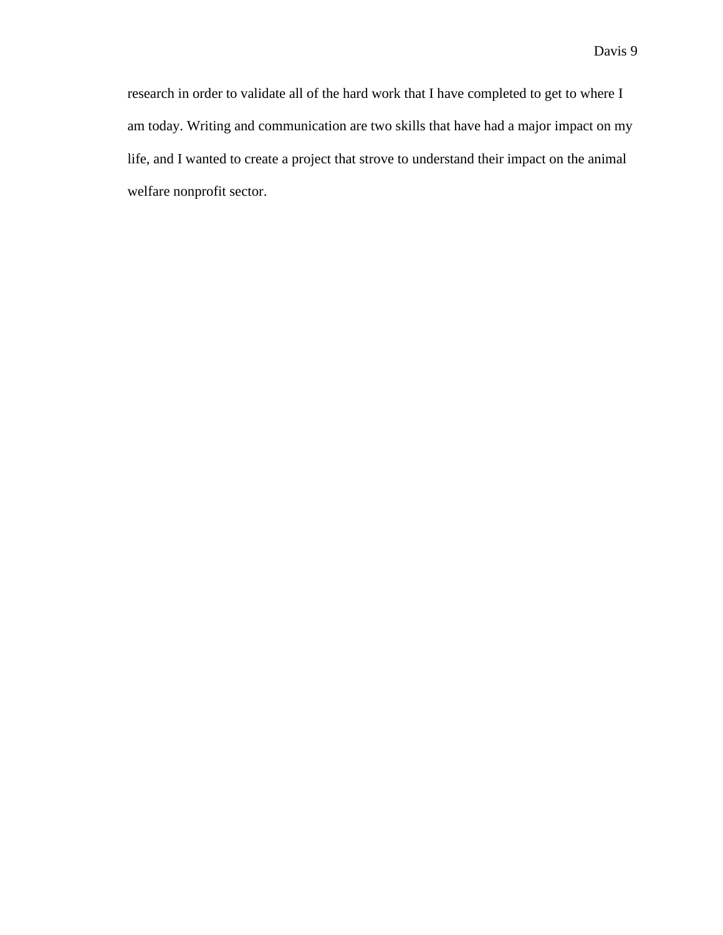research in order to validate all of the hard work that I have completed to get to where I am today. Writing and communication are two skills that have had a major impact on my life, and I wanted to create a project that strove to understand their impact on the animal welfare nonprofit sector.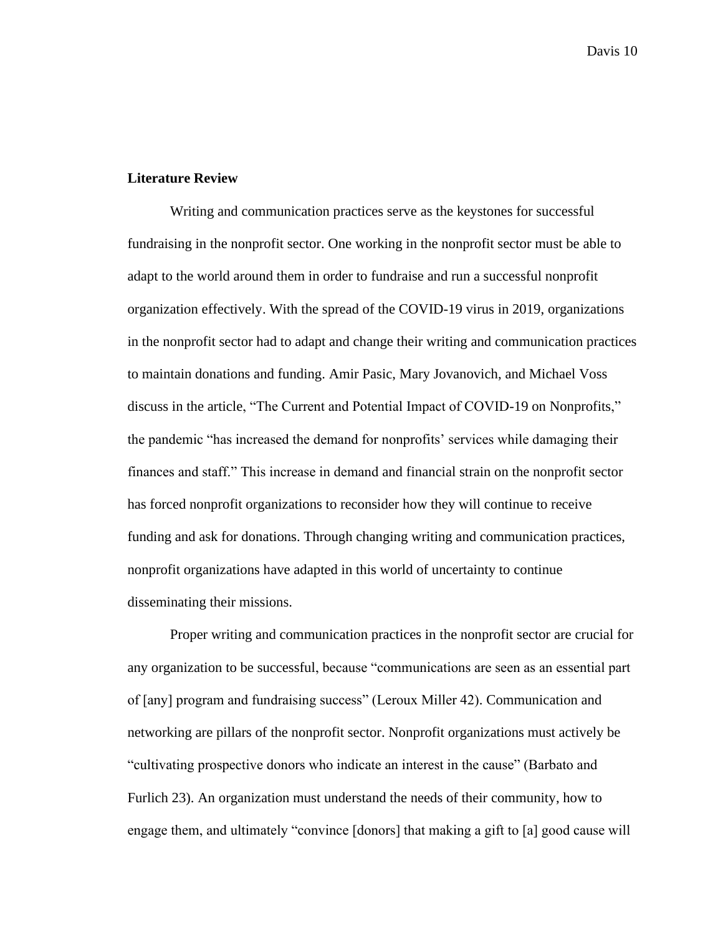#### **Literature Review**

Writing and communication practices serve as the keystones for successful fundraising in the nonprofit sector. One working in the nonprofit sector must be able to adapt to the world around them in order to fundraise and run a successful nonprofit organization effectively. With the spread of the COVID-19 virus in 2019, organizations in the nonprofit sector had to adapt and change their writing and communication practices to maintain donations and funding. Amir Pasic, Mary Jovanovich, and Michael Voss discuss in the article, "The Current and Potential Impact of COVID-19 on Nonprofits," the pandemic "has increased the demand for nonprofits' services while damaging their finances and staff." This increase in demand and financial strain on the nonprofit sector has forced nonprofit organizations to reconsider how they will continue to receive funding and ask for donations. Through changing writing and communication practices, nonprofit organizations have adapted in this world of uncertainty to continue disseminating their missions.

Proper writing and communication practices in the nonprofit sector are crucial for any organization to be successful, because "communications are seen as an essential part of [any] program and fundraising success" (Leroux Miller 42). Communication and networking are pillars of the nonprofit sector. Nonprofit organizations must actively be "cultivating prospective donors who indicate an interest in the cause" (Barbato and Furlich 23). An organization must understand the needs of their community, how to engage them, and ultimately "convince [donors] that making a gift to [a] good cause will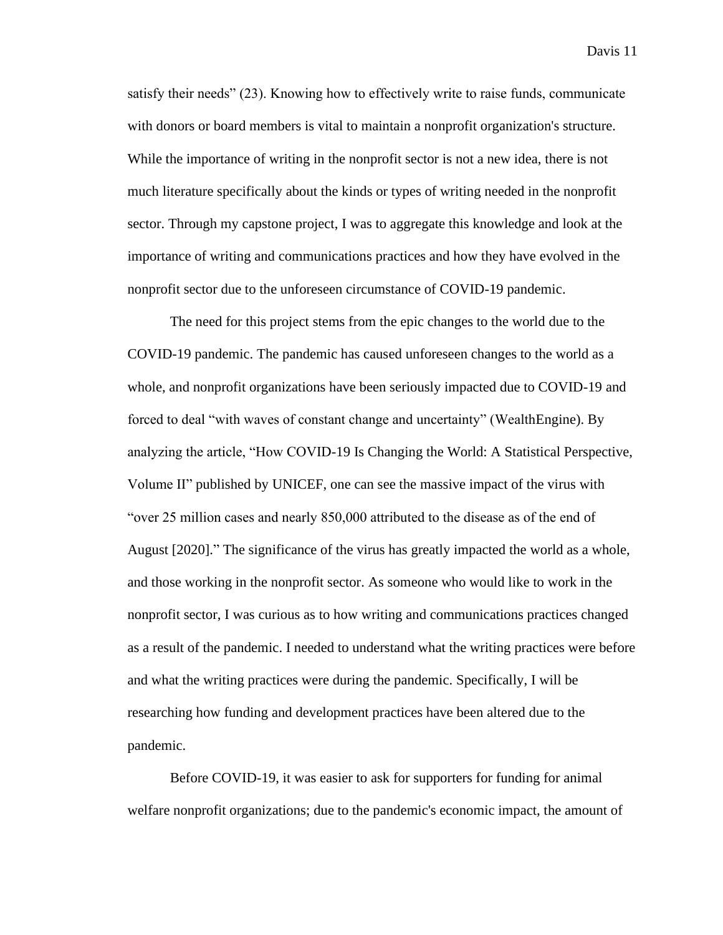satisfy their needs" (23). Knowing how to effectively write to raise funds, communicate with donors or board members is vital to maintain a nonprofit organization's structure. While the importance of writing in the nonprofit sector is not a new idea, there is not much literature specifically about the kinds or types of writing needed in the nonprofit sector. Through my capstone project, I was to aggregate this knowledge and look at the importance of writing and communications practices and how they have evolved in the nonprofit sector due to the unforeseen circumstance of COVID-19 pandemic.

The need for this project stems from the epic changes to the world due to the COVID-19 pandemic. The pandemic has caused unforeseen changes to the world as a whole, and nonprofit organizations have been seriously impacted due to COVID-19 and forced to deal "with waves of constant change and uncertainty" (WealthEngine). By analyzing the article, "How COVID-19 Is Changing the World: A Statistical Perspective, Volume II" published by UNICEF, one can see the massive impact of the virus with "over 25 million cases and nearly 850,000 attributed to the disease as of the end of August [2020]." The significance of the virus has greatly impacted the world as a whole, and those working in the nonprofit sector. As someone who would like to work in the nonprofit sector, I was curious as to how writing and communications practices changed as a result of the pandemic. I needed to understand what the writing practices were before and what the writing practices were during the pandemic. Specifically, I will be researching how funding and development practices have been altered due to the pandemic.

Before COVID-19, it was easier to ask for supporters for funding for animal welfare nonprofit organizations; due to the pandemic's economic impact, the amount of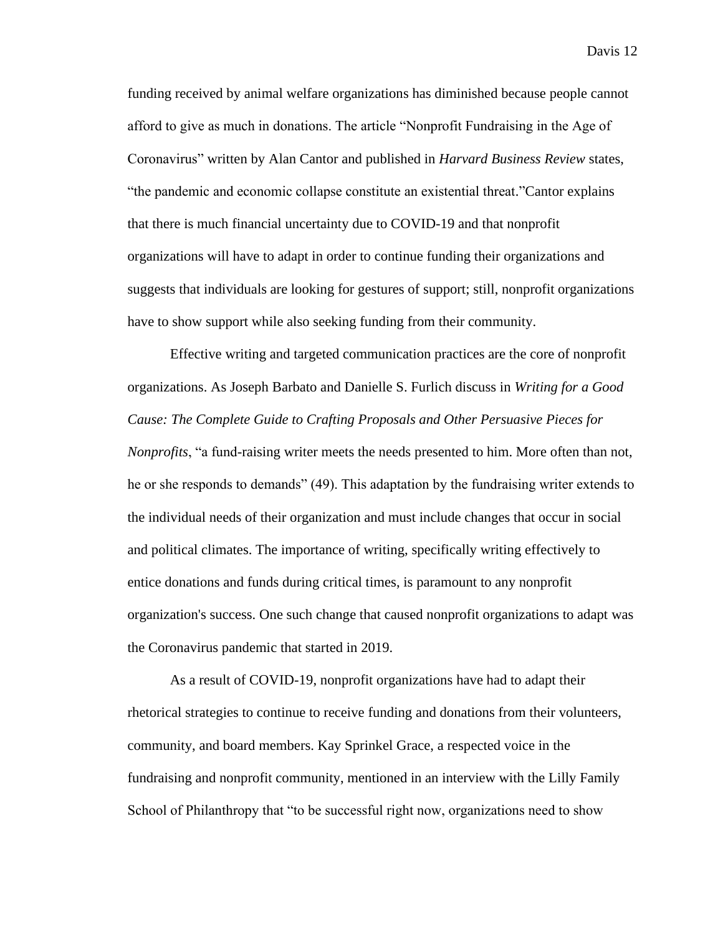funding received by animal welfare organizations has diminished because people cannot afford to give as much in donations. The article "Nonprofit Fundraising in the Age of Coronavirus" written by Alan Cantor and published in *Harvard Business Review* states, "the pandemic and economic collapse constitute an existential threat."Cantor explains that there is much financial uncertainty due to COVID-19 and that nonprofit organizations will have to adapt in order to continue funding their organizations and suggests that individuals are looking for gestures of support; still, nonprofit organizations have to show support while also seeking funding from their community.

Effective writing and targeted communication practices are the core of nonprofit organizations. As Joseph Barbato and Danielle S. Furlich discuss in *Writing for a Good Cause: The Complete Guide to Crafting Proposals and Other Persuasive Pieces for Nonprofits*, "a fund-raising writer meets the needs presented to him. More often than not, he or she responds to demands" (49). This adaptation by the fundraising writer extends to the individual needs of their organization and must include changes that occur in social and political climates. The importance of writing, specifically writing effectively to entice donations and funds during critical times, is paramount to any nonprofit organization's success. One such change that caused nonprofit organizations to adapt was the Coronavirus pandemic that started in 2019.

As a result of COVID-19, nonprofit organizations have had to adapt their rhetorical strategies to continue to receive funding and donations from their volunteers, community, and board members. Kay Sprinkel Grace, a respected voice in the fundraising and nonprofit community, mentioned in an interview with the Lilly Family School of Philanthropy that "to be successful right now, organizations need to show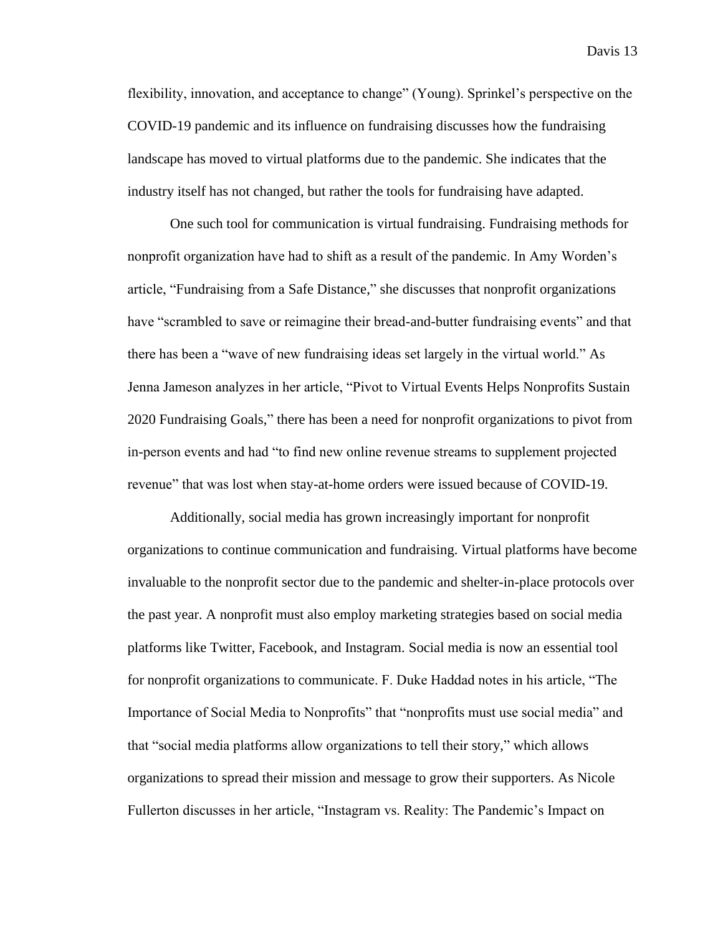flexibility, innovation, and acceptance to change" (Young). Sprinkel's perspective on the COVID-19 pandemic and its influence on fundraising discusses how the fundraising landscape has moved to virtual platforms due to the pandemic. She indicates that the industry itself has not changed, but rather the tools for fundraising have adapted.

One such tool for communication is virtual fundraising. Fundraising methods for nonprofit organization have had to shift as a result of the pandemic. In Amy Worden's article, "Fundraising from a Safe Distance," she discusses that nonprofit organizations have "scrambled to save or reimagine their bread-and-butter fundraising events" and that there has been a "wave of new fundraising ideas set largely in the virtual world." As Jenna Jameson analyzes in her article, "Pivot to Virtual Events Helps Nonprofits Sustain 2020 Fundraising Goals," there has been a need for nonprofit organizations to pivot from in-person events and had "to find new online revenue streams to supplement projected revenue" that was lost when stay-at-home orders were issued because of COVID-19.

Additionally, social media has grown increasingly important for nonprofit organizations to continue communication and fundraising. Virtual platforms have become invaluable to the nonprofit sector due to the pandemic and shelter-in-place protocols over the past year. A nonprofit must also employ marketing strategies based on social media platforms like Twitter, Facebook, and Instagram. Social media is now an essential tool for nonprofit organizations to communicate. F. Duke Haddad notes in his article, "The Importance of Social Media to Nonprofits" that "nonprofits must use social media" and that "social media platforms allow organizations to tell their story," which allows organizations to spread their mission and message to grow their supporters. As Nicole Fullerton discusses in her article, "Instagram vs. Reality: The Pandemic's Impact on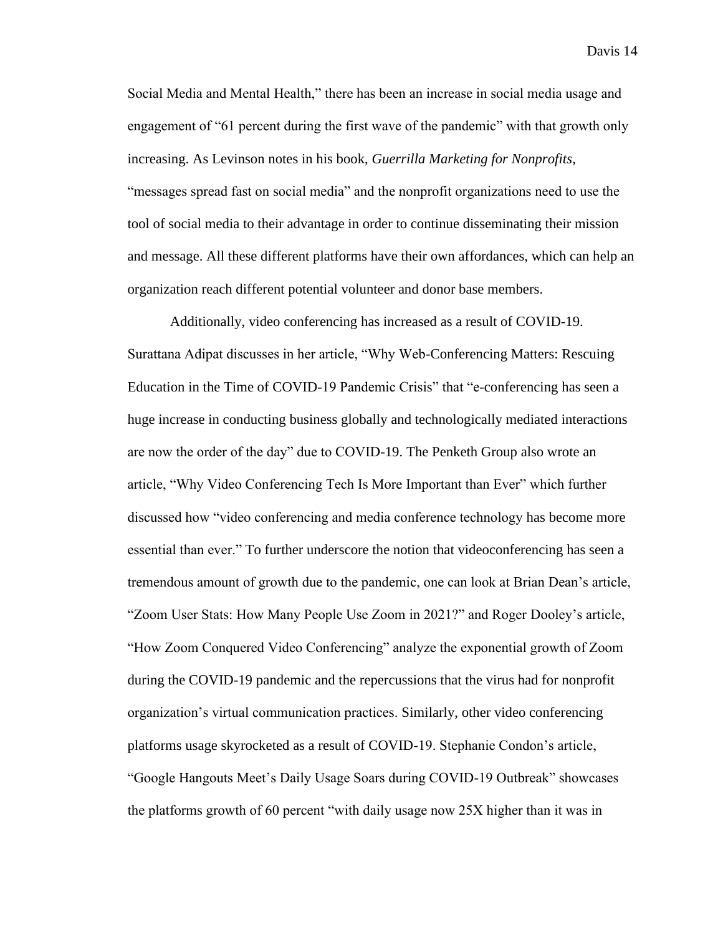Social Media and Mental Health," there has been an increase in social media usage and engagement of "61 percent during the first wave of the pandemic" with that growth only increasing. As Levinson notes in his book, *Guerrilla Marketing for Nonprofits*, "messages spread fast on social media" and the nonprofit organizations need to use the tool of social media to their advantage in order to continue disseminating their mission and message. All these different platforms have their own affordances, which can help an organization reach different potential volunteer and donor base members.

Additionally, video conferencing has increased as a result of COVID-19. Surattana Adipat discusses in her article, "Why Web-Conferencing Matters: Rescuing Education in the Time of COVID-19 Pandemic Crisis" that "e-conferencing has seen a huge increase in conducting business globally and technologically mediated interactions are now the order of the day" due to COVID-19. The Penketh Group also wrote an article, "Why Video Conferencing Tech Is More Important than Ever" which further discussed how "video conferencing and media conference technology has become more essential than ever." To further underscore the notion that videoconferencing has seen a tremendous amount of growth due to the pandemic, one can look at Brian Dean's article, "Zoom User Stats: How Many People Use Zoom in 2021?" and Roger Dooley's article, "How Zoom Conquered Video Conferencing" analyze the exponential growth of Zoom during the COVID-19 pandemic and the repercussions that the virus had for nonprofit organization's virtual communication practices. Similarly, other video conferencing platforms usage skyrocketed as a result of COVID-19. Stephanie Condon's article, "Google Hangouts Meet's Daily Usage Soars during COVID-19 Outbreak" showcases the platforms growth of 60 percent "with daily usage now 25X higher than it was in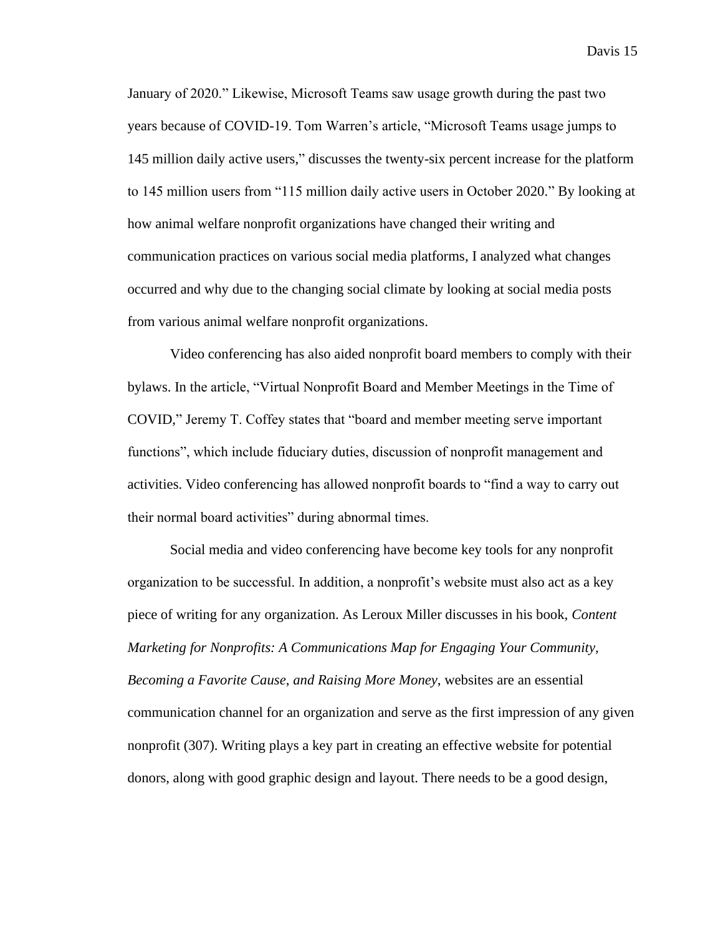January of 2020." Likewise, Microsoft Teams saw usage growth during the past two years because of COVID-19. Tom Warren's article, "Microsoft Teams usage jumps to 145 million daily active users," discusses the twenty-six percent increase for the platform to 145 million users from "115 million daily active users in October 2020." By looking at how animal welfare nonprofit organizations have changed their writing and communication practices on various social media platforms, I analyzed what changes occurred and why due to the changing social climate by looking at social media posts from various animal welfare nonprofit organizations.

Video conferencing has also aided nonprofit board members to comply with their bylaws. In the article, "Virtual Nonprofit Board and Member Meetings in the Time of COVID," Jeremy T. Coffey states that "board and member meeting serve important functions", which include fiduciary duties, discussion of nonprofit management and activities. Video conferencing has allowed nonprofit boards to "find a way to carry out their normal board activities" during abnormal times.

Social media and video conferencing have become key tools for any nonprofit organization to be successful. In addition, a nonprofit's website must also act as a key piece of writing for any organization. As Leroux Miller discusses in his book, *Content Marketing for Nonprofits: A Communications Map for Engaging Your Community, Becoming a Favorite Cause*, *and Raising More Money*, websites are an essential communication channel for an organization and serve as the first impression of any given nonprofit (307). Writing plays a key part in creating an effective website for potential donors, along with good graphic design and layout. There needs to be a good design,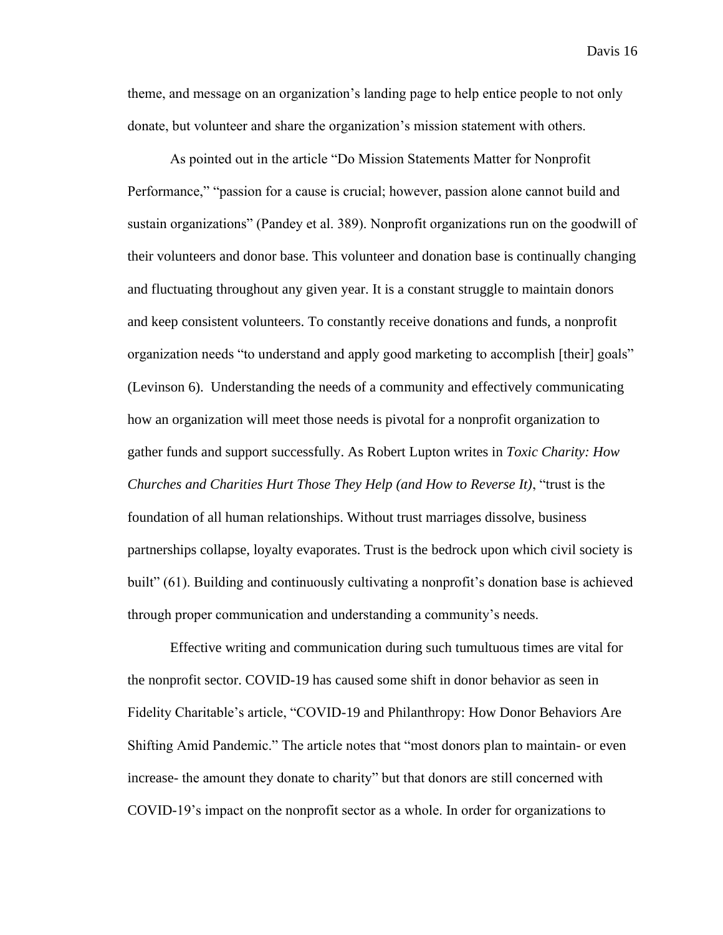theme, and message on an organization's landing page to help entice people to not only donate, but volunteer and share the organization's mission statement with others.

As pointed out in the article "Do Mission Statements Matter for Nonprofit Performance," "passion for a cause is crucial; however, passion alone cannot build and sustain organizations" (Pandey et al. 389). Nonprofit organizations run on the goodwill of their volunteers and donor base. This volunteer and donation base is continually changing and fluctuating throughout any given year. It is a constant struggle to maintain donors and keep consistent volunteers. To constantly receive donations and funds, a nonprofit organization needs "to understand and apply good marketing to accomplish [their] goals" (Levinson 6). Understanding the needs of a community and effectively communicating how an organization will meet those needs is pivotal for a nonprofit organization to gather funds and support successfully. As Robert Lupton writes in *Toxic Charity: How Churches and Charities Hurt Those They Help (and How to Reverse It)*, "trust is the foundation of all human relationships. Without trust marriages dissolve, business partnerships collapse, loyalty evaporates. Trust is the bedrock upon which civil society is built" (61). Building and continuously cultivating a nonprofit's donation base is achieved through proper communication and understanding a community's needs.

Effective writing and communication during such tumultuous times are vital for the nonprofit sector. COVID-19 has caused some shift in donor behavior as seen in Fidelity Charitable's article, "COVID-19 and Philanthropy: How Donor Behaviors Are Shifting Amid Pandemic." The article notes that "most donors plan to maintain- or even increase- the amount they donate to charity" but that donors are still concerned with COVID-19's impact on the nonprofit sector as a whole. In order for organizations to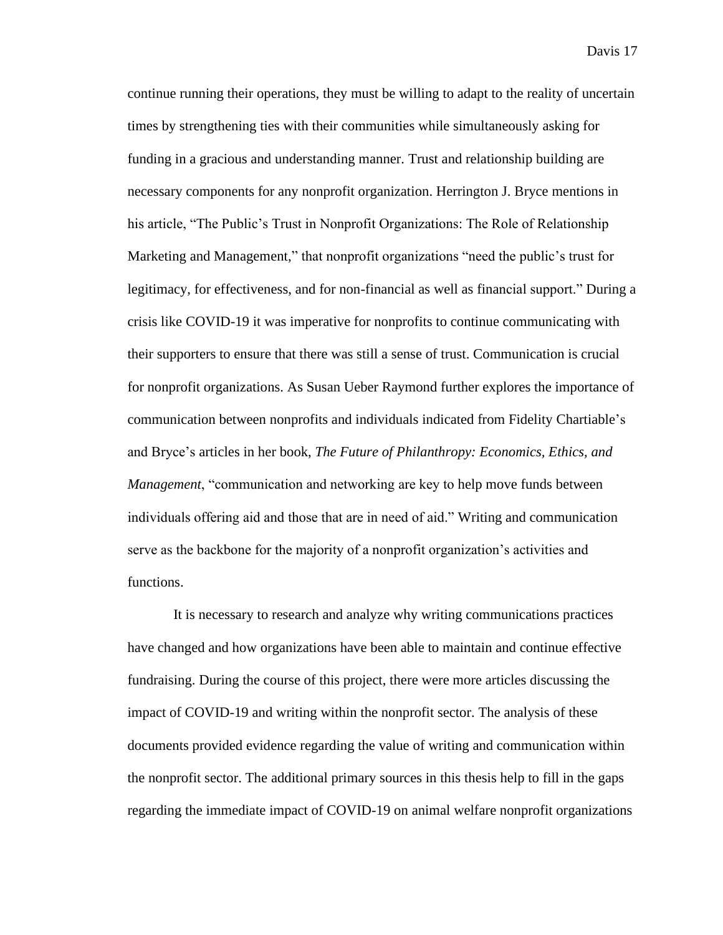continue running their operations, they must be willing to adapt to the reality of uncertain times by strengthening ties with their communities while simultaneously asking for funding in a gracious and understanding manner. Trust and relationship building are necessary components for any nonprofit organization. Herrington J. Bryce mentions in his article, "The Public's Trust in Nonprofit Organizations: The Role of Relationship Marketing and Management," that nonprofit organizations "need the public's trust for legitimacy, for effectiveness, and for non-financial as well as financial support." During a crisis like COVID-19 it was imperative for nonprofits to continue communicating with their supporters to ensure that there was still a sense of trust. Communication is crucial for nonprofit organizations. As Susan Ueber Raymond further explores the importance of communication between nonprofits and individuals indicated from Fidelity Chartiable's and Bryce's articles in her book, *The Future of Philanthropy: Economics, Ethics, and Management*, "communication and networking are key to help move funds between individuals offering aid and those that are in need of aid." Writing and communication serve as the backbone for the majority of a nonprofit organization's activities and functions.

It is necessary to research and analyze why writing communications practices have changed and how organizations have been able to maintain and continue effective fundraising. During the course of this project, there were more articles discussing the impact of COVID-19 and writing within the nonprofit sector. The analysis of these documents provided evidence regarding the value of writing and communication within the nonprofit sector. The additional primary sources in this thesis help to fill in the gaps regarding the immediate impact of COVID-19 on animal welfare nonprofit organizations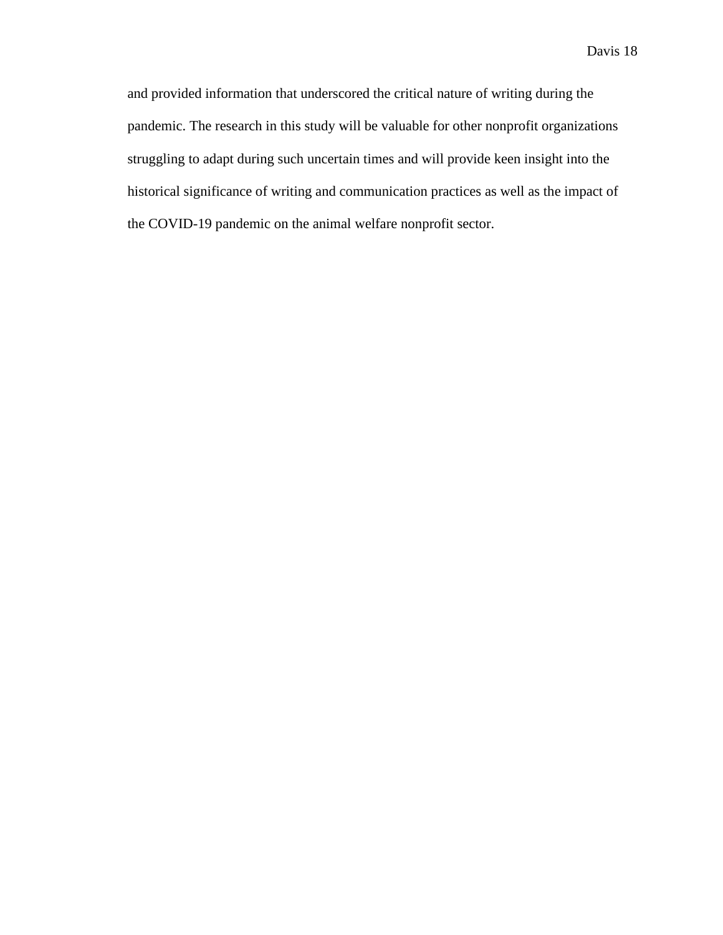and provided information that underscored the critical nature of writing during the pandemic. The research in this study will be valuable for other nonprofit organizations struggling to adapt during such uncertain times and will provide keen insight into the historical significance of writing and communication practices as well as the impact of the COVID-19 pandemic on the animal welfare nonprofit sector.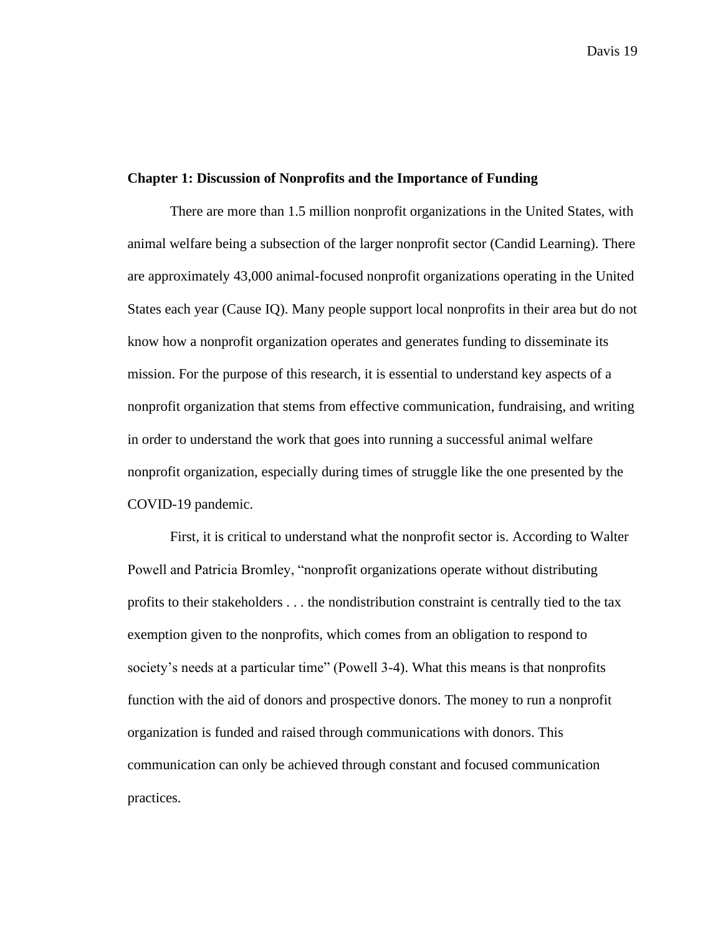#### **Chapter 1: Discussion of Nonprofits and the Importance of Funding**

There are more than 1.5 million nonprofit organizations in the United States, with animal welfare being a subsection of the larger nonprofit sector (Candid Learning). There are approximately 43,000 animal-focused nonprofit organizations operating in the United States each year (Cause IQ). Many people support local nonprofits in their area but do not know how a nonprofit organization operates and generates funding to disseminate its mission. For the purpose of this research, it is essential to understand key aspects of a nonprofit organization that stems from effective communication, fundraising, and writing in order to understand the work that goes into running a successful animal welfare nonprofit organization, especially during times of struggle like the one presented by the COVID-19 pandemic.

First, it is critical to understand what the nonprofit sector is. According to Walter Powell and Patricia Bromley, "nonprofit organizations operate without distributing profits to their stakeholders . . . the nondistribution constraint is centrally tied to the tax exemption given to the nonprofits, which comes from an obligation to respond to society's needs at a particular time" (Powell 3-4). What this means is that nonprofits function with the aid of donors and prospective donors. The money to run a nonprofit organization is funded and raised through communications with donors. This communication can only be achieved through constant and focused communication practices.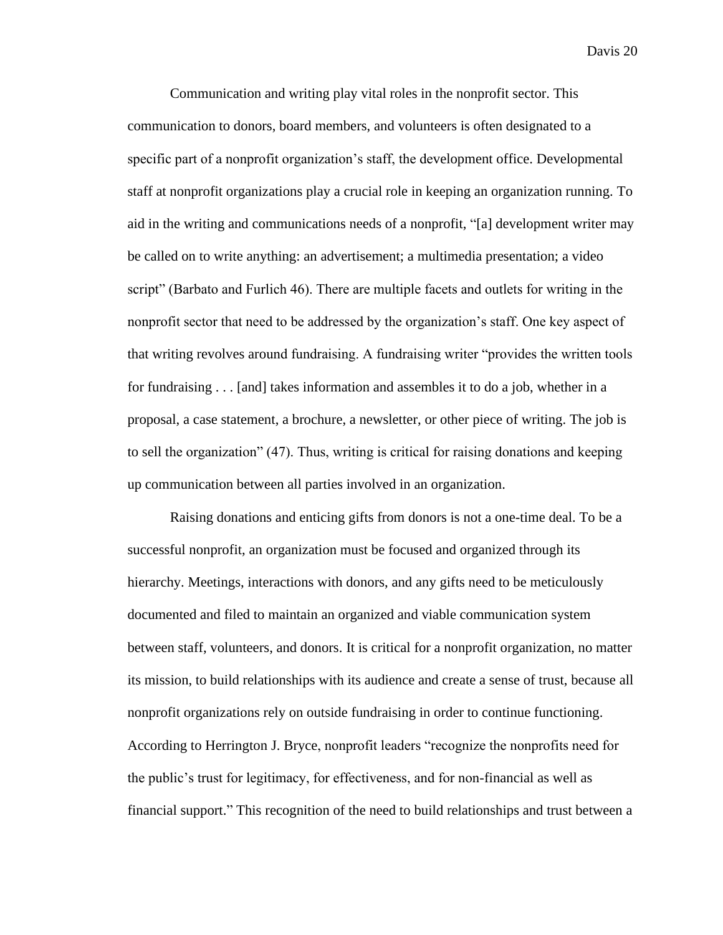Communication and writing play vital roles in the nonprofit sector. This communication to donors, board members, and volunteers is often designated to a specific part of a nonprofit organization's staff, the development office. Developmental staff at nonprofit organizations play a crucial role in keeping an organization running. To aid in the writing and communications needs of a nonprofit, "[a] development writer may be called on to write anything: an advertisement; a multimedia presentation; a video script" (Barbato and Furlich 46). There are multiple facets and outlets for writing in the nonprofit sector that need to be addressed by the organization's staff. One key aspect of that writing revolves around fundraising. A fundraising writer "provides the written tools for fundraising . . . [and] takes information and assembles it to do a job, whether in a proposal, a case statement, a brochure, a newsletter, or other piece of writing. The job is to sell the organization" (47). Thus, writing is critical for raising donations and keeping up communication between all parties involved in an organization.

Raising donations and enticing gifts from donors is not a one-time deal. To be a successful nonprofit, an organization must be focused and organized through its hierarchy. Meetings, interactions with donors, and any gifts need to be meticulously documented and filed to maintain an organized and viable communication system between staff, volunteers, and donors. It is critical for a nonprofit organization, no matter its mission, to build relationships with its audience and create a sense of trust, because all nonprofit organizations rely on outside fundraising in order to continue functioning. According to Herrington J. Bryce, nonprofit leaders "recognize the nonprofits need for the public's trust for legitimacy, for effectiveness, and for non-financial as well as financial support." This recognition of the need to build relationships and trust between a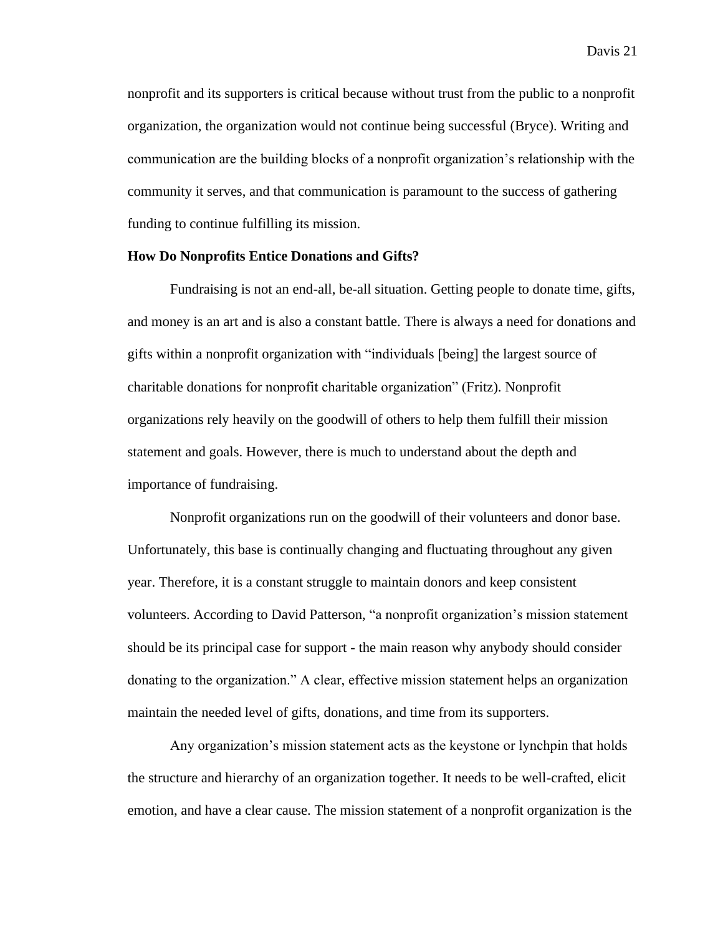nonprofit and its supporters is critical because without trust from the public to a nonprofit organization, the organization would not continue being successful (Bryce). Writing and communication are the building blocks of a nonprofit organization's relationship with the community it serves, and that communication is paramount to the success of gathering funding to continue fulfilling its mission.

#### **How Do Nonprofits Entice Donations and Gifts?**

Fundraising is not an end-all, be-all situation. Getting people to donate time, gifts, and money is an art and is also a constant battle. There is always a need for donations and gifts within a nonprofit organization with "individuals [being] the largest source of charitable donations for nonprofit charitable organization" (Fritz). Nonprofit organizations rely heavily on the goodwill of others to help them fulfill their mission statement and goals. However, there is much to understand about the depth and importance of fundraising.

Nonprofit organizations run on the goodwill of their volunteers and donor base. Unfortunately, this base is continually changing and fluctuating throughout any given year. Therefore, it is a constant struggle to maintain donors and keep consistent volunteers. According to David Patterson, "a nonprofit organization's mission statement should be its principal case for support - the main reason why anybody should consider donating to the organization." A clear, effective mission statement helps an organization maintain the needed level of gifts, donations, and time from its supporters.

Any organization's mission statement acts as the keystone or lynchpin that holds the structure and hierarchy of an organization together. It needs to be well-crafted, elicit emotion, and have a clear cause. The mission statement of a nonprofit organization is the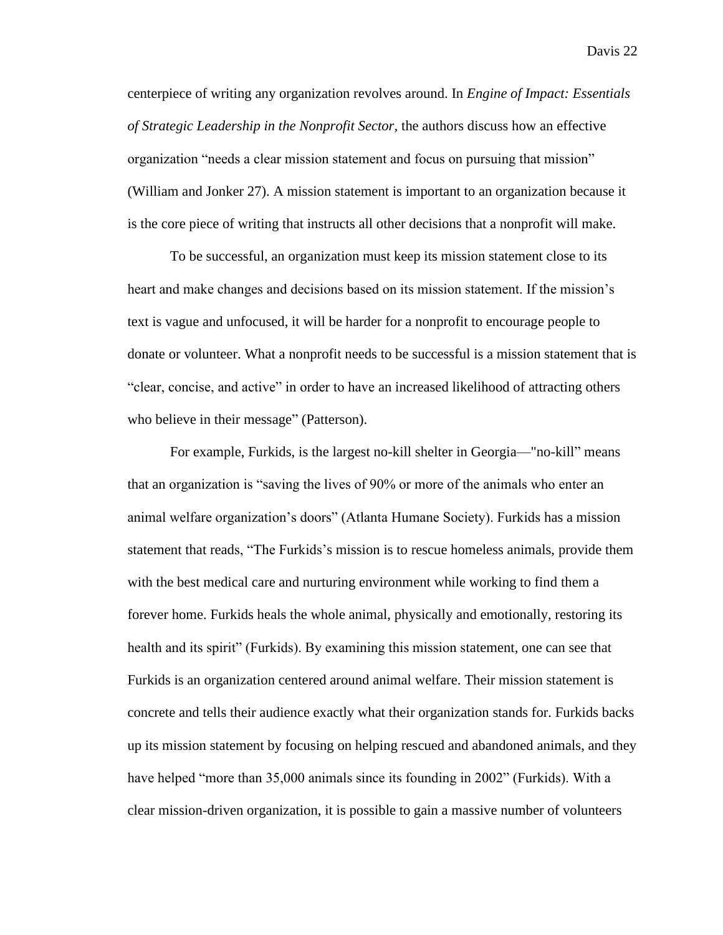centerpiece of writing any organization revolves around. In *Engine of Impact: Essentials of Strategic Leadership in the Nonprofit Sector,* the authors discuss how an effective organization "needs a clear mission statement and focus on pursuing that mission" (William and Jonker 27). A mission statement is important to an organization because it is the core piece of writing that instructs all other decisions that a nonprofit will make.

To be successful, an organization must keep its mission statement close to its heart and make changes and decisions based on its mission statement. If the mission's text is vague and unfocused, it will be harder for a nonprofit to encourage people to donate or volunteer. What a nonprofit needs to be successful is a mission statement that is "clear, concise, and active" in order to have an increased likelihood of attracting others who believe in their message" (Patterson).

For example, Furkids, is the largest no-kill shelter in Georgia—"no-kill" means that an organization is "saving the lives of 90% or more of the animals who enter an animal welfare organization's doors" (Atlanta Humane Society). Furkids has a mission statement that reads, "The Furkids's mission is to rescue homeless animals, provide them with the best medical care and nurturing environment while working to find them a forever home. Furkids heals the whole animal, physically and emotionally, restoring its health and its spirit" (Furkids). By examining this mission statement, one can see that Furkids is an organization centered around animal welfare. Their mission statement is concrete and tells their audience exactly what their organization stands for. Furkids backs up its mission statement by focusing on helping rescued and abandoned animals, and they have helped "more than 35,000 animals since its founding in 2002" (Furkids). With a clear mission-driven organization, it is possible to gain a massive number of volunteers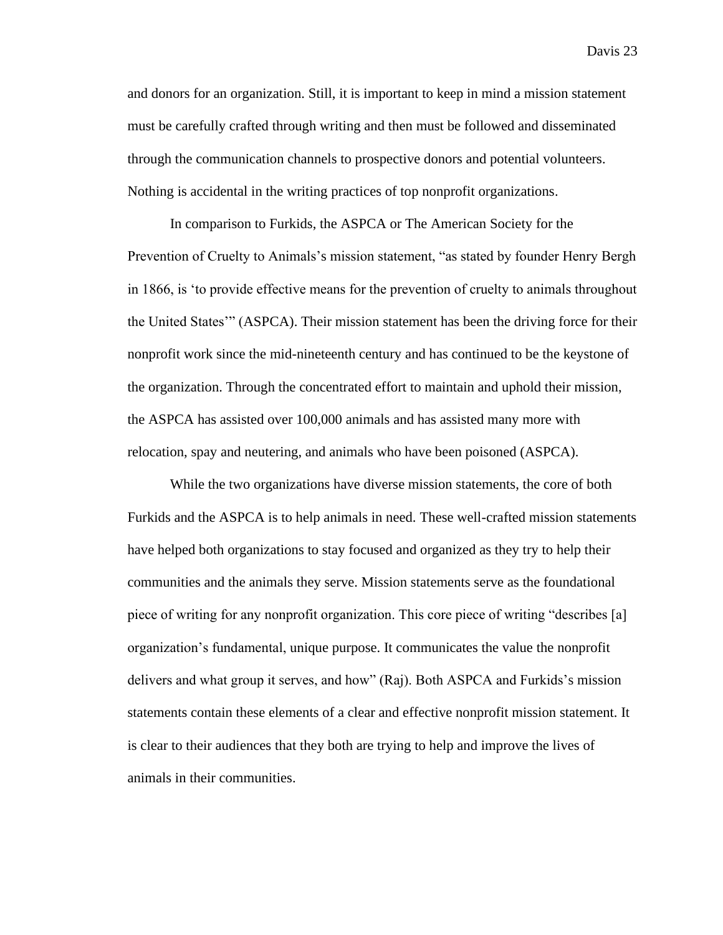and donors for an organization. Still, it is important to keep in mind a mission statement must be carefully crafted through writing and then must be followed and disseminated through the communication channels to prospective donors and potential volunteers. Nothing is accidental in the writing practices of top nonprofit organizations.

In comparison to Furkids, the ASPCA or The American Society for the Prevention of Cruelty to Animals's mission statement, "as stated by founder Henry Bergh in 1866, is 'to provide effective means for the prevention of cruelty to animals throughout the United States'" (ASPCA). Their mission statement has been the driving force for their nonprofit work since the mid-nineteenth century and has continued to be the keystone of the organization. Through the concentrated effort to maintain and uphold their mission, the ASPCA has assisted over 100,000 animals and has assisted many more with relocation, spay and neutering, and animals who have been poisoned (ASPCA).

While the two organizations have diverse mission statements, the core of both Furkids and the ASPCA is to help animals in need. These well-crafted mission statements have helped both organizations to stay focused and organized as they try to help their communities and the animals they serve. Mission statements serve as the foundational piece of writing for any nonprofit organization. This core piece of writing "describes [a] organization's fundamental, unique purpose. It communicates the value the nonprofit delivers and what group it serves, and how" (Raj). Both ASPCA and Furkids's mission statements contain these elements of a clear and effective nonprofit mission statement. It is clear to their audiences that they both are trying to help and improve the lives of animals in their communities.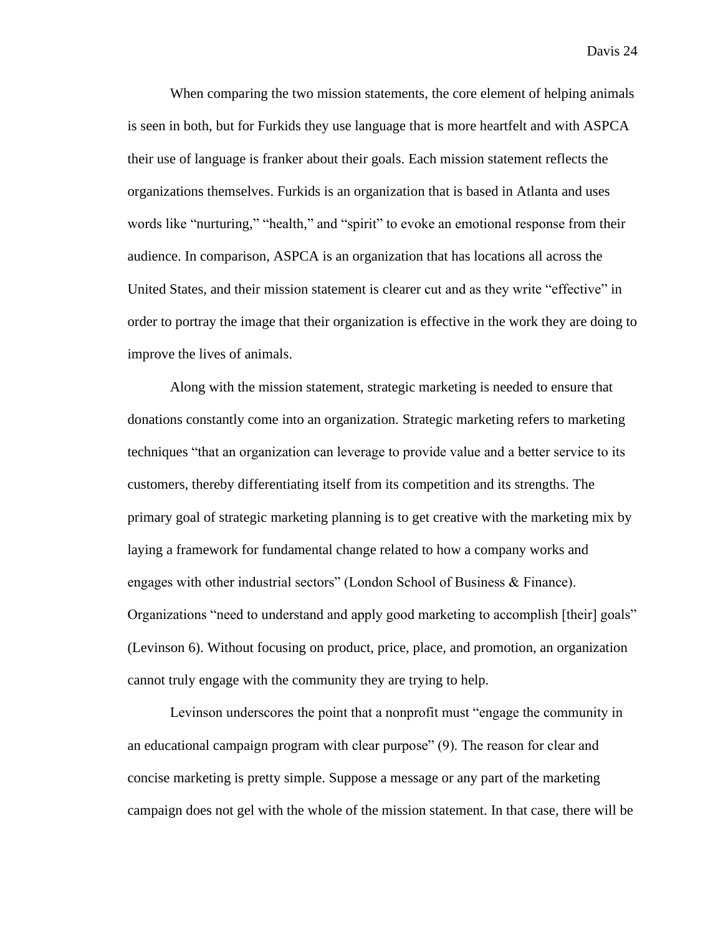When comparing the two mission statements, the core element of helping animals is seen in both, but for Furkids they use language that is more heartfelt and with ASPCA their use of language is franker about their goals. Each mission statement reflects the organizations themselves. Furkids is an organization that is based in Atlanta and uses words like "nurturing," "health," and "spirit" to evoke an emotional response from their audience. In comparison, ASPCA is an organization that has locations all across the United States, and their mission statement is clearer cut and as they write "effective" in order to portray the image that their organization is effective in the work they are doing to improve the lives of animals.

Along with the mission statement, strategic marketing is needed to ensure that donations constantly come into an organization. Strategic marketing refers to marketing techniques "that an organization can leverage to provide value and a better service to its customers, thereby differentiating itself from its competition and its strengths. The primary goal of strategic marketing planning is to get creative with the marketing mix by laying a framework for fundamental change related to how a company works and engages with other industrial sectors" (London School of Business & Finance). Organizations "need to understand and apply good marketing to accomplish [their] goals" (Levinson 6). Without focusing on product, price, place, and promotion, an organization cannot truly engage with the community they are trying to help.

Levinson underscores the point that a nonprofit must "engage the community in an educational campaign program with clear purpose" (9). The reason for clear and concise marketing is pretty simple. Suppose a message or any part of the marketing campaign does not gel with the whole of the mission statement. In that case, there will be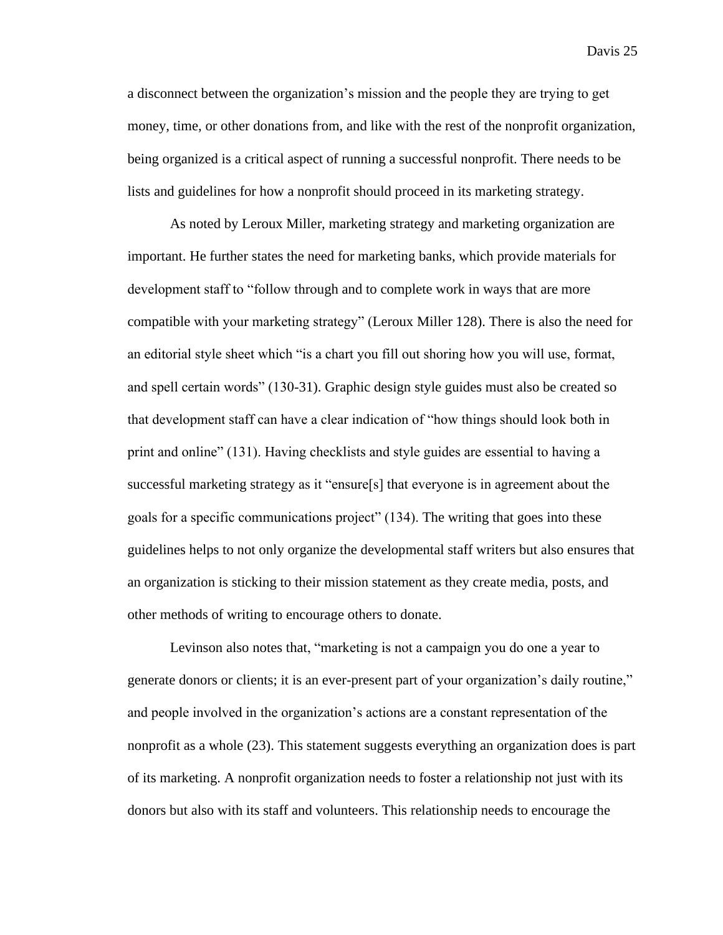a disconnect between the organization's mission and the people they are trying to get money, time, or other donations from, and like with the rest of the nonprofit organization, being organized is a critical aspect of running a successful nonprofit. There needs to be lists and guidelines for how a nonprofit should proceed in its marketing strategy.

As noted by Leroux Miller, marketing strategy and marketing organization are important. He further states the need for marketing banks, which provide materials for development staff to "follow through and to complete work in ways that are more compatible with your marketing strategy" (Leroux Miller 128). There is also the need for an editorial style sheet which "is a chart you fill out shoring how you will use, format, and spell certain words" (130-31). Graphic design style guides must also be created so that development staff can have a clear indication of "how things should look both in print and online" (131). Having checklists and style guides are essential to having a successful marketing strategy as it "ensure[s] that everyone is in agreement about the goals for a specific communications project" (134). The writing that goes into these guidelines helps to not only organize the developmental staff writers but also ensures that an organization is sticking to their mission statement as they create media, posts, and other methods of writing to encourage others to donate.

Levinson also notes that, "marketing is not a campaign you do one a year to generate donors or clients; it is an ever-present part of your organization's daily routine," and people involved in the organization's actions are a constant representation of the nonprofit as a whole (23). This statement suggests everything an organization does is part of its marketing. A nonprofit organization needs to foster a relationship not just with its donors but also with its staff and volunteers. This relationship needs to encourage the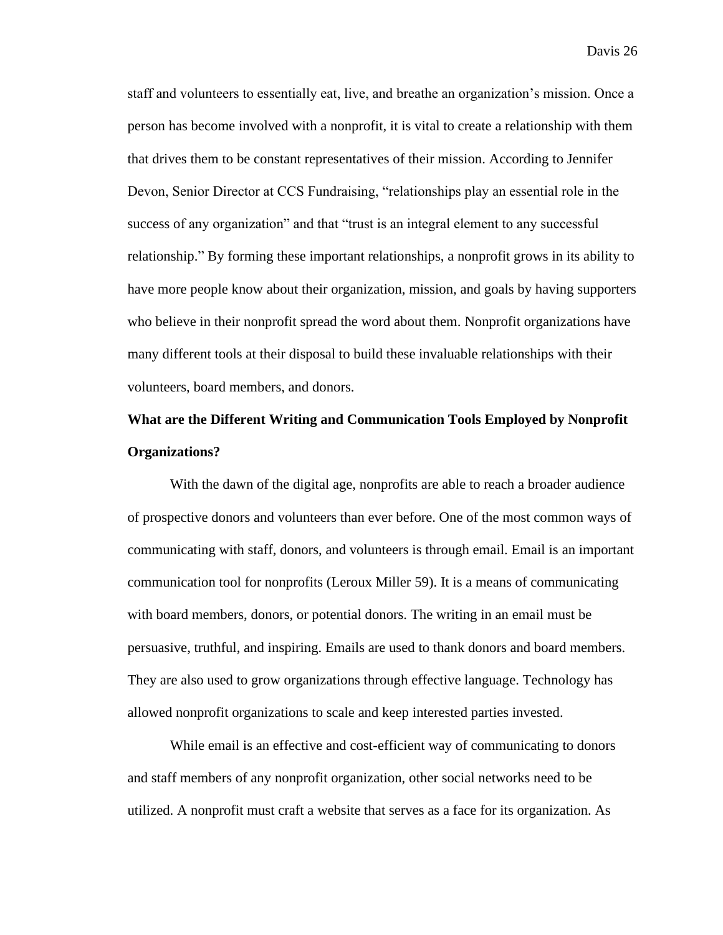staff and volunteers to essentially eat, live, and breathe an organization's mission. Once a person has become involved with a nonprofit, it is vital to create a relationship with them that drives them to be constant representatives of their mission. According to Jennifer Devon, Senior Director at CCS Fundraising, "relationships play an essential role in the success of any organization" and that "trust is an integral element to any successful relationship." By forming these important relationships, a nonprofit grows in its ability to have more people know about their organization, mission, and goals by having supporters who believe in their nonprofit spread the word about them. Nonprofit organizations have many different tools at their disposal to build these invaluable relationships with their volunteers, board members, and donors.

## **What are the Different Writing and Communication Tools Employed by Nonprofit Organizations?**

With the dawn of the digital age, nonprofits are able to reach a broader audience of prospective donors and volunteers than ever before. One of the most common ways of communicating with staff, donors, and volunteers is through email. Email is an important communication tool for nonprofits (Leroux Miller 59). It is a means of communicating with board members, donors, or potential donors. The writing in an email must be persuasive, truthful, and inspiring. Emails are used to thank donors and board members. They are also used to grow organizations through effective language. Technology has allowed nonprofit organizations to scale and keep interested parties invested.

While email is an effective and cost-efficient way of communicating to donors and staff members of any nonprofit organization, other social networks need to be utilized. A nonprofit must craft a website that serves as a face for its organization. As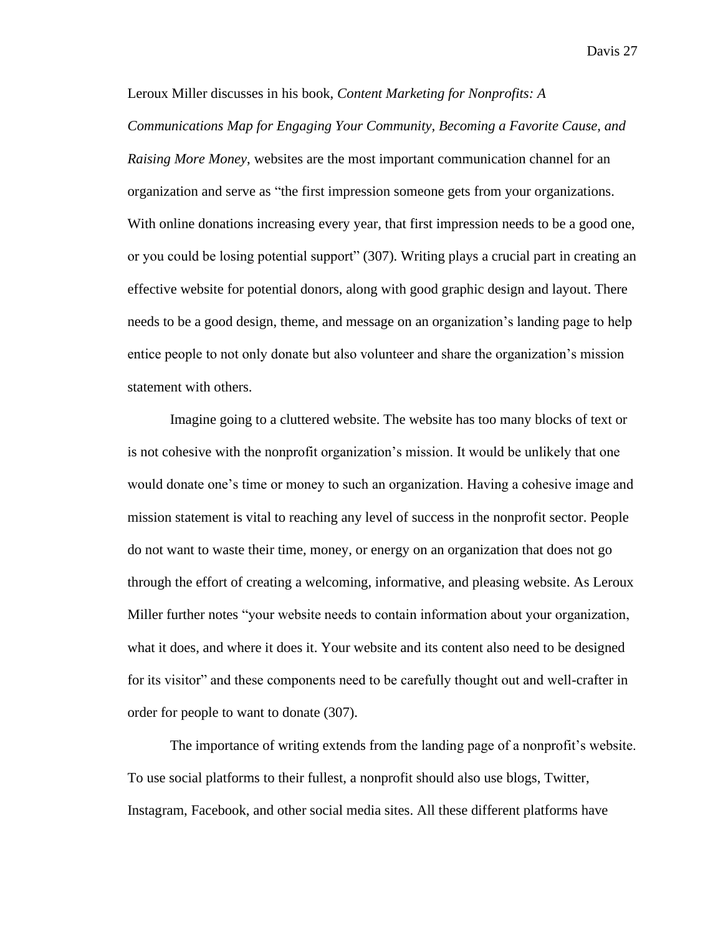Leroux Miller discusses in his book, *Content Marketing for Nonprofits: A Communications Map for Engaging Your Community, Becoming a Favorite Cause, and Raising More Money*, websites are the most important communication channel for an organization and serve as "the first impression someone gets from your organizations. With online donations increasing every year, that first impression needs to be a good one, or you could be losing potential support" (307). Writing plays a crucial part in creating an effective website for potential donors, along with good graphic design and layout. There needs to be a good design, theme, and message on an organization's landing page to help entice people to not only donate but also volunteer and share the organization's mission statement with others.

Imagine going to a cluttered website. The website has too many blocks of text or is not cohesive with the nonprofit organization's mission. It would be unlikely that one would donate one's time or money to such an organization. Having a cohesive image and mission statement is vital to reaching any level of success in the nonprofit sector. People do not want to waste their time, money, or energy on an organization that does not go through the effort of creating a welcoming, informative, and pleasing website. As Leroux Miller further notes "your website needs to contain information about your organization, what it does, and where it does it. Your website and its content also need to be designed for its visitor" and these components need to be carefully thought out and well-crafter in order for people to want to donate (307).

The importance of writing extends from the landing page of a nonprofit's website. To use social platforms to their fullest, a nonprofit should also use blogs, Twitter, Instagram, Facebook, and other social media sites. All these different platforms have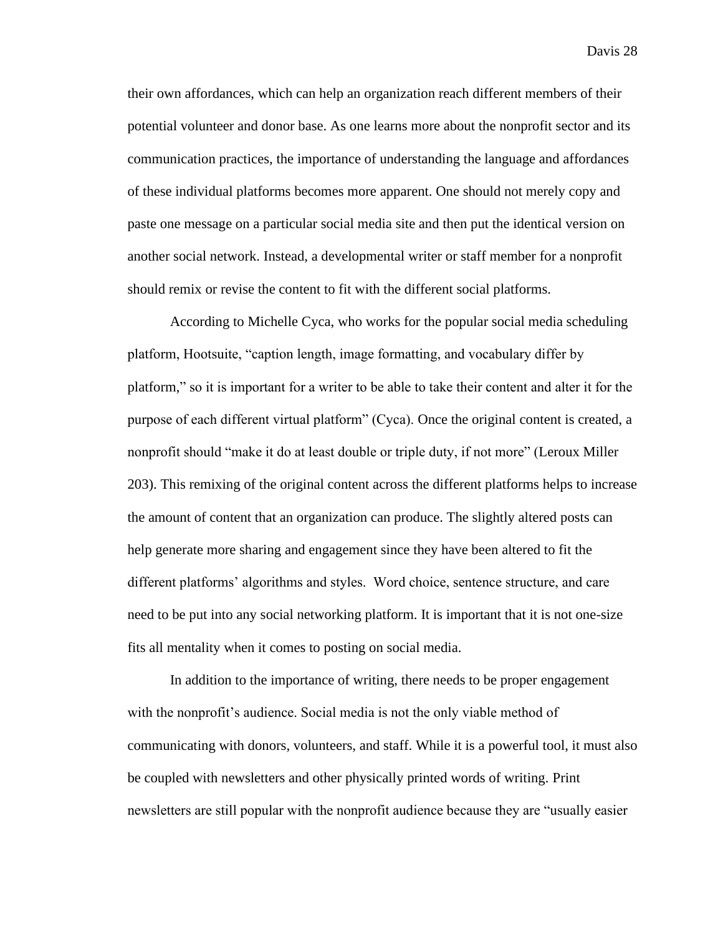their own affordances, which can help an organization reach different members of their potential volunteer and donor base. As one learns more about the nonprofit sector and its communication practices, the importance of understanding the language and affordances of these individual platforms becomes more apparent. One should not merely copy and paste one message on a particular social media site and then put the identical version on another social network. Instead, a developmental writer or staff member for a nonprofit should remix or revise the content to fit with the different social platforms.

According to Michelle Cyca, who works for the popular social media scheduling platform, Hootsuite, "caption length, image formatting, and vocabulary differ by platform," so it is important for a writer to be able to take their content and alter it for the purpose of each different virtual platform" (Cyca). Once the original content is created, a nonprofit should "make it do at least double or triple duty, if not more" (Leroux Miller 203). This remixing of the original content across the different platforms helps to increase the amount of content that an organization can produce. The slightly altered posts can help generate more sharing and engagement since they have been altered to fit the different platforms' algorithms and styles. Word choice, sentence structure, and care need to be put into any social networking platform. It is important that it is not one-size fits all mentality when it comes to posting on social media.

In addition to the importance of writing, there needs to be proper engagement with the nonprofit's audience. Social media is not the only viable method of communicating with donors, volunteers, and staff. While it is a powerful tool, it must also be coupled with newsletters and other physically printed words of writing. Print newsletters are still popular with the nonprofit audience because they are "usually easier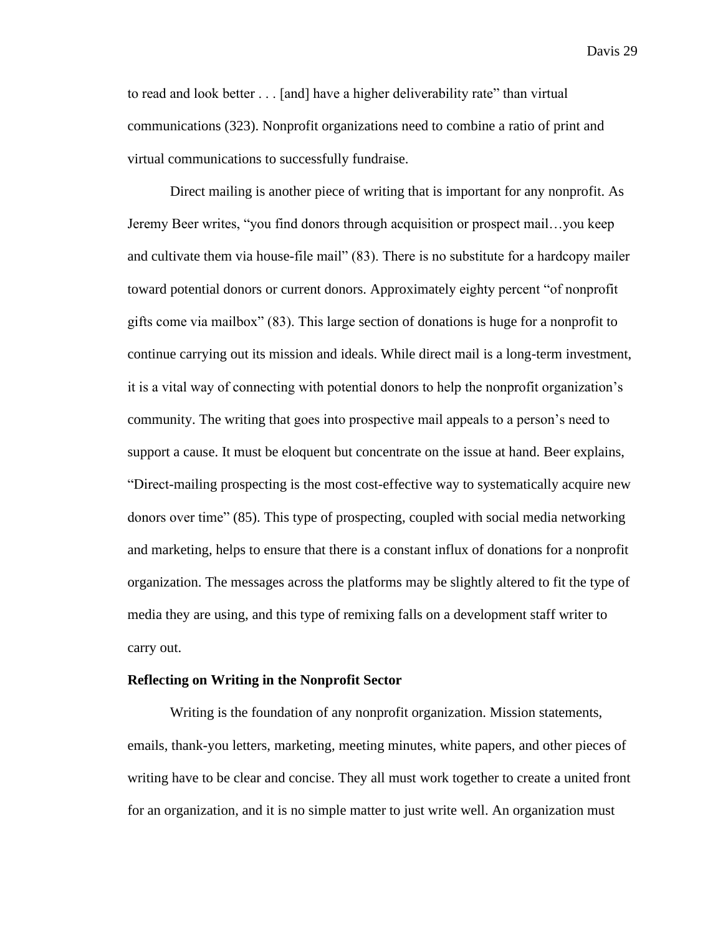to read and look better . . . [and] have a higher deliverability rate" than virtual communications (323). Nonprofit organizations need to combine a ratio of print and virtual communications to successfully fundraise.

Direct mailing is another piece of writing that is important for any nonprofit. As Jeremy Beer writes, "you find donors through acquisition or prospect mail…you keep and cultivate them via house-file mail" (83). There is no substitute for a hardcopy mailer toward potential donors or current donors. Approximately eighty percent "of nonprofit gifts come via mailbox" (83). This large section of donations is huge for a nonprofit to continue carrying out its mission and ideals. While direct mail is a long-term investment, it is a vital way of connecting with potential donors to help the nonprofit organization's community. The writing that goes into prospective mail appeals to a person's need to support a cause. It must be eloquent but concentrate on the issue at hand. Beer explains, "Direct-mailing prospecting is the most cost-effective way to systematically acquire new donors over time" (85). This type of prospecting, coupled with social media networking and marketing, helps to ensure that there is a constant influx of donations for a nonprofit organization. The messages across the platforms may be slightly altered to fit the type of media they are using, and this type of remixing falls on a development staff writer to carry out.

#### **Reflecting on Writing in the Nonprofit Sector**

Writing is the foundation of any nonprofit organization. Mission statements, emails, thank-you letters, marketing, meeting minutes, white papers, and other pieces of writing have to be clear and concise. They all must work together to create a united front for an organization, and it is no simple matter to just write well. An organization must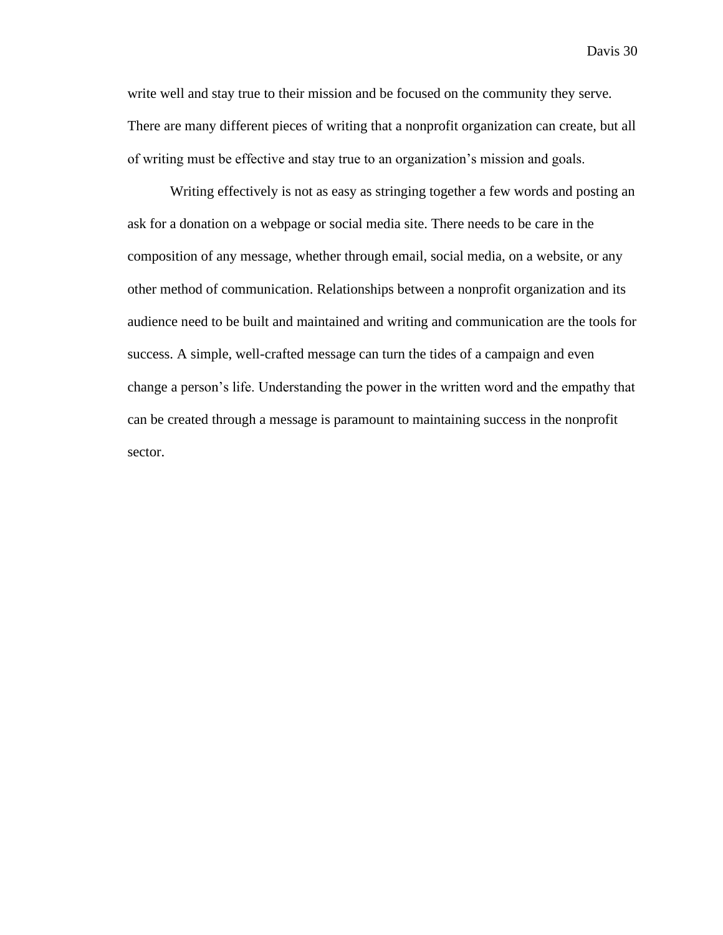write well and stay true to their mission and be focused on the community they serve. There are many different pieces of writing that a nonprofit organization can create, but all of writing must be effective and stay true to an organization's mission and goals.

Writing effectively is not as easy as stringing together a few words and posting an ask for a donation on a webpage or social media site. There needs to be care in the composition of any message, whether through email, social media, on a website, or any other method of communication. Relationships between a nonprofit organization and its audience need to be built and maintained and writing and communication are the tools for success. A simple, well-crafted message can turn the tides of a campaign and even change a person's life. Understanding the power in the written word and the empathy that can be created through a message is paramount to maintaining success in the nonprofit sector.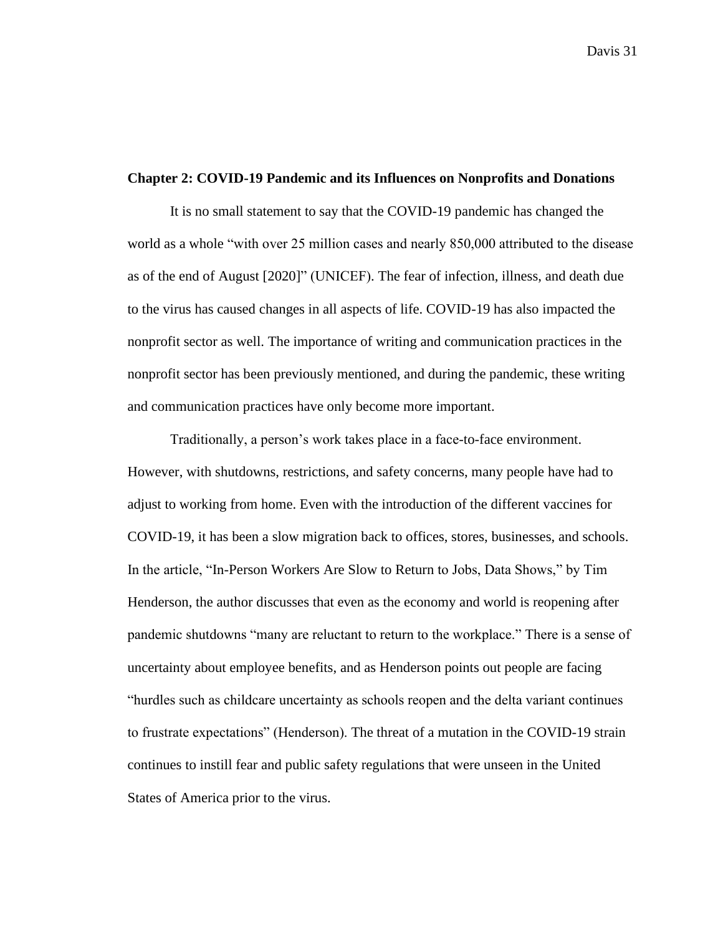#### **Chapter 2: COVID-19 Pandemic and its Influences on Nonprofits and Donations**

It is no small statement to say that the COVID-19 pandemic has changed the world as a whole "with over 25 million cases and nearly 850,000 attributed to the disease as of the end of August [2020]" (UNICEF). The fear of infection, illness, and death due to the virus has caused changes in all aspects of life. COVID-19 has also impacted the nonprofit sector as well. The importance of writing and communication practices in the nonprofit sector has been previously mentioned, and during the pandemic, these writing and communication practices have only become more important.

Traditionally, a person's work takes place in a face-to-face environment. However, with shutdowns, restrictions, and safety concerns, many people have had to adjust to working from home. Even with the introduction of the different vaccines for COVID-19, it has been a slow migration back to offices, stores, businesses, and schools. In the article, "In-Person Workers Are Slow to Return to Jobs, Data Shows," by Tim Henderson, the author discusses that even as the economy and world is reopening after pandemic shutdowns "many are reluctant to return to the workplace." There is a sense of uncertainty about employee benefits, and as Henderson points out people are facing "hurdles such as childcare uncertainty as schools reopen and the delta variant continues to frustrate expectations" (Henderson). The threat of a mutation in the COVID-19 strain continues to instill fear and public safety regulations that were unseen in the United States of America prior to the virus.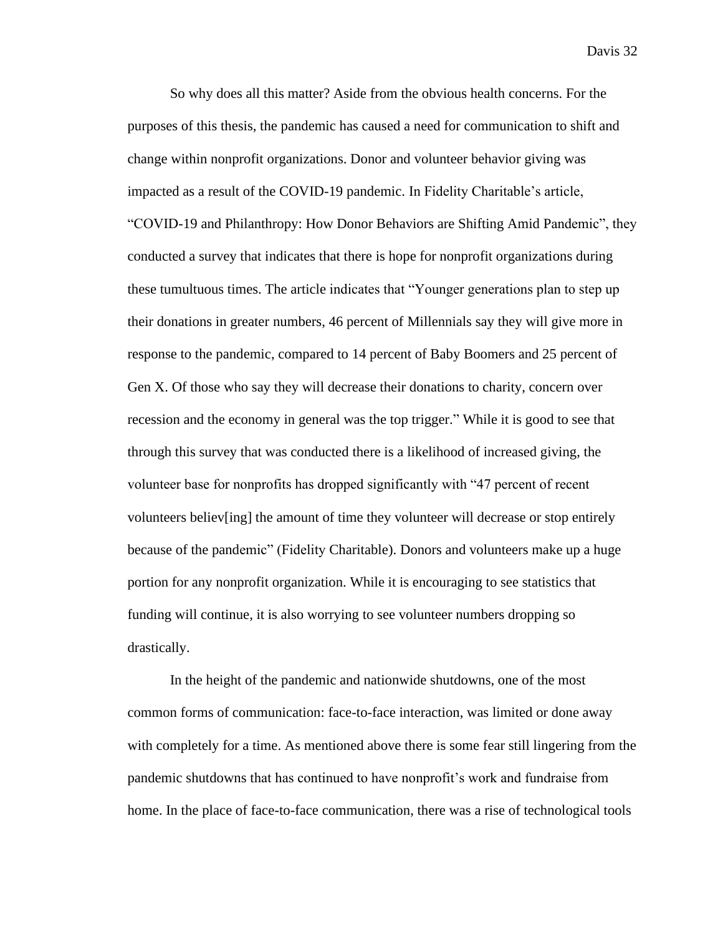So why does all this matter? Aside from the obvious health concerns. For the purposes of this thesis, the pandemic has caused a need for communication to shift and change within nonprofit organizations. Donor and volunteer behavior giving was impacted as a result of the COVID-19 pandemic. In Fidelity Charitable's article, "COVID-19 and Philanthropy: How Donor Behaviors are Shifting Amid Pandemic", they conducted a survey that indicates that there is hope for nonprofit organizations during these tumultuous times. The article indicates that "Younger generations plan to step up their donations in greater numbers, 46 percent of Millennials say they will give more in response to the pandemic, compared to 14 percent of Baby Boomers and 25 percent of Gen X. Of those who say they will decrease their donations to charity, concern over recession and the economy in general was the top trigger." While it is good to see that through this survey that was conducted there is a likelihood of increased giving, the volunteer base for nonprofits has dropped significantly with "47 percent of recent volunteers believ[ing] the amount of time they volunteer will decrease or stop entirely because of the pandemic" (Fidelity Charitable). Donors and volunteers make up a huge portion for any nonprofit organization. While it is encouraging to see statistics that funding will continue, it is also worrying to see volunteer numbers dropping so drastically.

In the height of the pandemic and nationwide shutdowns, one of the most common forms of communication: face-to-face interaction, was limited or done away with completely for a time. As mentioned above there is some fear still lingering from the pandemic shutdowns that has continued to have nonprofit's work and fundraise from home. In the place of face-to-face communication, there was a rise of technological tools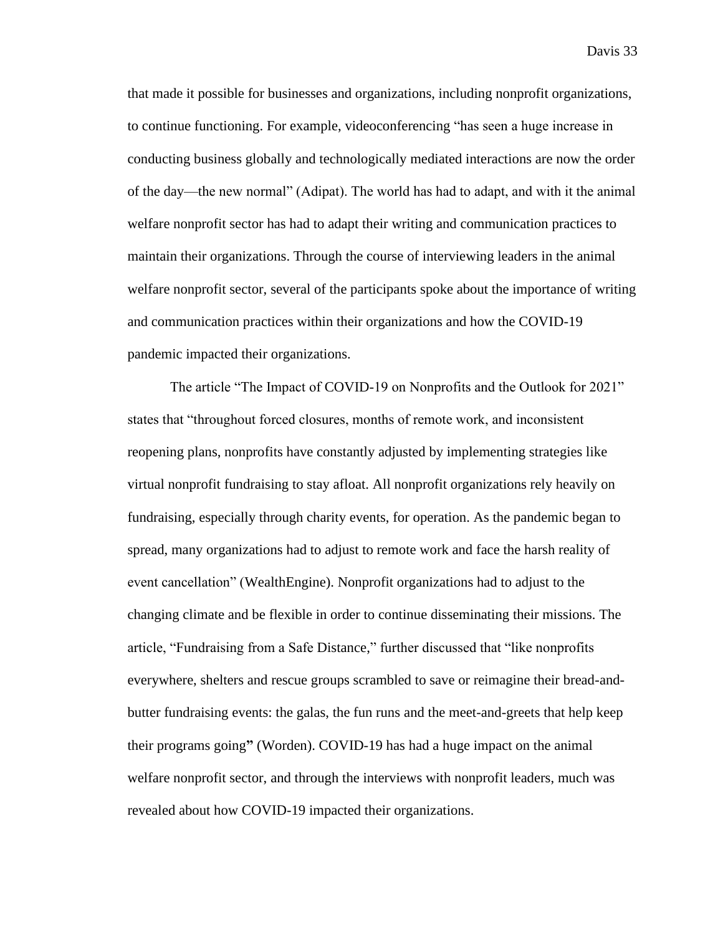that made it possible for businesses and organizations, including nonprofit organizations, to continue functioning. For example, videoconferencing "has seen a huge increase in conducting business globally and technologically mediated interactions are now the order of the day—the new normal" (Adipat). The world has had to adapt, and with it the animal welfare nonprofit sector has had to adapt their writing and communication practices to maintain their organizations. Through the course of interviewing leaders in the animal welfare nonprofit sector, several of the participants spoke about the importance of writing and communication practices within their organizations and how the COVID-19 pandemic impacted their organizations.

The article "The Impact of COVID-19 on Nonprofits and the Outlook for 2021" states that "throughout forced closures, months of remote work, and inconsistent reopening plans, nonprofits have constantly adjusted by implementing strategies like virtual nonprofit fundraising to stay afloat. All nonprofit organizations rely heavily on fundraising, especially through charity events, for operation. As the pandemic began to spread, many organizations had to adjust to remote work and face the harsh reality of event cancellation" (WealthEngine). Nonprofit organizations had to adjust to the changing climate and be flexible in order to continue disseminating their missions. The article, "Fundraising from a Safe Distance," further discussed that "like nonprofits everywhere, shelters and rescue groups scrambled to save or reimagine their bread-andbutter fundraising events: the galas, the fun runs and the meet-and-greets that help keep their programs going**"** (Worden). COVID-19 has had a huge impact on the animal welfare nonprofit sector, and through the interviews with nonprofit leaders, much was revealed about how COVID-19 impacted their organizations.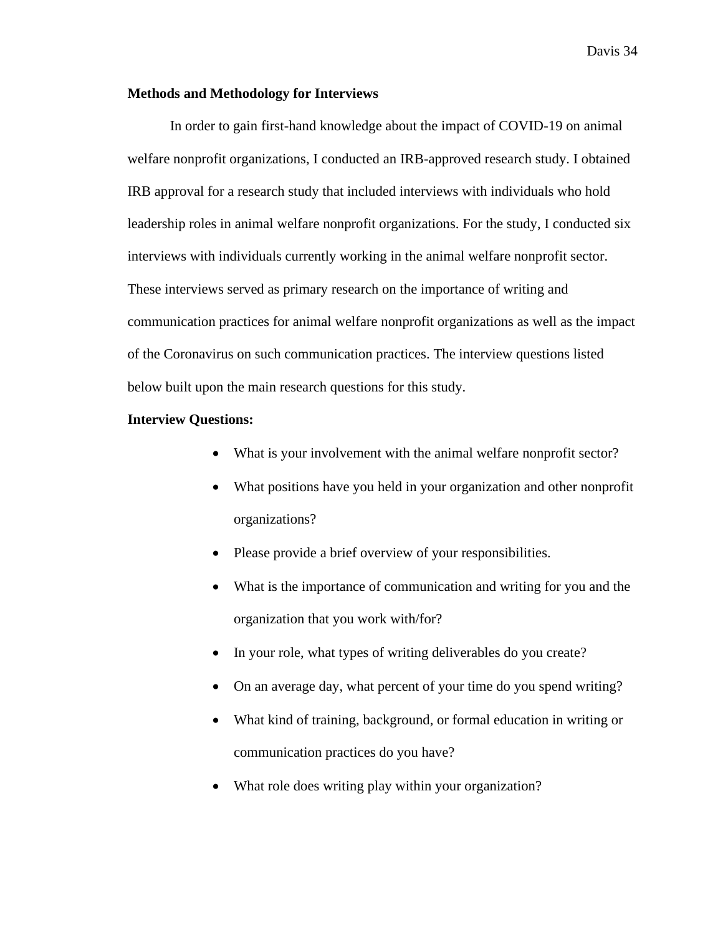## **Methods and Methodology for Interviews**

In order to gain first-hand knowledge about the impact of COVID-19 on animal welfare nonprofit organizations, I conducted an IRB-approved research study. I obtained IRB approval for a research study that included interviews with individuals who hold leadership roles in animal welfare nonprofit organizations. For the study, I conducted six interviews with individuals currently working in the animal welfare nonprofit sector. These interviews served as primary research on the importance of writing and communication practices for animal welfare nonprofit organizations as well as the impact of the Coronavirus on such communication practices. The interview questions listed below built upon the main research questions for this study.

# **Interview Questions:**

- What is your involvement with the animal welfare nonprofit sector?
- What positions have you held in your organization and other nonprofit organizations?
- Please provide a brief overview of your responsibilities.
- What is the importance of communication and writing for you and the organization that you work with/for?
- In your role, what types of writing deliverables do you create?
- On an average day, what percent of your time do you spend writing?
- What kind of training, background, or formal education in writing or communication practices do you have?
- What role does writing play within your organization?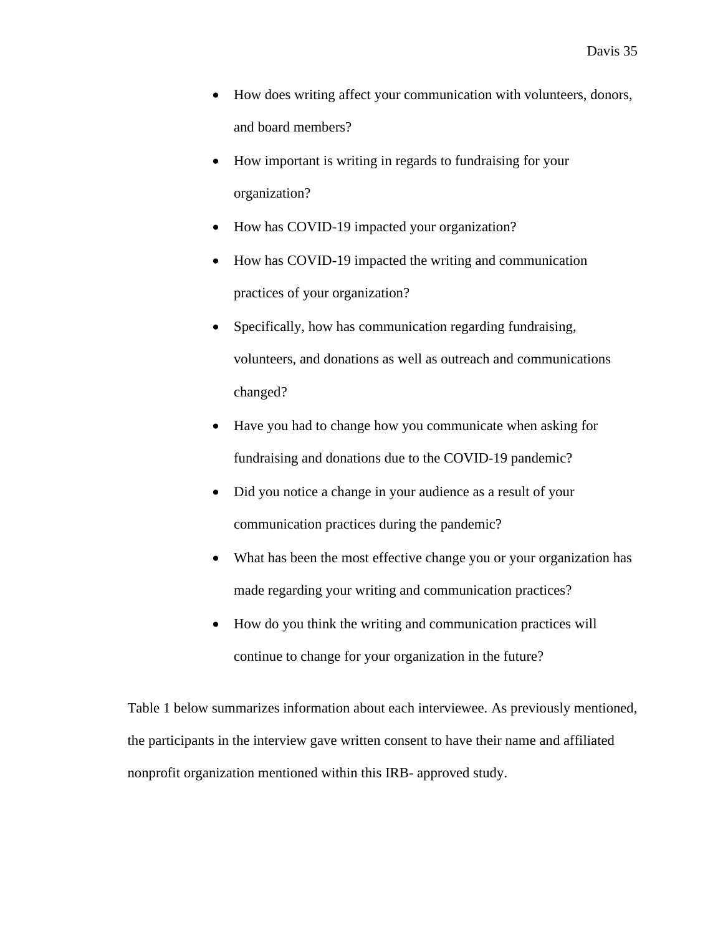- How does writing affect your communication with volunteers, donors, and board members?
- How important is writing in regards to fundraising for your organization?
- How has COVID-19 impacted your organization?
- How has COVID-19 impacted the writing and communication practices of your organization?
- Specifically, how has communication regarding fundraising, volunteers, and donations as well as outreach and communications changed?
- Have you had to change how you communicate when asking for fundraising and donations due to the COVID-19 pandemic?
- Did you notice a change in your audience as a result of your communication practices during the pandemic?
- What has been the most effective change you or your organization has made regarding your writing and communication practices?
- How do you think the writing and communication practices will continue to change for your organization in the future?

Table 1 below summarizes information about each interviewee. As previously mentioned, the participants in the interview gave written consent to have their name and affiliated nonprofit organization mentioned within this IRB- approved study.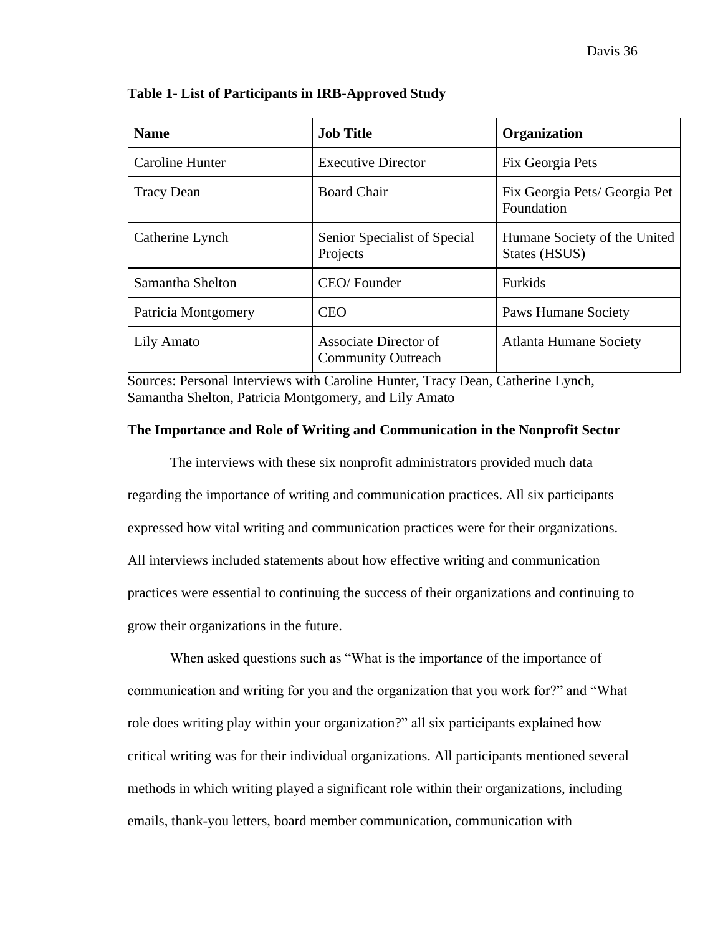| <b>Name</b>         | <b>Job Title</b>                                   | <b>Organization</b>                           |
|---------------------|----------------------------------------------------|-----------------------------------------------|
| Caroline Hunter     | <b>Executive Director</b>                          | Fix Georgia Pets                              |
| <b>Tracy Dean</b>   | <b>Board Chair</b>                                 | Fix Georgia Pets/ Georgia Pet<br>Foundation   |
| Catherine Lynch     | Senior Specialist of Special<br>Projects           | Humane Society of the United<br>States (HSUS) |
| Samantha Shelton    | CEO/Founder                                        | Furkids                                       |
| Patricia Montgomery | <b>CEO</b>                                         | <b>Paws Humane Society</b>                    |
| Lily Amato          | Associate Director of<br><b>Community Outreach</b> | <b>Atlanta Humane Society</b>                 |

**Table 1- List of Participants in IRB-Approved Study**

Sources: Personal Interviews with Caroline Hunter, Tracy Dean, Catherine Lynch, Samantha Shelton, Patricia Montgomery, and Lily Amato

# **The Importance and Role of Writing and Communication in the Nonprofit Sector**

The interviews with these six nonprofit administrators provided much data regarding the importance of writing and communication practices. All six participants expressed how vital writing and communication practices were for their organizations. All interviews included statements about how effective writing and communication practices were essential to continuing the success of their organizations and continuing to grow their organizations in the future.

When asked questions such as "What is the importance of the importance of communication and writing for you and the organization that you work for?" and "What role does writing play within your organization?" all six participants explained how critical writing was for their individual organizations. All participants mentioned several methods in which writing played a significant role within their organizations, including emails, thank-you letters, board member communication, communication with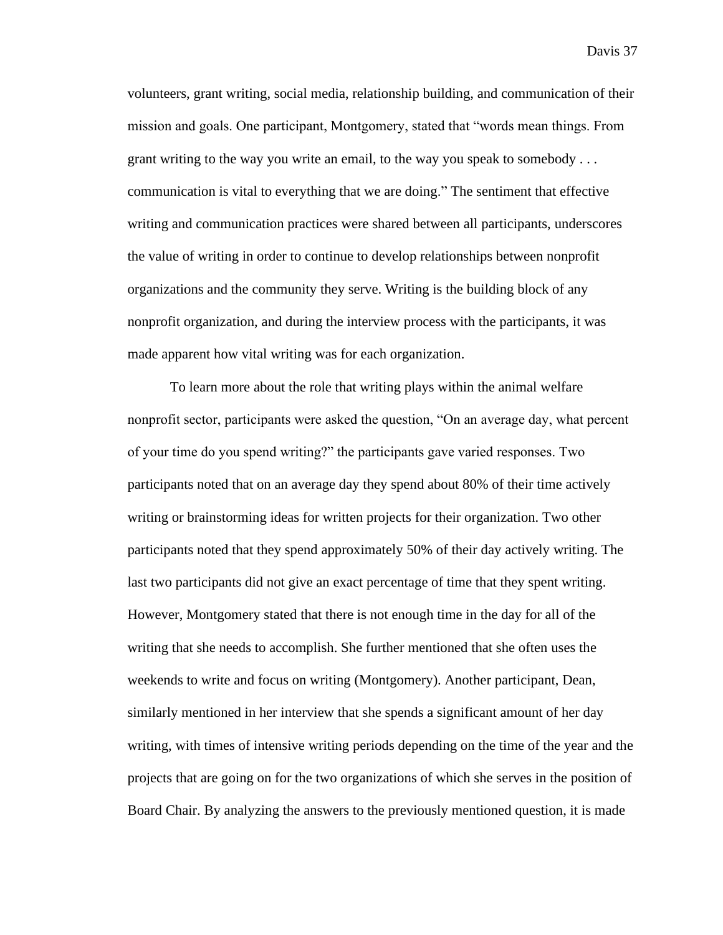volunteers, grant writing, social media, relationship building, and communication of their mission and goals. One participant, Montgomery, stated that "words mean things. From grant writing to the way you write an email, to the way you speak to somebody . . . communication is vital to everything that we are doing." The sentiment that effective writing and communication practices were shared between all participants, underscores the value of writing in order to continue to develop relationships between nonprofit organizations and the community they serve. Writing is the building block of any nonprofit organization, and during the interview process with the participants, it was made apparent how vital writing was for each organization.

To learn more about the role that writing plays within the animal welfare nonprofit sector, participants were asked the question, "On an average day, what percent of your time do you spend writing?" the participants gave varied responses. Two participants noted that on an average day they spend about 80% of their time actively writing or brainstorming ideas for written projects for their organization. Two other participants noted that they spend approximately 50% of their day actively writing. The last two participants did not give an exact percentage of time that they spent writing. However, Montgomery stated that there is not enough time in the day for all of the writing that she needs to accomplish. She further mentioned that she often uses the weekends to write and focus on writing (Montgomery). Another participant, Dean, similarly mentioned in her interview that she spends a significant amount of her day writing, with times of intensive writing periods depending on the time of the year and the projects that are going on for the two organizations of which she serves in the position of Board Chair. By analyzing the answers to the previously mentioned question, it is made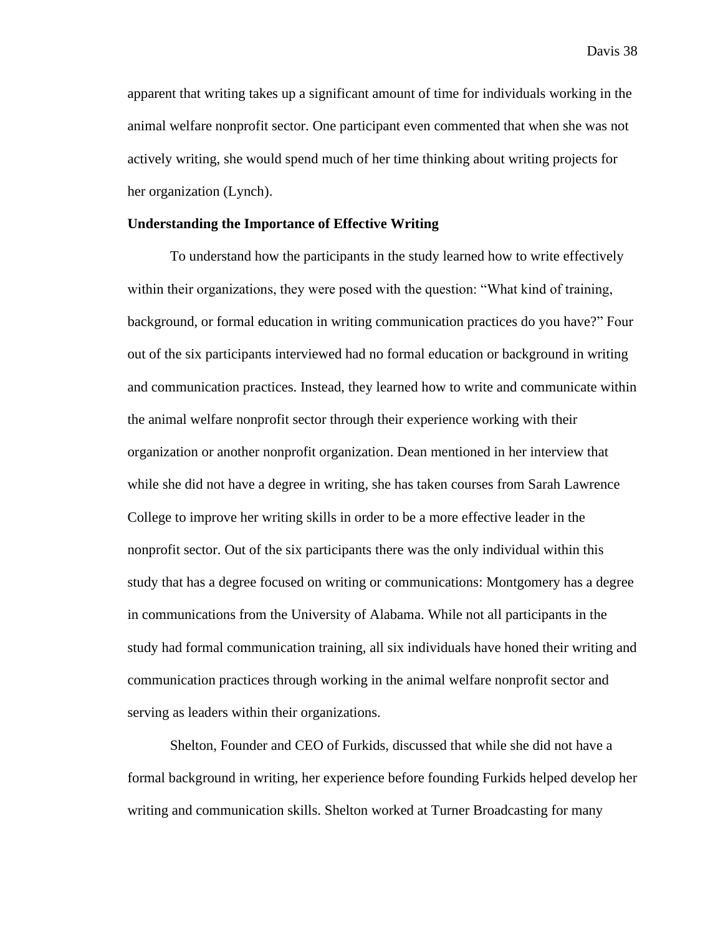apparent that writing takes up a significant amount of time for individuals working in the animal welfare nonprofit sector. One participant even commented that when she was not actively writing, she would spend much of her time thinking about writing projects for her organization (Lynch).

### **Understanding the Importance of Effective Writing**

To understand how the participants in the study learned how to write effectively within their organizations, they were posed with the question: "What kind of training, background, or formal education in writing communication practices do you have?" Four out of the six participants interviewed had no formal education or background in writing and communication practices. Instead, they learned how to write and communicate within the animal welfare nonprofit sector through their experience working with their organization or another nonprofit organization. Dean mentioned in her interview that while she did not have a degree in writing, she has taken courses from Sarah Lawrence College to improve her writing skills in order to be a more effective leader in the nonprofit sector. Out of the six participants there was the only individual within this study that has a degree focused on writing or communications: Montgomery has a degree in communications from the University of Alabama. While not all participants in the study had formal communication training, all six individuals have honed their writing and communication practices through working in the animal welfare nonprofit sector and serving as leaders within their organizations.

Shelton, Founder and CEO of Furkids, discussed that while she did not have a formal background in writing, her experience before founding Furkids helped develop her writing and communication skills. Shelton worked at Turner Broadcasting for many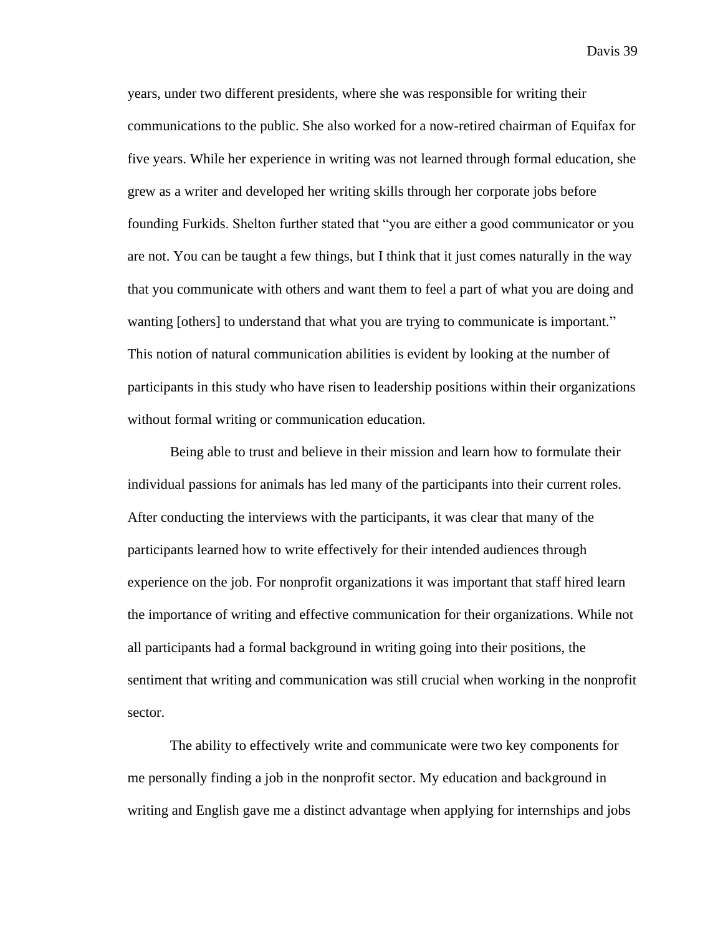years, under two different presidents, where she was responsible for writing their communications to the public. She also worked for a now-retired chairman of Equifax for five years. While her experience in writing was not learned through formal education, she grew as a writer and developed her writing skills through her corporate jobs before founding Furkids. Shelton further stated that "you are either a good communicator or you are not. You can be taught a few things, but I think that it just comes naturally in the way that you communicate with others and want them to feel a part of what you are doing and wanting [others] to understand that what you are trying to communicate is important." This notion of natural communication abilities is evident by looking at the number of participants in this study who have risen to leadership positions within their organizations without formal writing or communication education.

Being able to trust and believe in their mission and learn how to formulate their individual passions for animals has led many of the participants into their current roles. After conducting the interviews with the participants, it was clear that many of the participants learned how to write effectively for their intended audiences through experience on the job. For nonprofit organizations it was important that staff hired learn the importance of writing and effective communication for their organizations. While not all participants had a formal background in writing going into their positions, the sentiment that writing and communication was still crucial when working in the nonprofit sector.

The ability to effectively write and communicate were two key components for me personally finding a job in the nonprofit sector. My education and background in writing and English gave me a distinct advantage when applying for internships and jobs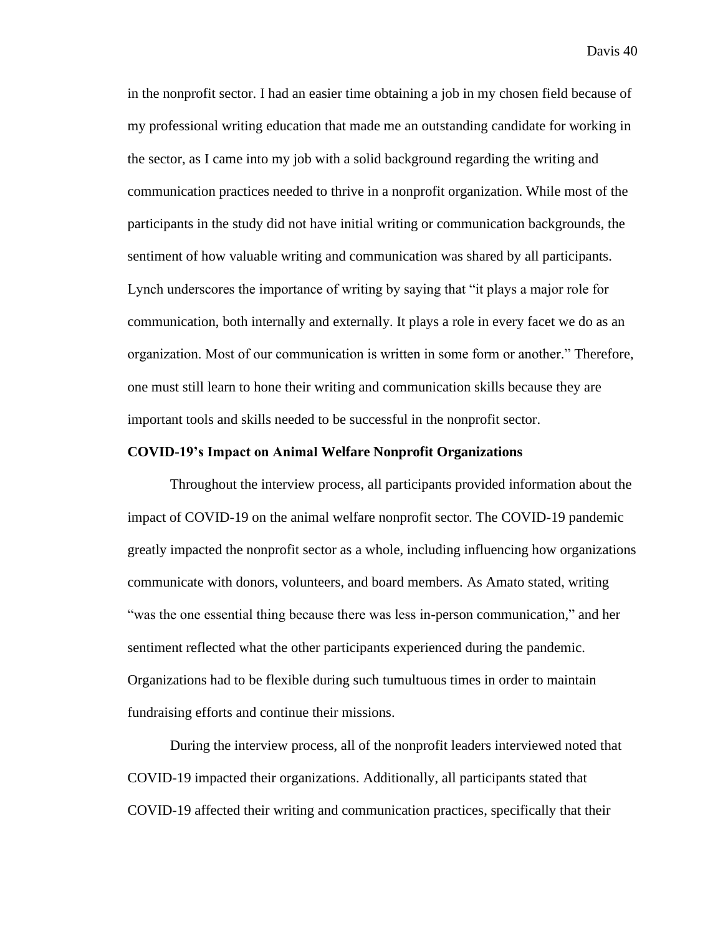in the nonprofit sector. I had an easier time obtaining a job in my chosen field because of my professional writing education that made me an outstanding candidate for working in the sector, as I came into my job with a solid background regarding the writing and communication practices needed to thrive in a nonprofit organization. While most of the participants in the study did not have initial writing or communication backgrounds, the sentiment of how valuable writing and communication was shared by all participants. Lynch underscores the importance of writing by saying that "it plays a major role for communication, both internally and externally. It plays a role in every facet we do as an organization. Most of our communication is written in some form or another." Therefore, one must still learn to hone their writing and communication skills because they are important tools and skills needed to be successful in the nonprofit sector.

# **COVID-19's Impact on Animal Welfare Nonprofit Organizations**

Throughout the interview process, all participants provided information about the impact of COVID-19 on the animal welfare nonprofit sector. The COVID-19 pandemic greatly impacted the nonprofit sector as a whole, including influencing how organizations communicate with donors, volunteers, and board members. As Amato stated, writing "was the one essential thing because there was less in-person communication," and her sentiment reflected what the other participants experienced during the pandemic. Organizations had to be flexible during such tumultuous times in order to maintain fundraising efforts and continue their missions.

During the interview process, all of the nonprofit leaders interviewed noted that COVID-19 impacted their organizations. Additionally, all participants stated that COVID-19 affected their writing and communication practices, specifically that their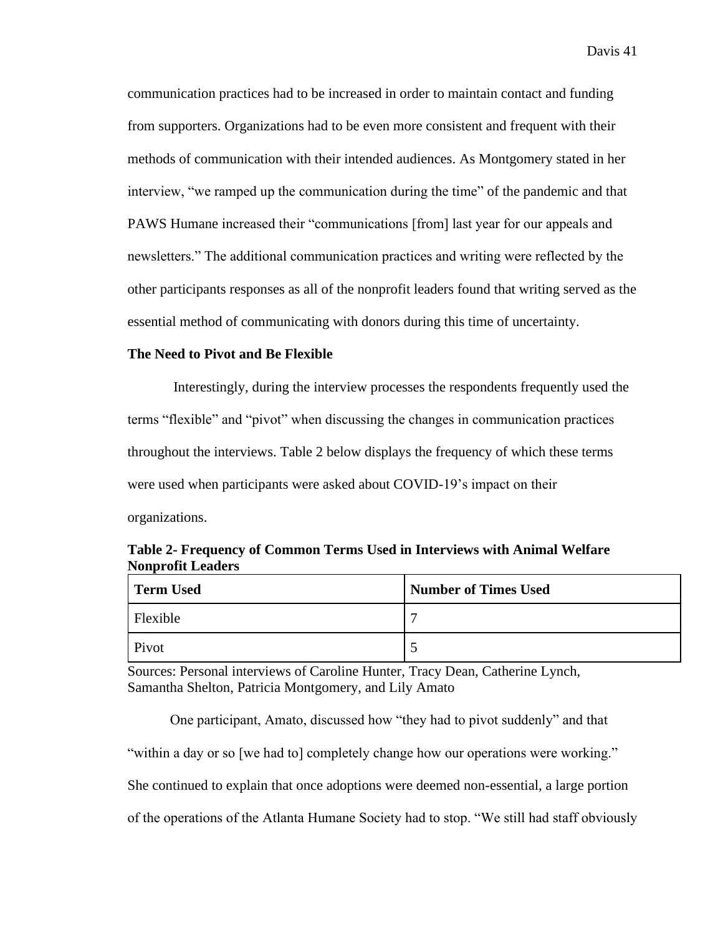communication practices had to be increased in order to maintain contact and funding from supporters. Organizations had to be even more consistent and frequent with their methods of communication with their intended audiences. As Montgomery stated in her interview, "we ramped up the communication during the time" of the pandemic and that PAWS Humane increased their "communications [from] last year for our appeals and newsletters." The additional communication practices and writing were reflected by the other participants responses as all of the nonprofit leaders found that writing served as the essential method of communicating with donors during this time of uncertainty.

# **The Need to Pivot and Be Flexible**

Interestingly, during the interview processes the respondents frequently used the terms "flexible" and "pivot" when discussing the changes in communication practices throughout the interviews. Table 2 below displays the frequency of which these terms were used when participants were asked about COVID-19's impact on their organizations.

| Term Used | <b>Number of Times Used</b> |
|-----------|-----------------------------|
| Flexible  | $\overline{\phantom{0}}$    |
| Pivot     | $\sim$                      |

**Table 2- Frequency of Common Terms Used in Interviews with Animal Welfare Nonprofit Leaders**

Sources: Personal interviews of Caroline Hunter, Tracy Dean, Catherine Lynch, Samantha Shelton, Patricia Montgomery, and Lily Amato

One participant, Amato, discussed how "they had to pivot suddenly" and that "within a day or so [we had to] completely change how our operations were working." She continued to explain that once adoptions were deemed non-essential, a large portion of the operations of the Atlanta Humane Society had to stop. "We still had staff obviously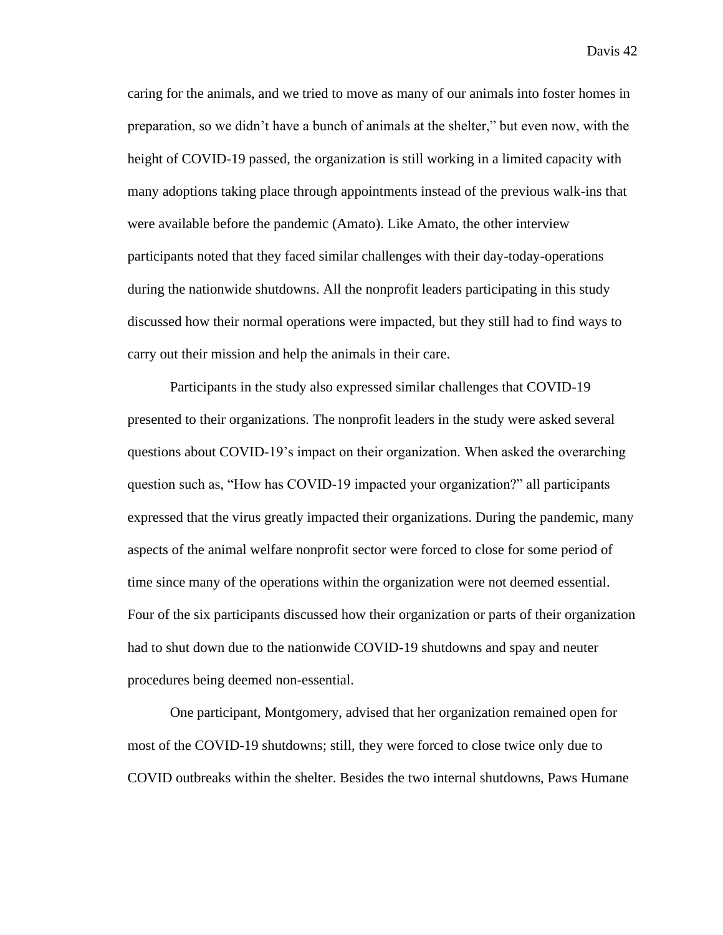caring for the animals, and we tried to move as many of our animals into foster homes in preparation, so we didn't have a bunch of animals at the shelter," but even now, with the height of COVID-19 passed, the organization is still working in a limited capacity with many adoptions taking place through appointments instead of the previous walk-ins that were available before the pandemic (Amato). Like Amato, the other interview participants noted that they faced similar challenges with their day-today-operations during the nationwide shutdowns. All the nonprofit leaders participating in this study discussed how their normal operations were impacted, but they still had to find ways to carry out their mission and help the animals in their care.

Participants in the study also expressed similar challenges that COVID-19 presented to their organizations. The nonprofit leaders in the study were asked several questions about COVID-19's impact on their organization. When asked the overarching question such as, "How has COVID-19 impacted your organization?" all participants expressed that the virus greatly impacted their organizations. During the pandemic, many aspects of the animal welfare nonprofit sector were forced to close for some period of time since many of the operations within the organization were not deemed essential. Four of the six participants discussed how their organization or parts of their organization had to shut down due to the nationwide COVID-19 shutdowns and spay and neuter procedures being deemed non-essential.

One participant, Montgomery, advised that her organization remained open for most of the COVID-19 shutdowns; still, they were forced to close twice only due to COVID outbreaks within the shelter. Besides the two internal shutdowns, Paws Humane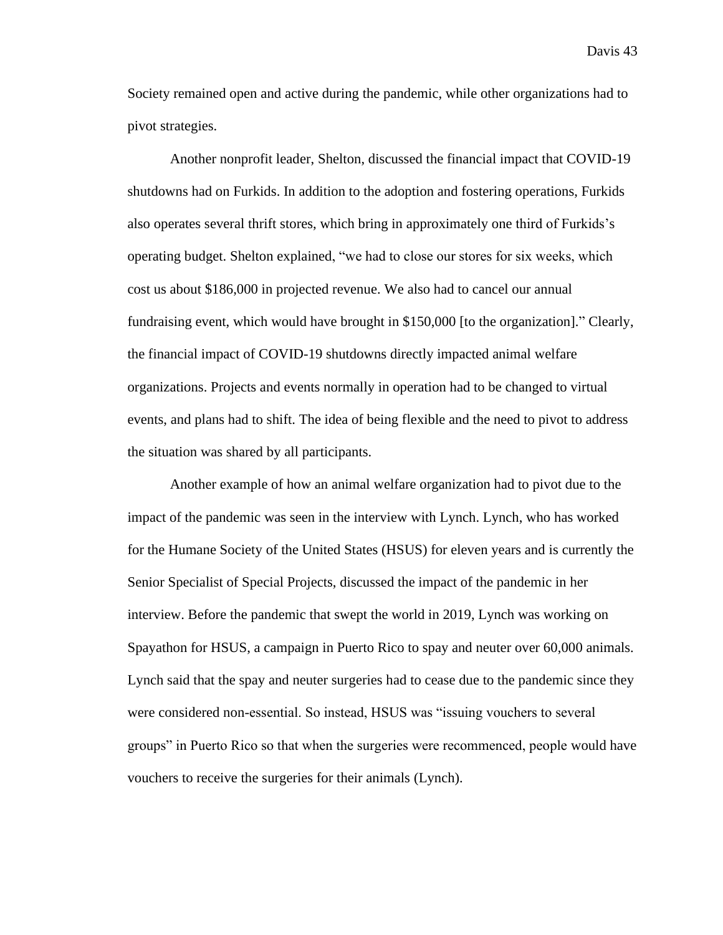Society remained open and active during the pandemic, while other organizations had to pivot strategies.

Another nonprofit leader, Shelton, discussed the financial impact that COVID-19 shutdowns had on Furkids. In addition to the adoption and fostering operations, Furkids also operates several thrift stores, which bring in approximately one third of Furkids's operating budget. Shelton explained, "we had to close our stores for six weeks, which cost us about \$186,000 in projected revenue. We also had to cancel our annual fundraising event, which would have brought in \$150,000 [to the organization]." Clearly, the financial impact of COVID-19 shutdowns directly impacted animal welfare organizations. Projects and events normally in operation had to be changed to virtual events, and plans had to shift. The idea of being flexible and the need to pivot to address the situation was shared by all participants.

Another example of how an animal welfare organization had to pivot due to the impact of the pandemic was seen in the interview with Lynch. Lynch, who has worked for the Humane Society of the United States (HSUS) for eleven years and is currently the Senior Specialist of Special Projects, discussed the impact of the pandemic in her interview. Before the pandemic that swept the world in 2019, Lynch was working on Spayathon for HSUS, a campaign in Puerto Rico to spay and neuter over 60,000 animals. Lynch said that the spay and neuter surgeries had to cease due to the pandemic since they were considered non-essential. So instead, HSUS was "issuing vouchers to several groups" in Puerto Rico so that when the surgeries were recommenced, people would have vouchers to receive the surgeries for their animals (Lynch).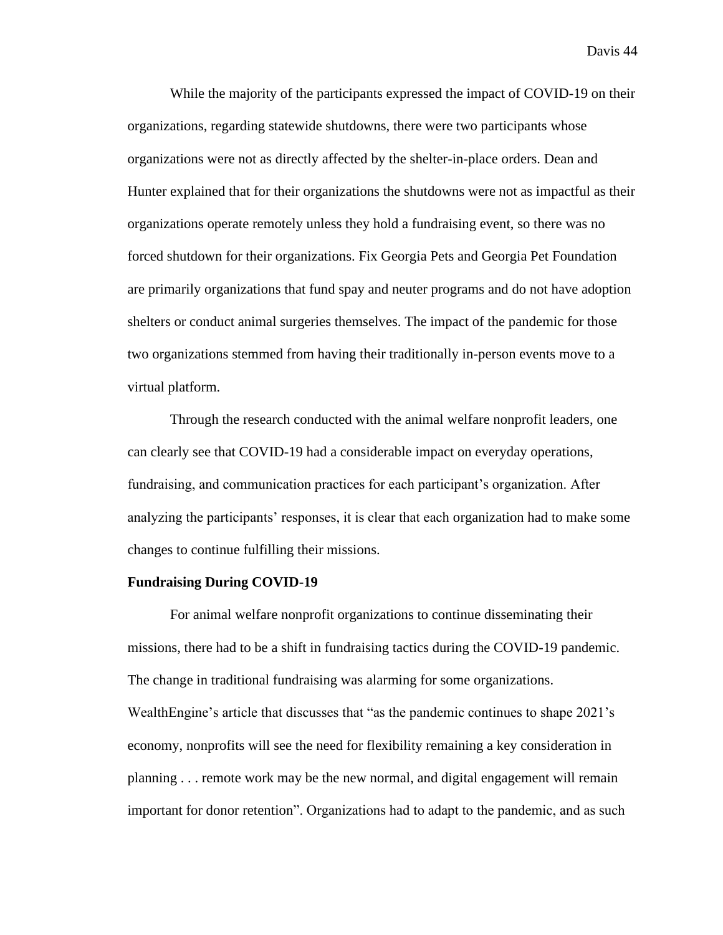While the majority of the participants expressed the impact of COVID-19 on their organizations, regarding statewide shutdowns, there were two participants whose organizations were not as directly affected by the shelter-in-place orders. Dean and Hunter explained that for their organizations the shutdowns were not as impactful as their organizations operate remotely unless they hold a fundraising event, so there was no forced shutdown for their organizations. Fix Georgia Pets and Georgia Pet Foundation are primarily organizations that fund spay and neuter programs and do not have adoption shelters or conduct animal surgeries themselves. The impact of the pandemic for those two organizations stemmed from having their traditionally in-person events move to a virtual platform.

Through the research conducted with the animal welfare nonprofit leaders, one can clearly see that COVID-19 had a considerable impact on everyday operations, fundraising, and communication practices for each participant's organization. After analyzing the participants' responses, it is clear that each organization had to make some changes to continue fulfilling their missions.

### **Fundraising During COVID-19**

For animal welfare nonprofit organizations to continue disseminating their missions, there had to be a shift in fundraising tactics during the COVID-19 pandemic. The change in traditional fundraising was alarming for some organizations. WealthEngine's article that discusses that "as the pandemic continues to shape 2021's economy, nonprofits will see the need for flexibility remaining a key consideration in planning . . . remote work may be the new normal, and digital engagement will remain important for donor retention". Organizations had to adapt to the pandemic, and as such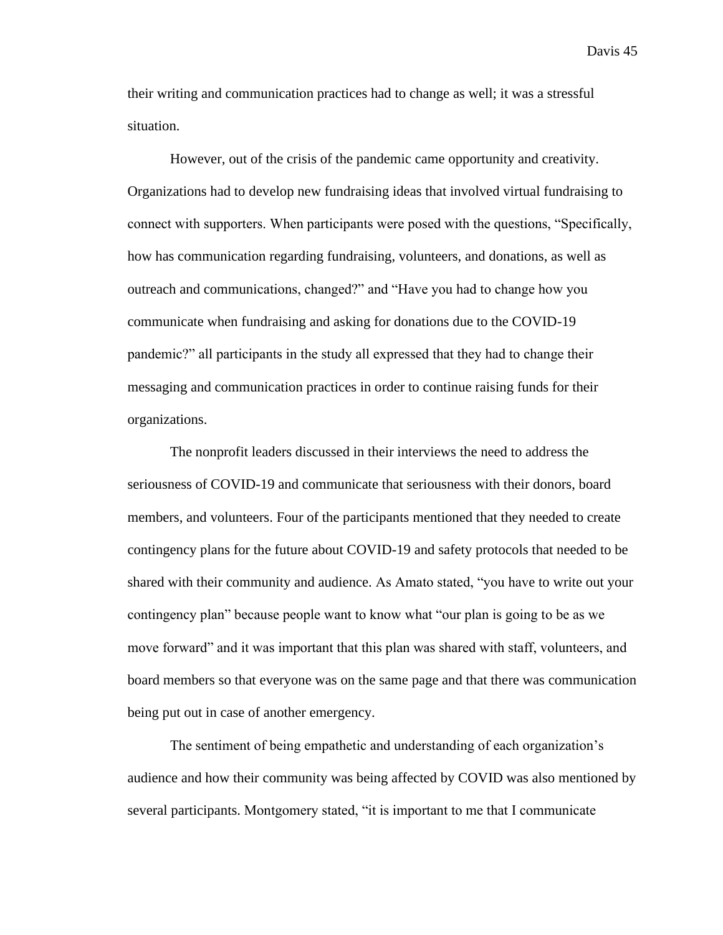their writing and communication practices had to change as well; it was a stressful situation.

However, out of the crisis of the pandemic came opportunity and creativity. Organizations had to develop new fundraising ideas that involved virtual fundraising to connect with supporters. When participants were posed with the questions, "Specifically, how has communication regarding fundraising, volunteers, and donations, as well as outreach and communications, changed?" and "Have you had to change how you communicate when fundraising and asking for donations due to the COVID-19 pandemic?" all participants in the study all expressed that they had to change their messaging and communication practices in order to continue raising funds for their organizations.

The nonprofit leaders discussed in their interviews the need to address the seriousness of COVID-19 and communicate that seriousness with their donors, board members, and volunteers. Four of the participants mentioned that they needed to create contingency plans for the future about COVID-19 and safety protocols that needed to be shared with their community and audience. As Amato stated, "you have to write out your contingency plan" because people want to know what "our plan is going to be as we move forward" and it was important that this plan was shared with staff, volunteers, and board members so that everyone was on the same page and that there was communication being put out in case of another emergency.

The sentiment of being empathetic and understanding of each organization's audience and how their community was being affected by COVID was also mentioned by several participants. Montgomery stated, "it is important to me that I communicate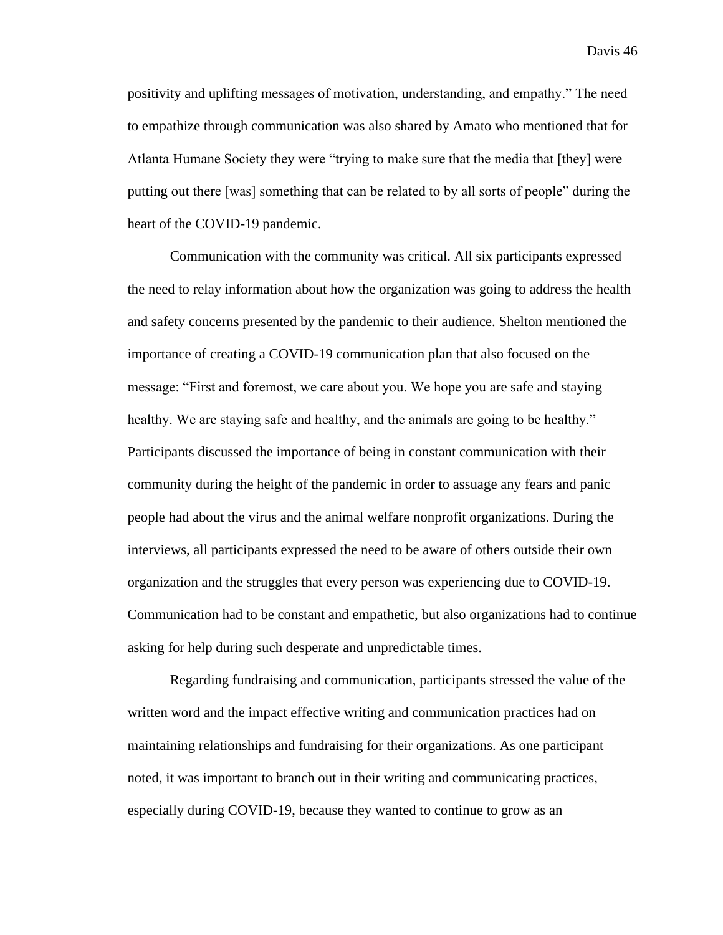positivity and uplifting messages of motivation, understanding, and empathy." The need to empathize through communication was also shared by Amato who mentioned that for Atlanta Humane Society they were "trying to make sure that the media that [they] were putting out there [was] something that can be related to by all sorts of people" during the heart of the COVID-19 pandemic.

Communication with the community was critical. All six participants expressed the need to relay information about how the organization was going to address the health and safety concerns presented by the pandemic to their audience. Shelton mentioned the importance of creating a COVID-19 communication plan that also focused on the message: "First and foremost, we care about you. We hope you are safe and staying healthy. We are staying safe and healthy, and the animals are going to be healthy." Participants discussed the importance of being in constant communication with their community during the height of the pandemic in order to assuage any fears and panic people had about the virus and the animal welfare nonprofit organizations. During the interviews, all participants expressed the need to be aware of others outside their own organization and the struggles that every person was experiencing due to COVID-19. Communication had to be constant and empathetic, but also organizations had to continue asking for help during such desperate and unpredictable times.

Regarding fundraising and communication, participants stressed the value of the written word and the impact effective writing and communication practices had on maintaining relationships and fundraising for their organizations. As one participant noted, it was important to branch out in their writing and communicating practices, especially during COVID-19, because they wanted to continue to grow as an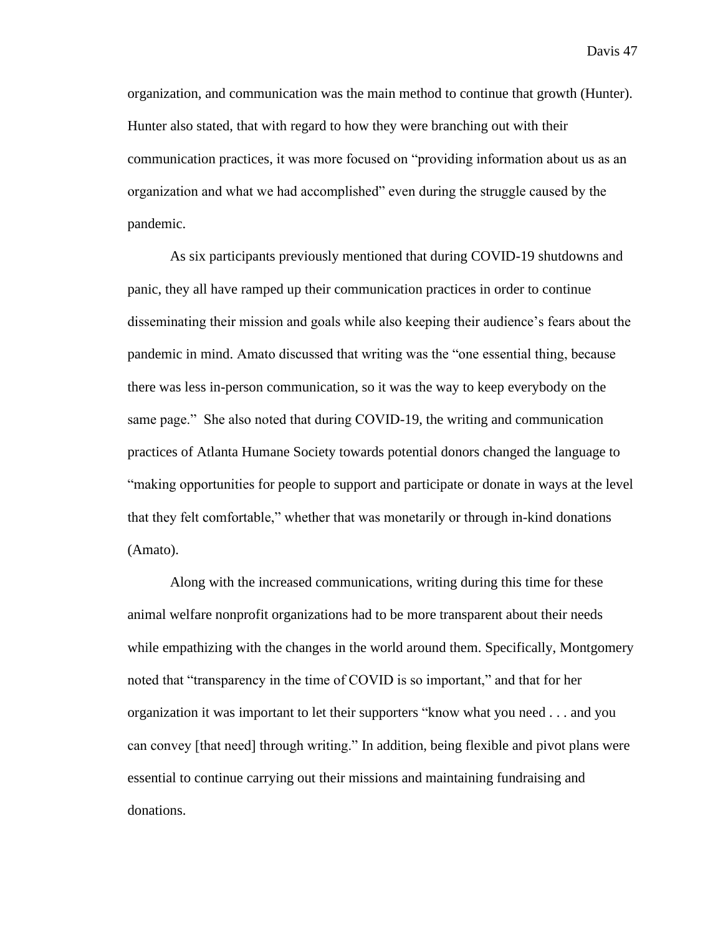organization, and communication was the main method to continue that growth (Hunter). Hunter also stated, that with regard to how they were branching out with their communication practices, it was more focused on "providing information about us as an organization and what we had accomplished" even during the struggle caused by the pandemic.

As six participants previously mentioned that during COVID-19 shutdowns and panic, they all have ramped up their communication practices in order to continue disseminating their mission and goals while also keeping their audience's fears about the pandemic in mind. Amato discussed that writing was the "one essential thing, because there was less in-person communication, so it was the way to keep everybody on the same page." She also noted that during COVID-19, the writing and communication practices of Atlanta Humane Society towards potential donors changed the language to "making opportunities for people to support and participate or donate in ways at the level that they felt comfortable," whether that was monetarily or through in-kind donations (Amato).

Along with the increased communications, writing during this time for these animal welfare nonprofit organizations had to be more transparent about their needs while empathizing with the changes in the world around them. Specifically, Montgomery noted that "transparency in the time of COVID is so important," and that for her organization it was important to let their supporters "know what you need . . . and you can convey [that need] through writing." In addition, being flexible and pivot plans were essential to continue carrying out their missions and maintaining fundraising and donations.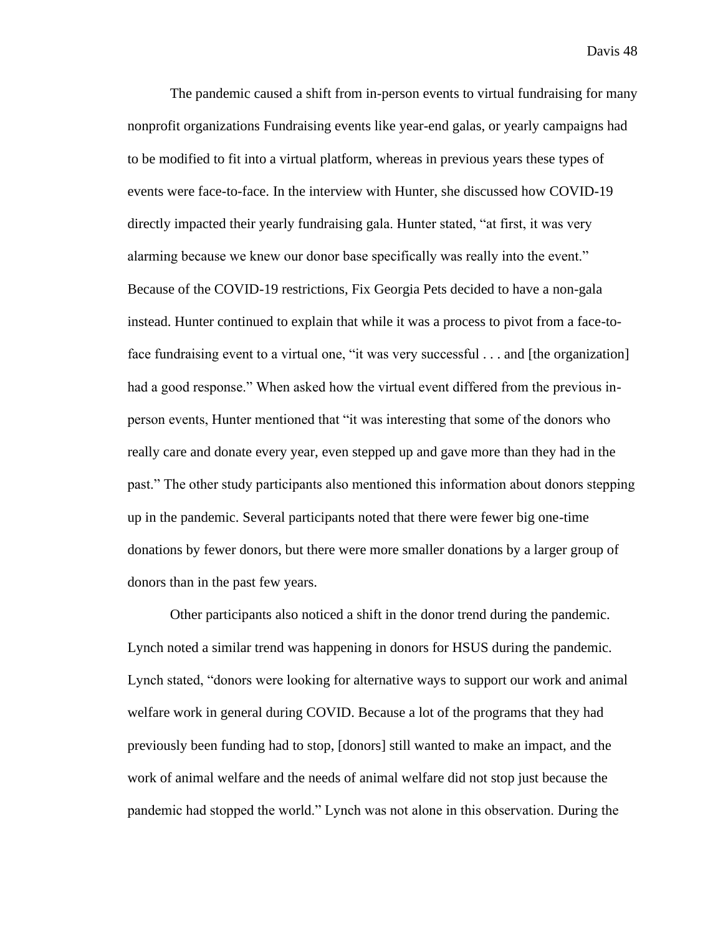The pandemic caused a shift from in-person events to virtual fundraising for many nonprofit organizations Fundraising events like year-end galas, or yearly campaigns had to be modified to fit into a virtual platform, whereas in previous years these types of events were face-to-face. In the interview with Hunter, she discussed how COVID-19 directly impacted their yearly fundraising gala. Hunter stated, "at first, it was very alarming because we knew our donor base specifically was really into the event." Because of the COVID-19 restrictions, Fix Georgia Pets decided to have a non-gala instead. Hunter continued to explain that while it was a process to pivot from a face-toface fundraising event to a virtual one, "it was very successful . . . and [the organization] had a good response." When asked how the virtual event differed from the previous inperson events, Hunter mentioned that "it was interesting that some of the donors who really care and donate every year, even stepped up and gave more than they had in the past." The other study participants also mentioned this information about donors stepping up in the pandemic. Several participants noted that there were fewer big one-time donations by fewer donors, but there were more smaller donations by a larger group of donors than in the past few years.

Other participants also noticed a shift in the donor trend during the pandemic. Lynch noted a similar trend was happening in donors for HSUS during the pandemic. Lynch stated, "donors were looking for alternative ways to support our work and animal welfare work in general during COVID. Because a lot of the programs that they had previously been funding had to stop, [donors] still wanted to make an impact, and the work of animal welfare and the needs of animal welfare did not stop just because the pandemic had stopped the world." Lynch was not alone in this observation. During the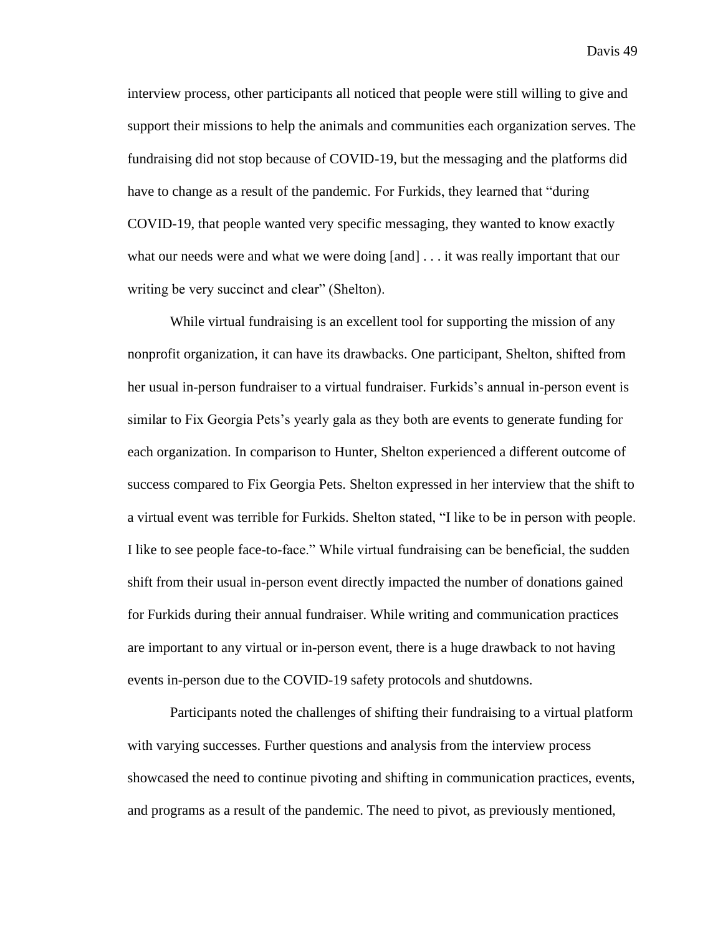interview process, other participants all noticed that people were still willing to give and support their missions to help the animals and communities each organization serves. The fundraising did not stop because of COVID-19, but the messaging and the platforms did have to change as a result of the pandemic. For Furkids, they learned that "during COVID-19, that people wanted very specific messaging, they wanted to know exactly what our needs were and what we were doing [and] . . . it was really important that our writing be very succinct and clear" (Shelton).

While virtual fundraising is an excellent tool for supporting the mission of any nonprofit organization, it can have its drawbacks. One participant, Shelton, shifted from her usual in-person fundraiser to a virtual fundraiser. Furkids's annual in-person event is similar to Fix Georgia Pets's yearly gala as they both are events to generate funding for each organization. In comparison to Hunter, Shelton experienced a different outcome of success compared to Fix Georgia Pets. Shelton expressed in her interview that the shift to a virtual event was terrible for Furkids. Shelton stated, "I like to be in person with people. I like to see people face-to-face." While virtual fundraising can be beneficial, the sudden shift from their usual in-person event directly impacted the number of donations gained for Furkids during their annual fundraiser. While writing and communication practices are important to any virtual or in-person event, there is a huge drawback to not having events in-person due to the COVID-19 safety protocols and shutdowns.

Participants noted the challenges of shifting their fundraising to a virtual platform with varying successes. Further questions and analysis from the interview process showcased the need to continue pivoting and shifting in communication practices, events, and programs as a result of the pandemic. The need to pivot, as previously mentioned,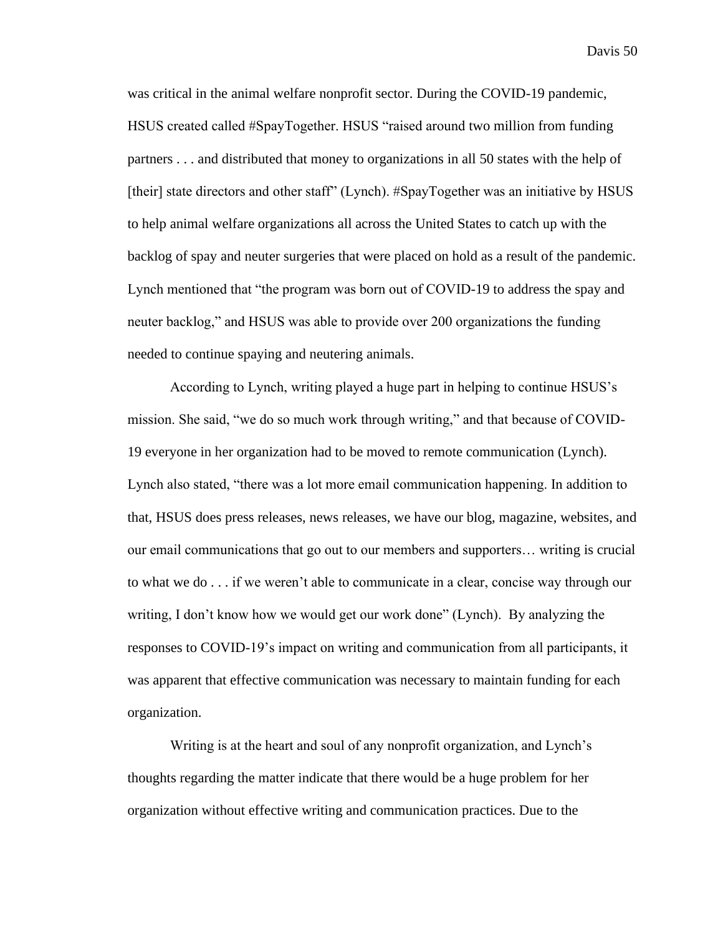was critical in the animal welfare nonprofit sector. During the COVID-19 pandemic, HSUS created called #SpayTogether. HSUS "raised around two million from funding partners . . . and distributed that money to organizations in all 50 states with the help of [their] state directors and other staff" (Lynch). #SpayTogether was an initiative by HSUS to help animal welfare organizations all across the United States to catch up with the backlog of spay and neuter surgeries that were placed on hold as a result of the pandemic. Lynch mentioned that "the program was born out of COVID-19 to address the spay and neuter backlog," and HSUS was able to provide over 200 organizations the funding needed to continue spaying and neutering animals.

According to Lynch, writing played a huge part in helping to continue HSUS's mission. She said, "we do so much work through writing," and that because of COVID-19 everyone in her organization had to be moved to remote communication (Lynch). Lynch also stated, "there was a lot more email communication happening. In addition to that, HSUS does press releases, news releases, we have our blog, magazine, websites, and our email communications that go out to our members and supporters… writing is crucial to what we do . . . if we weren't able to communicate in a clear, concise way through our writing, I don't know how we would get our work done" (Lynch). By analyzing the responses to COVID-19's impact on writing and communication from all participants, it was apparent that effective communication was necessary to maintain funding for each organization.

Writing is at the heart and soul of any nonprofit organization, and Lynch's thoughts regarding the matter indicate that there would be a huge problem for her organization without effective writing and communication practices. Due to the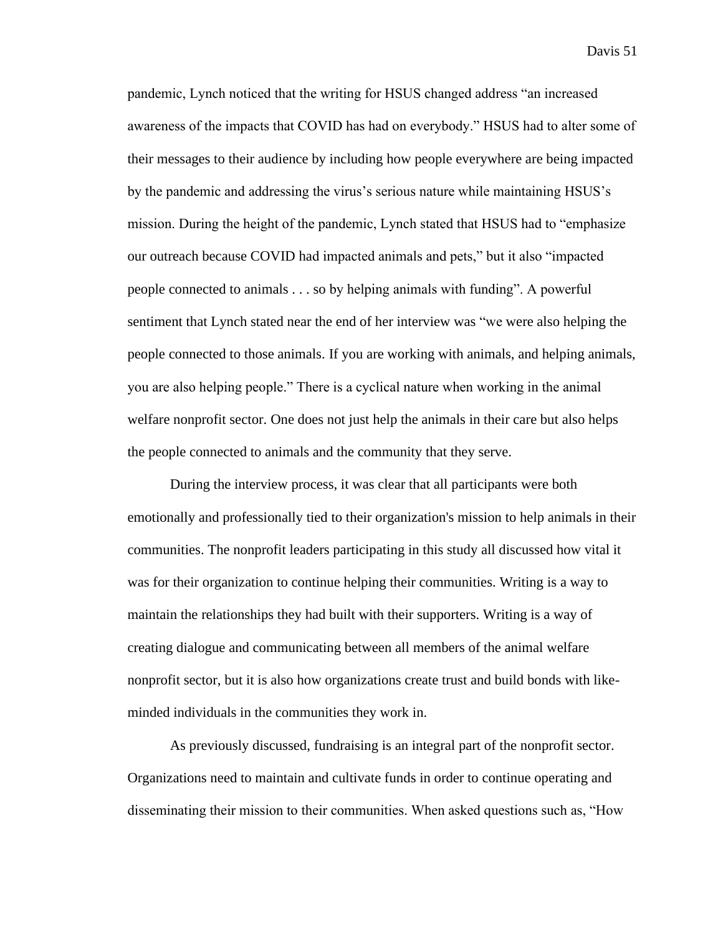pandemic, Lynch noticed that the writing for HSUS changed address "an increased awareness of the impacts that COVID has had on everybody." HSUS had to alter some of their messages to their audience by including how people everywhere are being impacted by the pandemic and addressing the virus's serious nature while maintaining HSUS's mission. During the height of the pandemic, Lynch stated that HSUS had to "emphasize our outreach because COVID had impacted animals and pets," but it also "impacted people connected to animals . . . so by helping animals with funding". A powerful sentiment that Lynch stated near the end of her interview was "we were also helping the people connected to those animals. If you are working with animals, and helping animals, you are also helping people." There is a cyclical nature when working in the animal welfare nonprofit sector. One does not just help the animals in their care but also helps the people connected to animals and the community that they serve.

During the interview process, it was clear that all participants were both emotionally and professionally tied to their organization's mission to help animals in their communities. The nonprofit leaders participating in this study all discussed how vital it was for their organization to continue helping their communities. Writing is a way to maintain the relationships they had built with their supporters. Writing is a way of creating dialogue and communicating between all members of the animal welfare nonprofit sector, but it is also how organizations create trust and build bonds with likeminded individuals in the communities they work in.

As previously discussed, fundraising is an integral part of the nonprofit sector. Organizations need to maintain and cultivate funds in order to continue operating and disseminating their mission to their communities. When asked questions such as, "How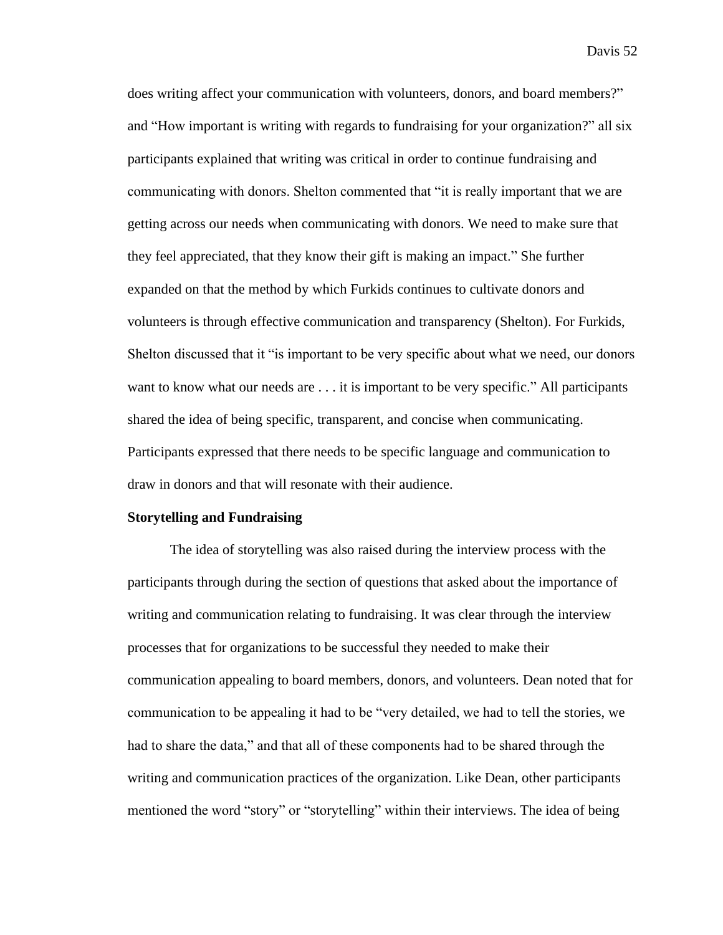does writing affect your communication with volunteers, donors, and board members?" and "How important is writing with regards to fundraising for your organization?" all six participants explained that writing was critical in order to continue fundraising and communicating with donors. Shelton commented that "it is really important that we are getting across our needs when communicating with donors. We need to make sure that they feel appreciated, that they know their gift is making an impact." She further expanded on that the method by which Furkids continues to cultivate donors and volunteers is through effective communication and transparency (Shelton). For Furkids, Shelton discussed that it "is important to be very specific about what we need, our donors want to know what our needs are . . . it is important to be very specific." All participants shared the idea of being specific, transparent, and concise when communicating. Participants expressed that there needs to be specific language and communication to draw in donors and that will resonate with their audience.

### **Storytelling and Fundraising**

The idea of storytelling was also raised during the interview process with the participants through during the section of questions that asked about the importance of writing and communication relating to fundraising. It was clear through the interview processes that for organizations to be successful they needed to make their communication appealing to board members, donors, and volunteers. Dean noted that for communication to be appealing it had to be "very detailed, we had to tell the stories, we had to share the data," and that all of these components had to be shared through the writing and communication practices of the organization. Like Dean, other participants mentioned the word "story" or "storytelling" within their interviews. The idea of being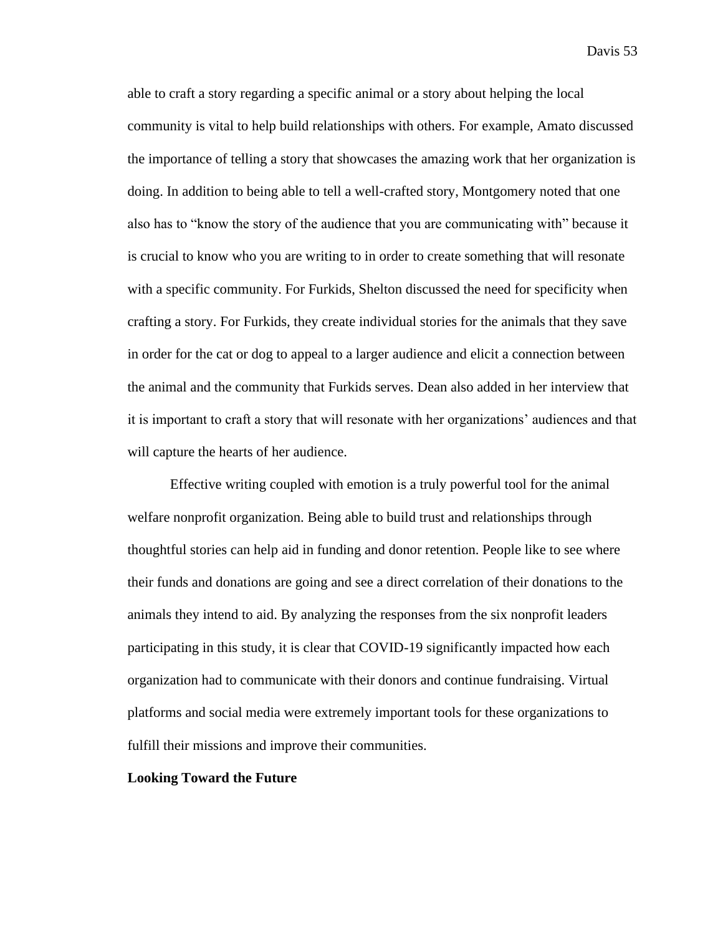able to craft a story regarding a specific animal or a story about helping the local community is vital to help build relationships with others. For example, Amato discussed the importance of telling a story that showcases the amazing work that her organization is doing. In addition to being able to tell a well-crafted story, Montgomery noted that one also has to "know the story of the audience that you are communicating with" because it is crucial to know who you are writing to in order to create something that will resonate with a specific community. For Furkids, Shelton discussed the need for specificity when crafting a story. For Furkids, they create individual stories for the animals that they save in order for the cat or dog to appeal to a larger audience and elicit a connection between the animal and the community that Furkids serves. Dean also added in her interview that it is important to craft a story that will resonate with her organizations' audiences and that will capture the hearts of her audience.

Effective writing coupled with emotion is a truly powerful tool for the animal welfare nonprofit organization. Being able to build trust and relationships through thoughtful stories can help aid in funding and donor retention. People like to see where their funds and donations are going and see a direct correlation of their donations to the animals they intend to aid. By analyzing the responses from the six nonprofit leaders participating in this study, it is clear that COVID-19 significantly impacted how each organization had to communicate with their donors and continue fundraising. Virtual platforms and social media were extremely important tools for these organizations to fulfill their missions and improve their communities.

# **Looking Toward the Future**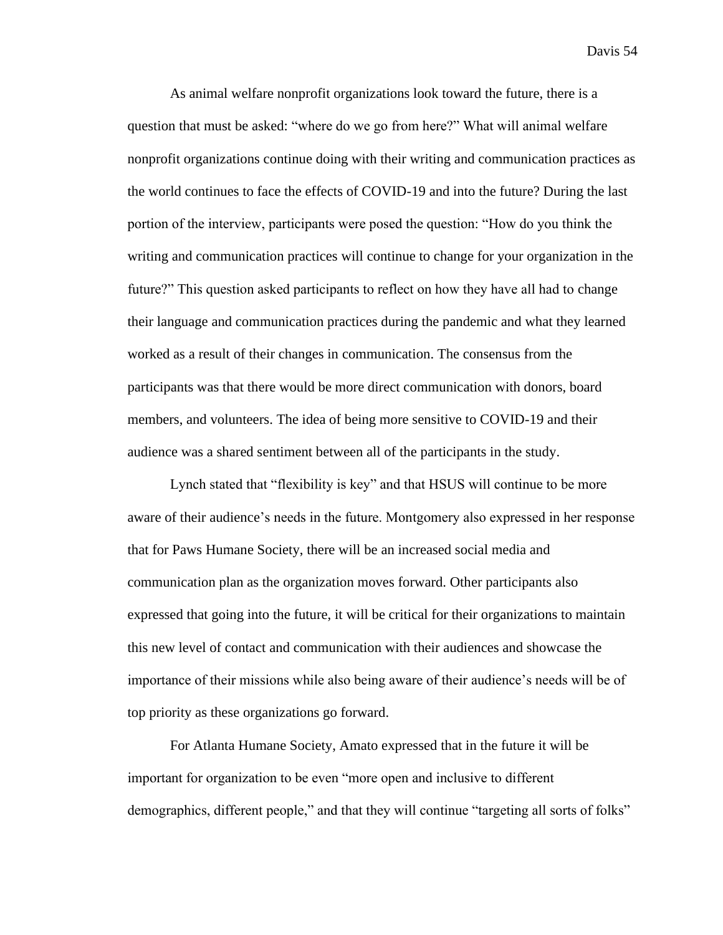As animal welfare nonprofit organizations look toward the future, there is a question that must be asked: "where do we go from here?" What will animal welfare nonprofit organizations continue doing with their writing and communication practices as the world continues to face the effects of COVID-19 and into the future? During the last portion of the interview, participants were posed the question: "How do you think the writing and communication practices will continue to change for your organization in the future?" This question asked participants to reflect on how they have all had to change their language and communication practices during the pandemic and what they learned worked as a result of their changes in communication. The consensus from the participants was that there would be more direct communication with donors, board members, and volunteers. The idea of being more sensitive to COVID-19 and their audience was a shared sentiment between all of the participants in the study.

Lynch stated that "flexibility is key" and that HSUS will continue to be more aware of their audience's needs in the future. Montgomery also expressed in her response that for Paws Humane Society, there will be an increased social media and communication plan as the organization moves forward. Other participants also expressed that going into the future, it will be critical for their organizations to maintain this new level of contact and communication with their audiences and showcase the importance of their missions while also being aware of their audience's needs will be of top priority as these organizations go forward.

For Atlanta Humane Society, Amato expressed that in the future it will be important for organization to be even "more open and inclusive to different demographics, different people," and that they will continue "targeting all sorts of folks"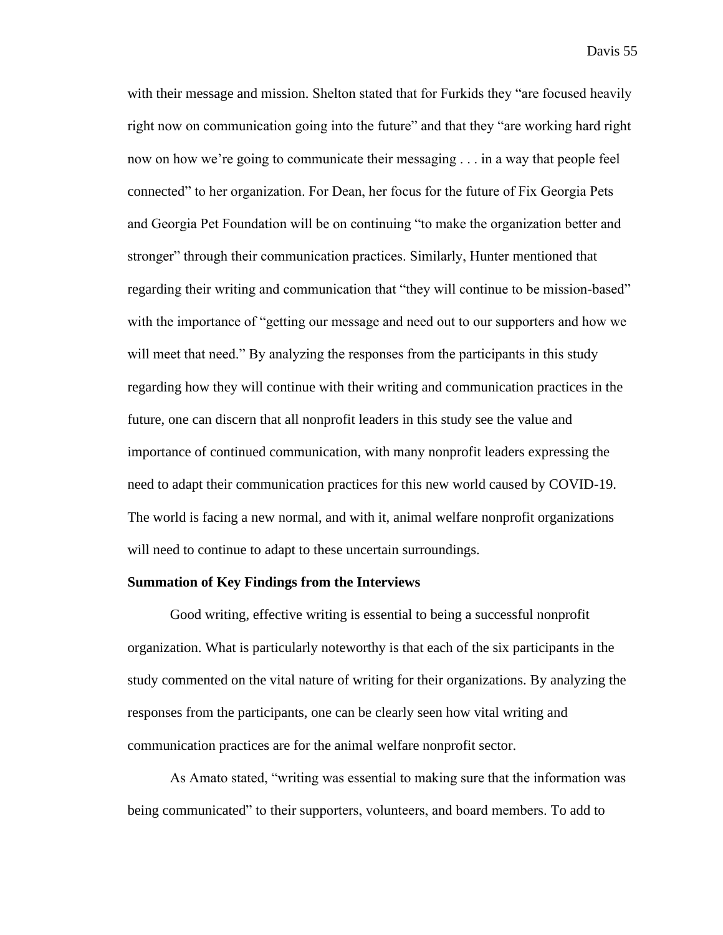with their message and mission. Shelton stated that for Furkids they "are focused heavily right now on communication going into the future" and that they "are working hard right now on how we're going to communicate their messaging . . . in a way that people feel connected" to her organization. For Dean, her focus for the future of Fix Georgia Pets and Georgia Pet Foundation will be on continuing "to make the organization better and stronger" through their communication practices. Similarly, Hunter mentioned that regarding their writing and communication that "they will continue to be mission-based" with the importance of "getting our message and need out to our supporters and how we will meet that need." By analyzing the responses from the participants in this study regarding how they will continue with their writing and communication practices in the future, one can discern that all nonprofit leaders in this study see the value and importance of continued communication, with many nonprofit leaders expressing the need to adapt their communication practices for this new world caused by COVID-19. The world is facing a new normal, and with it, animal welfare nonprofit organizations will need to continue to adapt to these uncertain surroundings.

#### **Summation of Key Findings from the Interviews**

Good writing, effective writing is essential to being a successful nonprofit organization. What is particularly noteworthy is that each of the six participants in the study commented on the vital nature of writing for their organizations. By analyzing the responses from the participants, one can be clearly seen how vital writing and communication practices are for the animal welfare nonprofit sector.

As Amato stated, "writing was essential to making sure that the information was being communicated" to their supporters, volunteers, and board members. To add to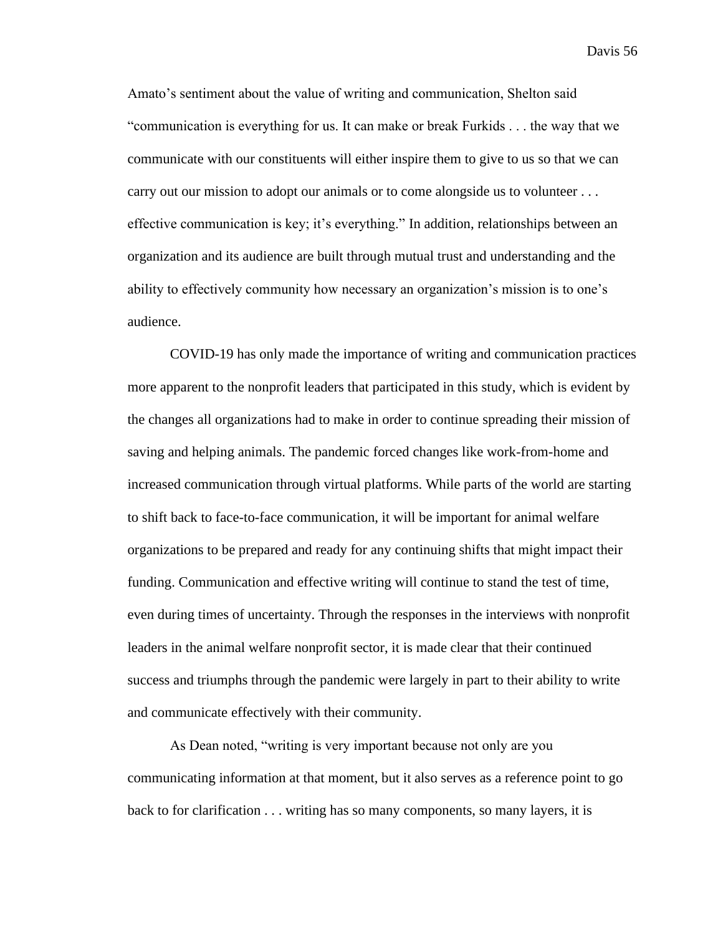Amato's sentiment about the value of writing and communication, Shelton said "communication is everything for us. It can make or break Furkids . . . the way that we communicate with our constituents will either inspire them to give to us so that we can carry out our mission to adopt our animals or to come alongside us to volunteer ... effective communication is key; it's everything." In addition, relationships between an organization and its audience are built through mutual trust and understanding and the ability to effectively community how necessary an organization's mission is to one's audience.

COVID-19 has only made the importance of writing and communication practices more apparent to the nonprofit leaders that participated in this study, which is evident by the changes all organizations had to make in order to continue spreading their mission of saving and helping animals. The pandemic forced changes like work-from-home and increased communication through virtual platforms. While parts of the world are starting to shift back to face-to-face communication, it will be important for animal welfare organizations to be prepared and ready for any continuing shifts that might impact their funding. Communication and effective writing will continue to stand the test of time, even during times of uncertainty. Through the responses in the interviews with nonprofit leaders in the animal welfare nonprofit sector, it is made clear that their continued success and triumphs through the pandemic were largely in part to their ability to write and communicate effectively with their community.

As Dean noted, "writing is very important because not only are you communicating information at that moment, but it also serves as a reference point to go back to for clarification . . . writing has so many components, so many layers, it is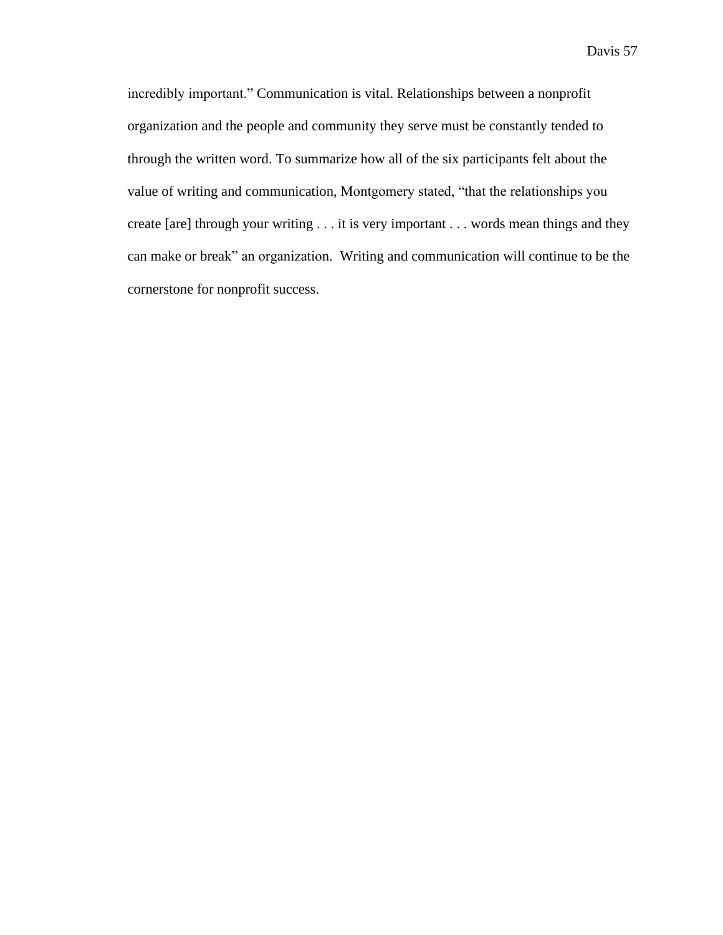incredibly important." Communication is vital. Relationships between a nonprofit organization and the people and community they serve must be constantly tended to through the written word. To summarize how all of the six participants felt about the value of writing and communication, Montgomery stated, "that the relationships you create [are] through your writing . . . it is very important . . . words mean things and they can make or break" an organization. Writing and communication will continue to be the cornerstone for nonprofit success.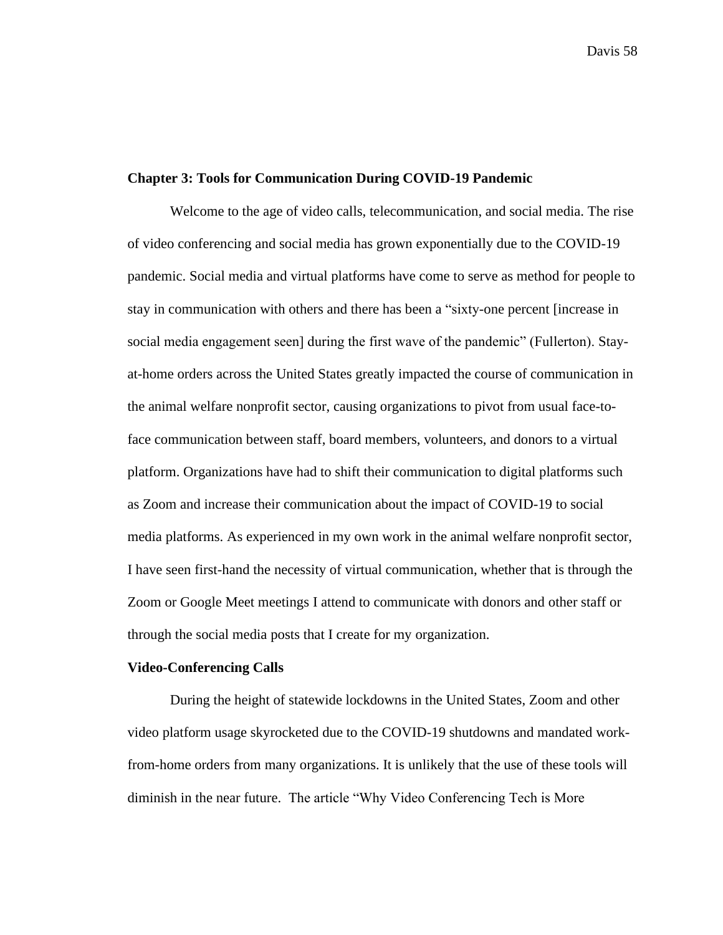# **Chapter 3: Tools for Communication During COVID-19 Pandemic**

Welcome to the age of video calls, telecommunication, and social media. The rise of video conferencing and social media has grown exponentially due to the COVID-19 pandemic. Social media and virtual platforms have come to serve as method for people to stay in communication with others and there has been a "sixty-one percent [increase in social media engagement seen] during the first wave of the pandemic" (Fullerton). Stayat-home orders across the United States greatly impacted the course of communication in the animal welfare nonprofit sector, causing organizations to pivot from usual face-toface communication between staff, board members, volunteers, and donors to a virtual platform. Organizations have had to shift their communication to digital platforms such as Zoom and increase their communication about the impact of COVID-19 to social media platforms. As experienced in my own work in the animal welfare nonprofit sector, I have seen first-hand the necessity of virtual communication, whether that is through the Zoom or Google Meet meetings I attend to communicate with donors and other staff or through the social media posts that I create for my organization.

### **Video-Conferencing Calls**

During the height of statewide lockdowns in the United States, Zoom and other video platform usage skyrocketed due to the COVID-19 shutdowns and mandated workfrom-home orders from many organizations. It is unlikely that the use of these tools will diminish in the near future. The article "Why Video Conferencing Tech is More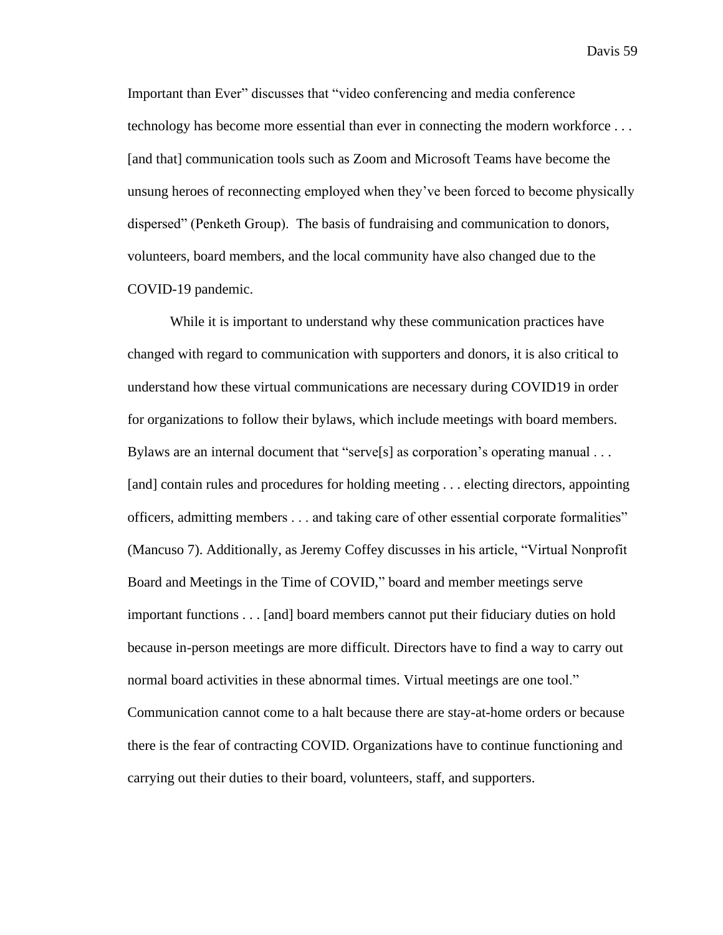Important than Ever" discusses that "video conferencing and media conference technology has become more essential than ever in connecting the modern workforce . . . [and that] communication tools such as Zoom and Microsoft Teams have become the unsung heroes of reconnecting employed when they've been forced to become physically dispersed" (Penketh Group). The basis of fundraising and communication to donors, volunteers, board members, and the local community have also changed due to the COVID-19 pandemic.

While it is important to understand why these communication practices have changed with regard to communication with supporters and donors, it is also critical to understand how these virtual communications are necessary during COVID19 in order for organizations to follow their bylaws, which include meetings with board members. Bylaws are an internal document that "serve[s] as corporation's operating manual . . . [and] contain rules and procedures for holding meeting . . . electing directors, appointing officers, admitting members . . . and taking care of other essential corporate formalities" (Mancuso 7). Additionally, as Jeremy Coffey discusses in his article, "Virtual Nonprofit Board and Meetings in the Time of COVID," board and member meetings serve important functions . . . [and] board members cannot put their fiduciary duties on hold because in-person meetings are more difficult. Directors have to find a way to carry out normal board activities in these abnormal times. Virtual meetings are one tool." Communication cannot come to a halt because there are stay-at-home orders or because there is the fear of contracting COVID. Organizations have to continue functioning and carrying out their duties to their board, volunteers, staff, and supporters.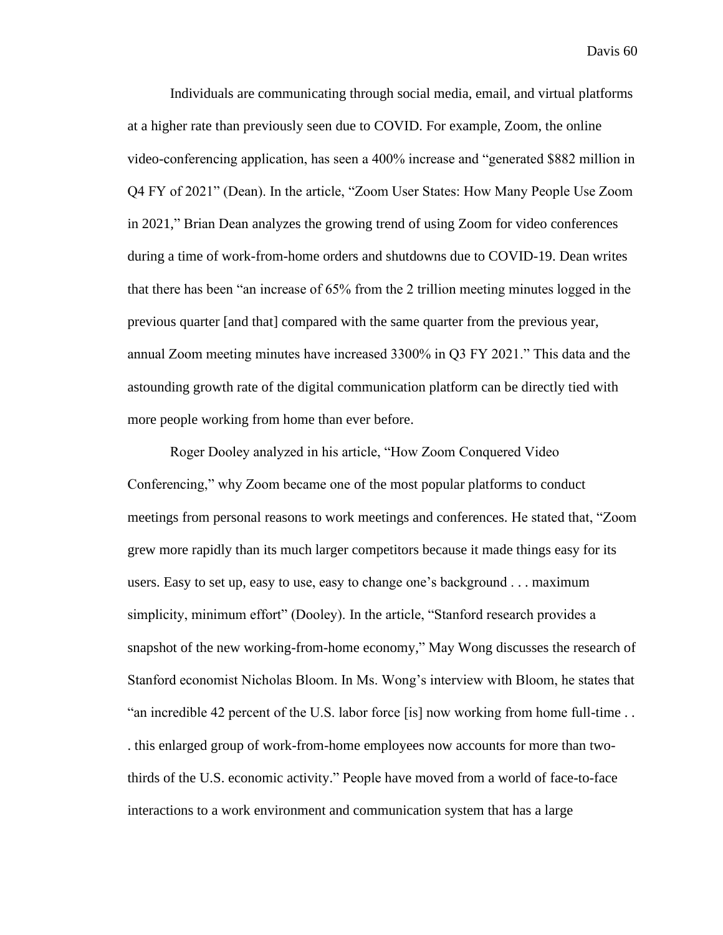Individuals are communicating through social media, email, and virtual platforms at a higher rate than previously seen due to COVID. For example, Zoom, the online video-conferencing application, has seen a 400% increase and "generated \$882 million in Q4 FY of 2021" (Dean). In the article, "Zoom User States: How Many People Use Zoom in 2021," Brian Dean analyzes the growing trend of using Zoom for video conferences during a time of work-from-home orders and shutdowns due to COVID-19. Dean writes that there has been "an increase of 65% from the 2 trillion meeting minutes logged in the previous quarter [and that] compared with the same quarter from the previous year, annual Zoom meeting minutes have increased 3300% in Q3 FY 2021." This data and the astounding growth rate of the digital communication platform can be directly tied with more people working from home than ever before.

Roger Dooley analyzed in his article, "How Zoom Conquered Video Conferencing," why Zoom became one of the most popular platforms to conduct meetings from personal reasons to work meetings and conferences. He stated that, "Zoom grew more rapidly than its much larger competitors because it made things easy for its users. Easy to set up, easy to use, easy to change one's background . . . maximum simplicity, minimum effort" (Dooley). In the article, "Stanford research provides a snapshot of the new working-from-home economy," May Wong discusses the research of Stanford economist Nicholas Bloom. In Ms. Wong's interview with Bloom, he states that "an incredible 42 percent of the U.S. labor force [is] now working from home full-time . . . this enlarged group of work-from-home employees now accounts for more than twothirds of the U.S. economic activity." People have moved from a world of face-to-face interactions to a work environment and communication system that has a large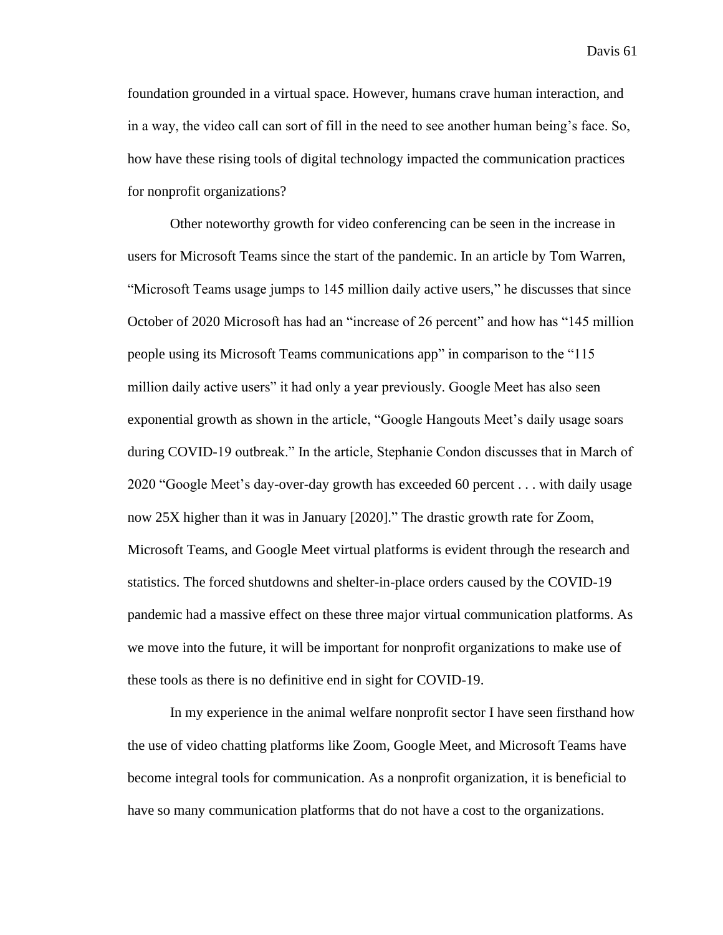foundation grounded in a virtual space. However, humans crave human interaction, and in a way, the video call can sort of fill in the need to see another human being's face. So, how have these rising tools of digital technology impacted the communication practices for nonprofit organizations?

Other noteworthy growth for video conferencing can be seen in the increase in users for Microsoft Teams since the start of the pandemic. In an article by Tom Warren, "Microsoft Teams usage jumps to 145 million daily active users," he discusses that since October of 2020 Microsoft has had an "increase of 26 percent" and how has "145 million people using its Microsoft Teams communications app" in comparison to the "115 million daily active users" it had only a year previously. Google Meet has also seen exponential growth as shown in the article, "Google Hangouts Meet's daily usage soars during COVID-19 outbreak." In the article, Stephanie Condon discusses that in March of 2020 "Google Meet's day-over-day growth has exceeded 60 percent . . . with daily usage now 25X higher than it was in January [2020]." The drastic growth rate for Zoom, Microsoft Teams, and Google Meet virtual platforms is evident through the research and statistics. The forced shutdowns and shelter-in-place orders caused by the COVID-19 pandemic had a massive effect on these three major virtual communication platforms. As we move into the future, it will be important for nonprofit organizations to make use of these tools as there is no definitive end in sight for COVID-19.

In my experience in the animal welfare nonprofit sector I have seen firsthand how the use of video chatting platforms like Zoom, Google Meet, and Microsoft Teams have become integral tools for communication. As a nonprofit organization, it is beneficial to have so many communication platforms that do not have a cost to the organizations.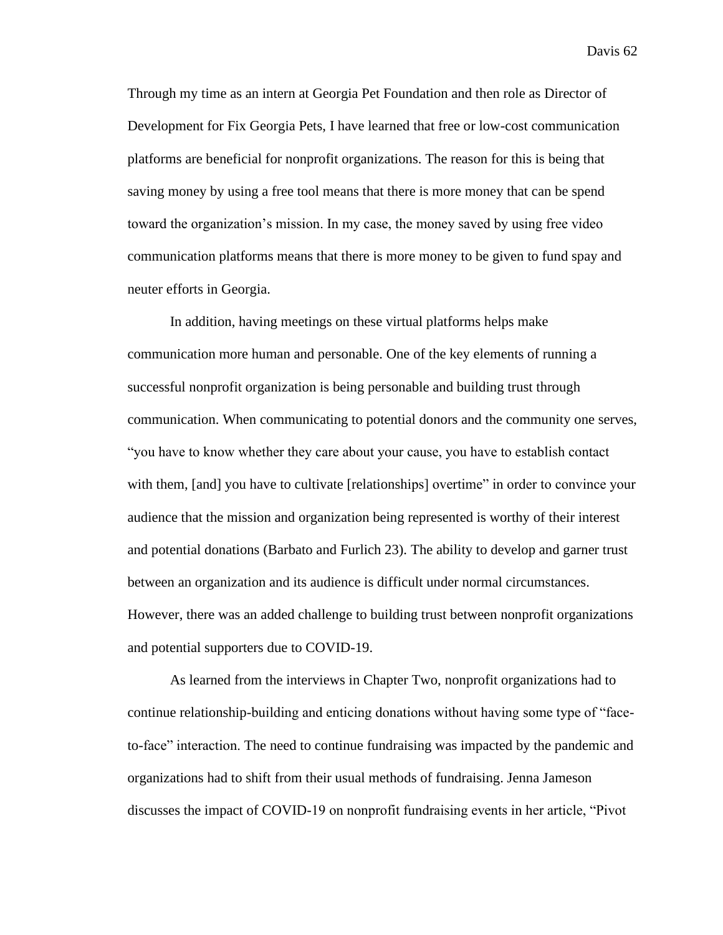Through my time as an intern at Georgia Pet Foundation and then role as Director of Development for Fix Georgia Pets, I have learned that free or low-cost communication platforms are beneficial for nonprofit organizations. The reason for this is being that saving money by using a free tool means that there is more money that can be spend toward the organization's mission. In my case, the money saved by using free video communication platforms means that there is more money to be given to fund spay and neuter efforts in Georgia.

In addition, having meetings on these virtual platforms helps make communication more human and personable. One of the key elements of running a successful nonprofit organization is being personable and building trust through communication. When communicating to potential donors and the community one serves, "you have to know whether they care about your cause, you have to establish contact with them, [and] you have to cultivate [relationships] overtime" in order to convince your audience that the mission and organization being represented is worthy of their interest and potential donations (Barbato and Furlich 23). The ability to develop and garner trust between an organization and its audience is difficult under normal circumstances. However, there was an added challenge to building trust between nonprofit organizations and potential supporters due to COVID-19.

As learned from the interviews in Chapter Two, nonprofit organizations had to continue relationship-building and enticing donations without having some type of "faceto-face" interaction. The need to continue fundraising was impacted by the pandemic and organizations had to shift from their usual methods of fundraising. Jenna Jameson discusses the impact of COVID-19 on nonprofit fundraising events in her article, "Pivot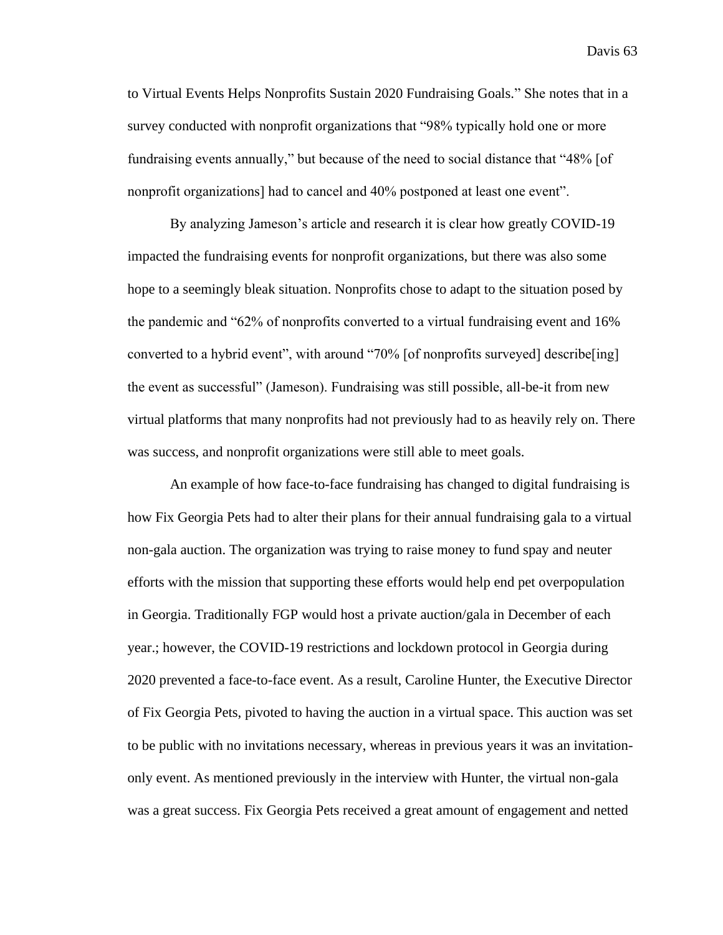to Virtual Events Helps Nonprofits Sustain 2020 Fundraising Goals." She notes that in a survey conducted with nonprofit organizations that "98% typically hold one or more fundraising events annually," but because of the need to social distance that "48% [of nonprofit organizations] had to cancel and 40% postponed at least one event".

By analyzing Jameson's article and research it is clear how greatly COVID-19 impacted the fundraising events for nonprofit organizations, but there was also some hope to a seemingly bleak situation. Nonprofits chose to adapt to the situation posed by the pandemic and "62% of nonprofits converted to a virtual fundraising event and 16% converted to a hybrid event", with around "70% [of nonprofits surveyed] describe[ing] the event as successful" (Jameson). Fundraising was still possible, all-be-it from new virtual platforms that many nonprofits had not previously had to as heavily rely on. There was success, and nonprofit organizations were still able to meet goals.

An example of how face-to-face fundraising has changed to digital fundraising is how Fix Georgia Pets had to alter their plans for their annual fundraising gala to a virtual non-gala auction. The organization was trying to raise money to fund spay and neuter efforts with the mission that supporting these efforts would help end pet overpopulation in Georgia. Traditionally FGP would host a private auction/gala in December of each year.; however, the COVID-19 restrictions and lockdown protocol in Georgia during 2020 prevented a face-to-face event. As a result, Caroline Hunter, the Executive Director of Fix Georgia Pets, pivoted to having the auction in a virtual space. This auction was set to be public with no invitations necessary, whereas in previous years it was an invitationonly event. As mentioned previously in the interview with Hunter, the virtual non-gala was a great success. Fix Georgia Pets received a great amount of engagement and netted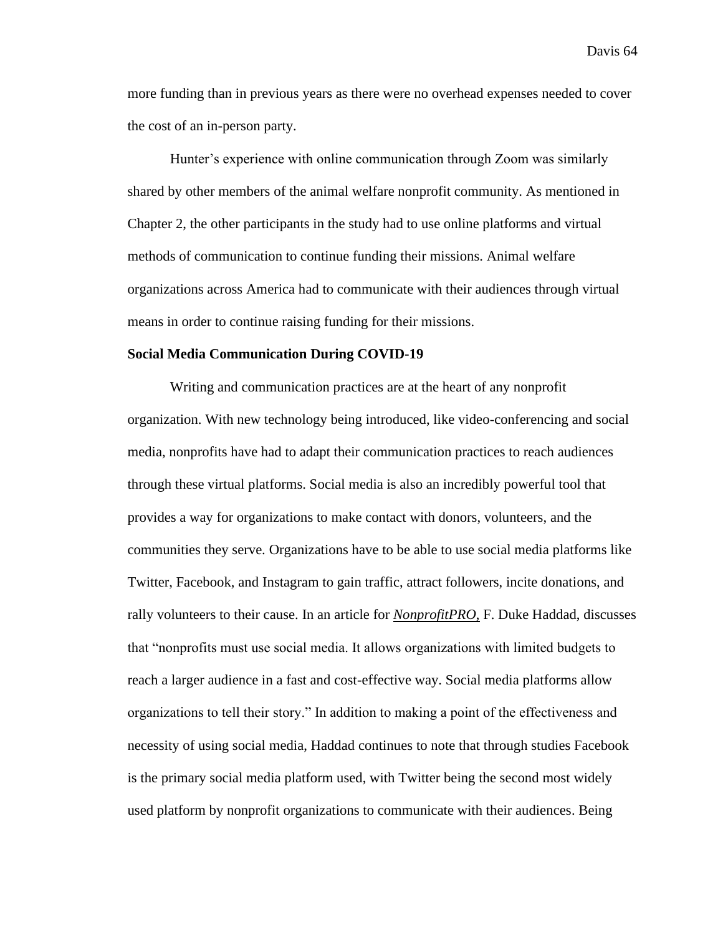more funding than in previous years as there were no overhead expenses needed to cover the cost of an in-person party.

Hunter's experience with online communication through Zoom was similarly shared by other members of the animal welfare nonprofit community. As mentioned in Chapter 2, the other participants in the study had to use online platforms and virtual methods of communication to continue funding their missions. Animal welfare organizations across America had to communicate with their audiences through virtual means in order to continue raising funding for their missions.

### **Social Media Communication During COVID-19**

Writing and communication practices are at the heart of any nonprofit organization. With new technology being introduced, like video-conferencing and social media, nonprofits have had to adapt their communication practices to reach audiences through these virtual platforms. Social media is also an incredibly powerful tool that provides a way for organizations to make contact with donors, volunteers, and the communities they serve. Organizations have to be able to use social media platforms like Twitter, Facebook, and Instagram to gain traffic, attract followers, incite donations, and rally volunteers to their cause. In an article for *NonprofitPRO*, F. Duke Haddad, discusses that "nonprofits must use social media. It allows organizations with limited budgets to reach a larger audience in a fast and cost-effective way. Social media platforms allow organizations to tell their story." In addition to making a point of the effectiveness and necessity of using social media, Haddad continues to note that through studies Facebook is the primary social media platform used, with Twitter being the second most widely used platform by nonprofit organizations to communicate with their audiences. Being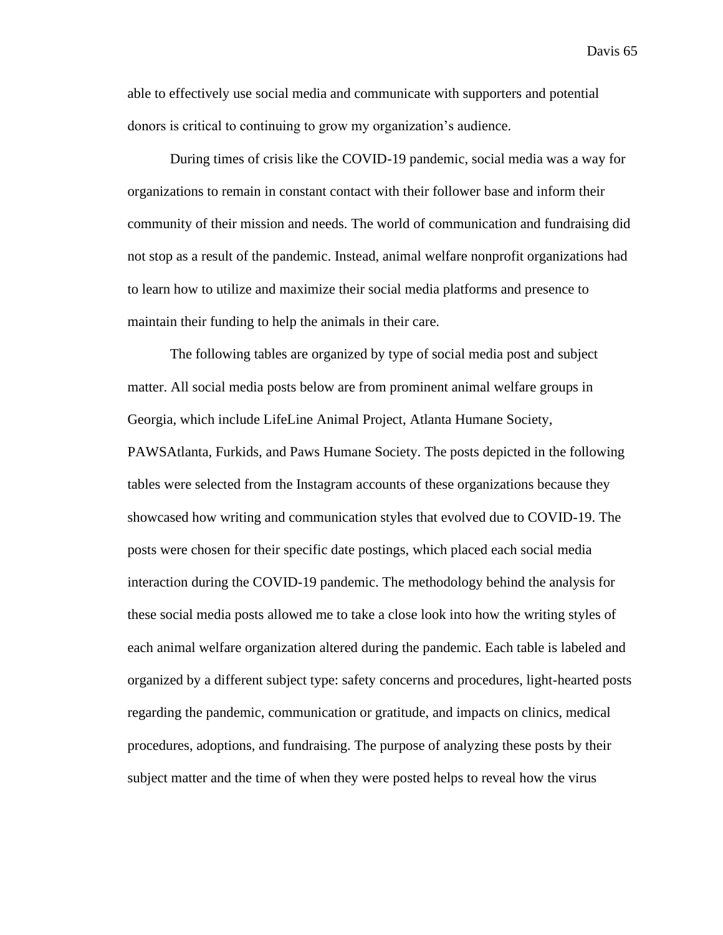able to effectively use social media and communicate with supporters and potential donors is critical to continuing to grow my organization's audience.

During times of crisis like the COVID-19 pandemic, social media was a way for organizations to remain in constant contact with their follower base and inform their community of their mission and needs. The world of communication and fundraising did not stop as a result of the pandemic. Instead, animal welfare nonprofit organizations had to learn how to utilize and maximize their social media platforms and presence to maintain their funding to help the animals in their care.

The following tables are organized by type of social media post and subject matter. All social media posts below are from prominent animal welfare groups in Georgia, which include LifeLine Animal Project, Atlanta Humane Society, PAWSAtlanta, Furkids, and Paws Humane Society. The posts depicted in the following tables were selected from the Instagram accounts of these organizations because they showcased how writing and communication styles that evolved due to COVID-19. The posts were chosen for their specific date postings, which placed each social media interaction during the COVID-19 pandemic. The methodology behind the analysis for these social media posts allowed me to take a close look into how the writing styles of each animal welfare organization altered during the pandemic. Each table is labeled and organized by a different subject type: safety concerns and procedures, light-hearted posts regarding the pandemic, communication or gratitude, and impacts on clinics, medical procedures, adoptions, and fundraising. The purpose of analyzing these posts by their subject matter and the time of when they were posted helps to reveal how the virus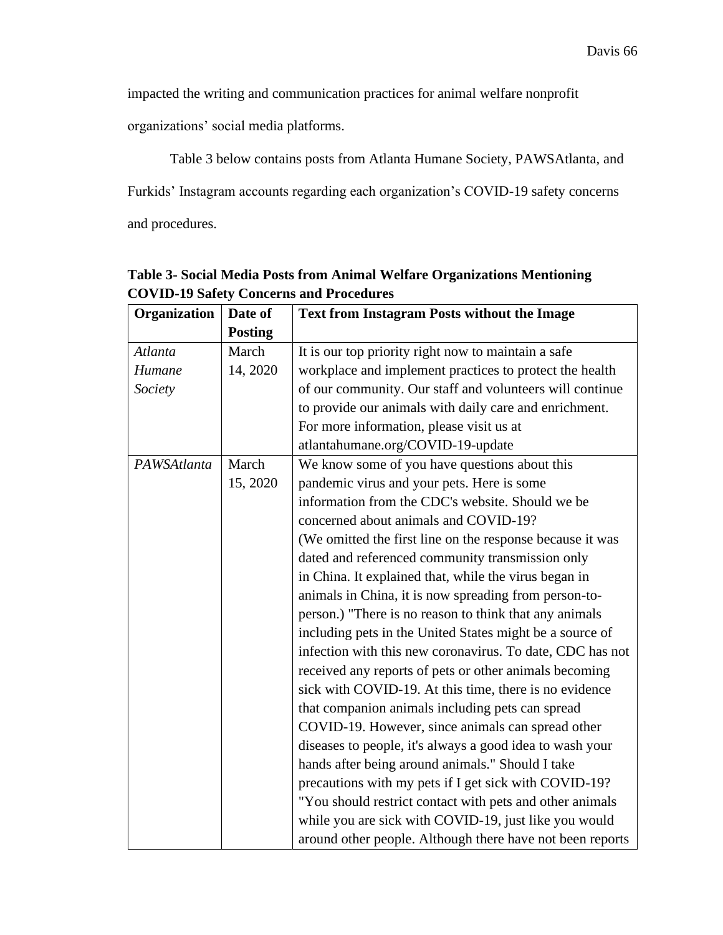impacted the writing and communication practices for animal welfare nonprofit

organizations' social media platforms.

Table 3 below contains posts from Atlanta Humane Society, PAWSAtlanta, and Furkids' Instagram accounts regarding each organization's COVID-19 safety concerns and procedures.

| Organization | Date of        | <b>Text from Instagram Posts without the Image</b>        |  |
|--------------|----------------|-----------------------------------------------------------|--|
|              | <b>Posting</b> |                                                           |  |
| Atlanta      | March          | It is our top priority right now to maintain a safe       |  |
| Humane       | 14, 2020       | workplace and implement practices to protect the health   |  |
| Society      |                | of our community. Our staff and volunteers will continue  |  |
|              |                | to provide our animals with daily care and enrichment.    |  |
|              |                | For more information, please visit us at                  |  |
|              |                | atlantahumane.org/COVID-19-update                         |  |
| PAWSAtlanta  | March          | We know some of you have questions about this             |  |
|              | 15, 2020       | pandemic virus and your pets. Here is some                |  |
|              |                | information from the CDC's website. Should we be          |  |
|              |                | concerned about animals and COVID-19?                     |  |
|              |                | (We omitted the first line on the response because it was |  |
|              |                | dated and referenced community transmission only          |  |
|              |                | in China. It explained that, while the virus began in     |  |
|              |                | animals in China, it is now spreading from person-to-     |  |
|              |                | person.) "There is no reason to think that any animals    |  |
|              |                | including pets in the United States might be a source of  |  |
|              |                | infection with this new coronavirus. To date, CDC has not |  |
|              |                | received any reports of pets or other animals becoming    |  |
|              |                | sick with COVID-19. At this time, there is no evidence    |  |
|              |                | that companion animals including pets can spread          |  |
|              |                | COVID-19. However, since animals can spread other         |  |
|              |                | diseases to people, it's always a good idea to wash your  |  |
|              |                | hands after being around animals." Should I take          |  |
|              |                | precautions with my pets if I get sick with COVID-19?     |  |
|              |                | "You should restrict contact with pets and other animals  |  |
|              |                | while you are sick with COVID-19, just like you would     |  |
|              |                | around other people. Although there have not been reports |  |

**Table 3- Social Media Posts from Animal Welfare Organizations Mentioning COVID-19 Safety Concerns and Procedures**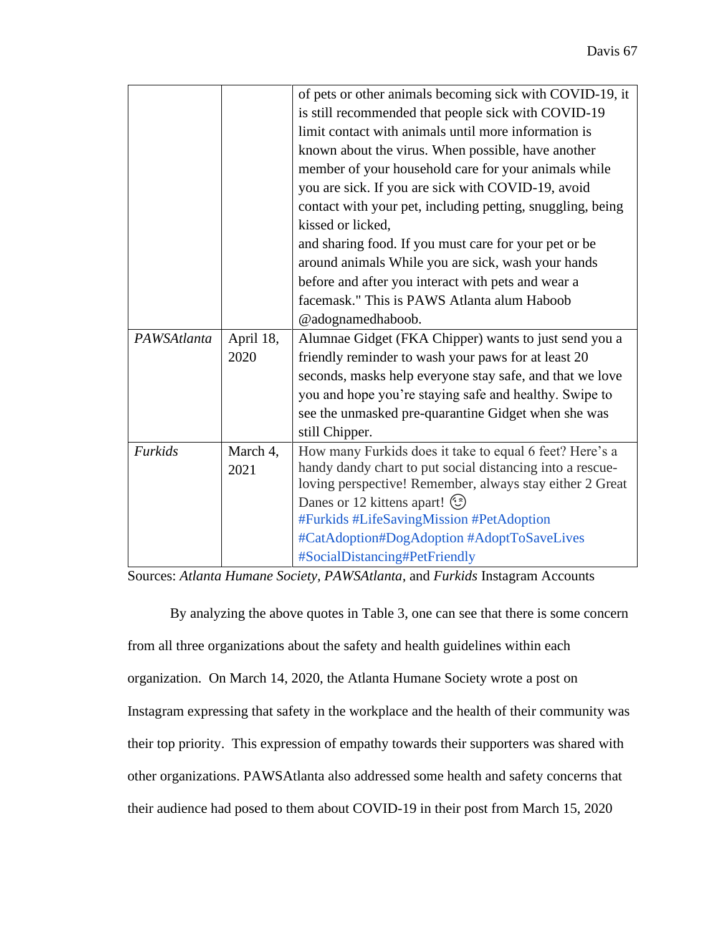|             |           | of pets or other animals becoming sick with COVID-19, it   |  |
|-------------|-----------|------------------------------------------------------------|--|
|             |           | is still recommended that people sick with COVID-19        |  |
|             |           | limit contact with animals until more information is       |  |
|             |           | known about the virus. When possible, have another         |  |
|             |           | member of your household care for your animals while       |  |
|             |           | you are sick. If you are sick with COVID-19, avoid         |  |
|             |           | contact with your pet, including petting, snuggling, being |  |
|             |           | kissed or licked.                                          |  |
|             |           | and sharing food. If you must care for your pet or be      |  |
|             |           | around animals While you are sick, wash your hands         |  |
|             |           | before and after you interact with pets and wear a         |  |
|             |           | facemask." This is PAWS Atlanta alum Haboob                |  |
|             |           | @adognamedhaboob.                                          |  |
| PAWSAtlanta | April 18, | Alumnae Gidget (FKA Chipper) wants to just send you a      |  |
|             | 2020      | friendly reminder to wash your paws for at least 20        |  |
|             |           | seconds, masks help everyone stay safe, and that we love   |  |
|             |           | you and hope you're staying safe and healthy. Swipe to     |  |
|             |           | see the unmasked pre-quarantine Gidget when she was        |  |
|             |           | still Chipper.                                             |  |
| Furkids     | March 4,  | How many Furkids does it take to equal 6 feet? Here's a    |  |
|             | 2021      | handy dandy chart to put social distancing into a rescue-  |  |
|             |           | loving perspective! Remember, always stay either 2 Great   |  |
|             |           | Danes or 12 kittens apart! (3)                             |  |
|             |           | #Furkids #LifeSavingMission #PetAdoption                   |  |
|             |           | #CatAdoption#DogAdoption #AdoptToSaveLives                 |  |
|             |           | #SocialDistancing#PetFriendly                              |  |

Sources: *Atlanta Humane Society, PAWSAtlanta*, and *Furkids* Instagram Accounts

By analyzing the above quotes in Table 3, one can see that there is some concern from all three organizations about the safety and health guidelines within each organization. On March 14, 2020, the Atlanta Humane Society wrote a post on Instagram expressing that safety in the workplace and the health of their community was their top priority. This expression of empathy towards their supporters was shared with other organizations. PAWSAtlanta also addressed some health and safety concerns that their audience had posed to them about COVID-19 in their post from March 15, 2020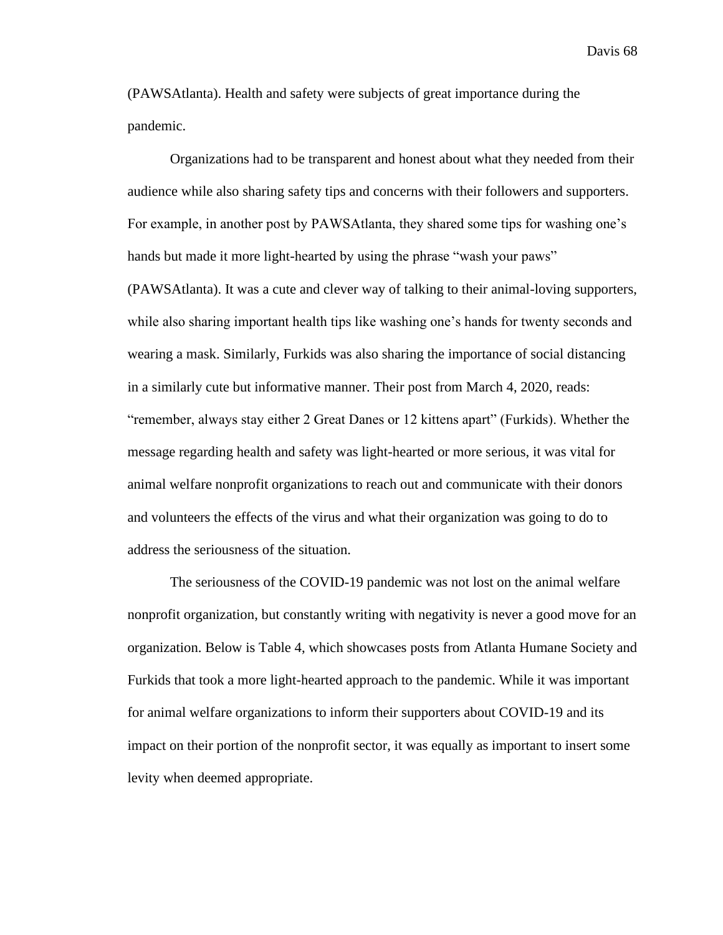(PAWSAtlanta). Health and safety were subjects of great importance during the pandemic.

Organizations had to be transparent and honest about what they needed from their audience while also sharing safety tips and concerns with their followers and supporters. For example, in another post by PAWSAtlanta, they shared some tips for washing one's hands but made it more light-hearted by using the phrase "wash your paws" (PAWSAtlanta). It was a cute and clever way of talking to their animal-loving supporters, while also sharing important health tips like washing one's hands for twenty seconds and wearing a mask. Similarly, Furkids was also sharing the importance of social distancing in a similarly cute but informative manner. Their post from March 4, 2020, reads: "remember, always stay either 2 Great Danes or 12 kittens apart" (Furkids). Whether the message regarding health and safety was light-hearted or more serious, it was vital for animal welfare nonprofit organizations to reach out and communicate with their donors and volunteers the effects of the virus and what their organization was going to do to address the seriousness of the situation.

The seriousness of the COVID-19 pandemic was not lost on the animal welfare nonprofit organization, but constantly writing with negativity is never a good move for an organization. Below is Table 4, which showcases posts from Atlanta Humane Society and Furkids that took a more light-hearted approach to the pandemic. While it was important for animal welfare organizations to inform their supporters about COVID-19 and its impact on their portion of the nonprofit sector, it was equally as important to insert some levity when deemed appropriate.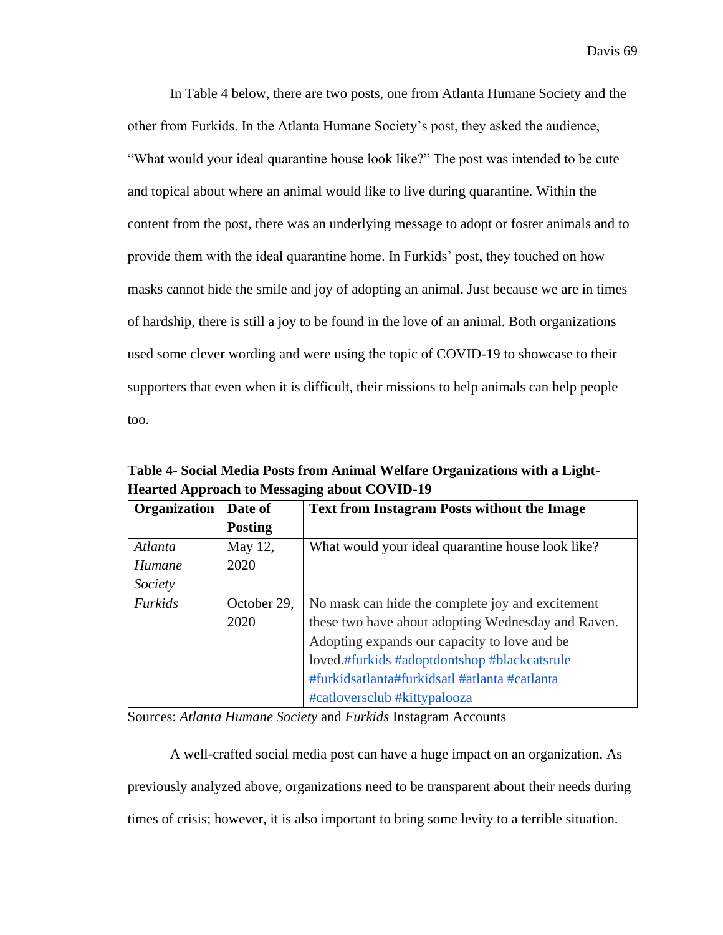In Table 4 below, there are two posts, one from Atlanta Humane Society and the other from Furkids. In the Atlanta Humane Society's post, they asked the audience, "What would your ideal quarantine house look like?" The post was intended to be cute and topical about where an animal would like to live during quarantine. Within the content from the post, there was an underlying message to adopt or foster animals and to provide them with the ideal quarantine home. In Furkids' post, they touched on how masks cannot hide the smile and joy of adopting an animal. Just because we are in times of hardship, there is still a joy to be found in the love of an animal. Both organizations used some clever wording and were using the topic of COVID-19 to showcase to their supporters that even when it is difficult, their missions to help animals can help people too.

**Table 4- Social Media Posts from Animal Welfare Organizations with a Light-Hearted Approach to Messaging about COVID-19**

| <b>Organization</b> | Date of        | <b>Text from Instagram Posts without the Image</b> |
|---------------------|----------------|----------------------------------------------------|
|                     | <b>Posting</b> |                                                    |
| Atlanta             | May 12,        | What would your ideal quarantine house look like?  |
| Humane              | 2020           |                                                    |
| Society             |                |                                                    |
| Furkids             | October 29,    | No mask can hide the complete joy and excitement   |
|                     | 2020           | these two have about adopting Wednesday and Raven. |
|                     |                | Adopting expands our capacity to love and be.      |
|                     |                | loved.#furkids #adoptdontshop #blackcatsrule       |
|                     |                | #furkidsatlanta#furkidsatl #atlanta #catlanta      |
|                     |                | #catloversclub #kittypalooza                       |

Sources: *Atlanta Humane Society* and *Furkids* Instagram Accounts

A well-crafted social media post can have a huge impact on an organization. As previously analyzed above, organizations need to be transparent about their needs during times of crisis; however, it is also important to bring some levity to a terrible situation.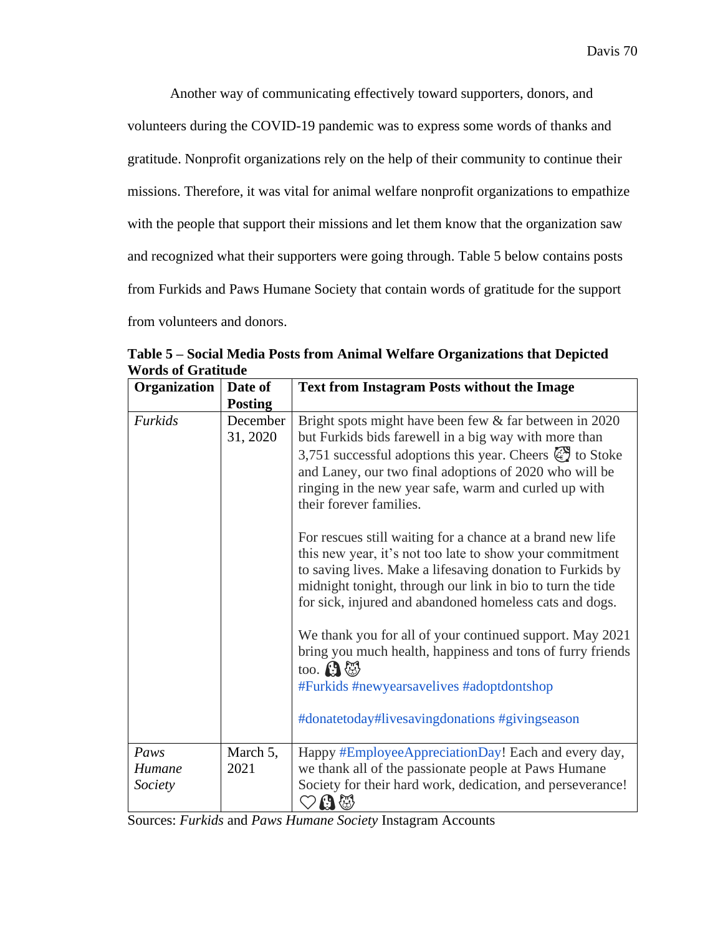Another way of communicating effectively toward supporters, donors, and volunteers during the COVID-19 pandemic was to express some words of thanks and gratitude. Nonprofit organizations rely on the help of their community to continue their missions. Therefore, it was vital for animal welfare nonprofit organizations to empathize with the people that support their missions and let them know that the organization saw and recognized what their supporters were going through. Table 5 below contains posts from Furkids and Paws Humane Society that contain words of gratitude for the support from volunteers and donors.

| Organization              | Date of              | <b>Text from Instagram Posts without the Image</b>                                                                                                                                                                                                                                                                                  |
|---------------------------|----------------------|-------------------------------------------------------------------------------------------------------------------------------------------------------------------------------------------------------------------------------------------------------------------------------------------------------------------------------------|
|                           | <b>Posting</b>       |                                                                                                                                                                                                                                                                                                                                     |
| Furkids                   | December<br>31, 2020 | Bright spots might have been few & far between in 2020<br>but Furkids bids farewell in a big way with more than<br>3,751 successful adoptions this year. Cheers $\mathbb{Q}$ to Stoke<br>and Laney, our two final adoptions of 2020 who will be<br>ringing in the new year safe, warm and curled up with<br>their forever families. |
|                           |                      | For rescues still waiting for a chance at a brand new life<br>this new year, it's not too late to show your commitment<br>to saving lives. Make a lifesaving donation to Furkids by<br>midnight tonight, through our link in bio to turn the tide<br>for sick, injured and abandoned homeless cats and dogs.                        |
|                           |                      | We thank you for all of your continued support. May 2021<br>bring you much health, happiness and tons of furry friends<br>too. $\mathbf{\Omega}$<br>#Furkids #newyearsavelives #adoptdontshop<br>#donatetoday#livesavingdonations #givingseason                                                                                     |
| Paws<br>Humane<br>Society | March 5,<br>2021     | Happy #EmployeeAppreciationDay! Each and every day,<br>we thank all of the passionate people at Paws Humane<br>Society for their hard work, dedication, and perseverance!<br>$\mathfrak{g}$ $\mathbb{Q}$                                                                                                                            |

**Table 5 – Social Media Posts from Animal Welfare Organizations that Depicted Words of Gratitude** 

Sources: *Furkids* and *Paws Humane Society* Instagram Accounts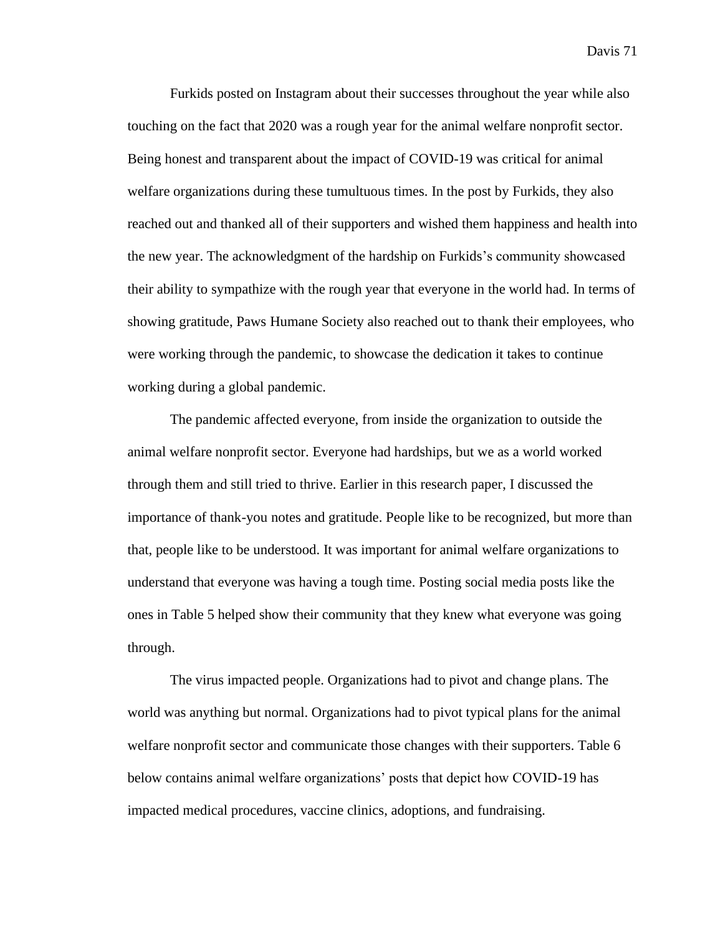Furkids posted on Instagram about their successes throughout the year while also touching on the fact that 2020 was a rough year for the animal welfare nonprofit sector. Being honest and transparent about the impact of COVID-19 was critical for animal welfare organizations during these tumultuous times. In the post by Furkids, they also reached out and thanked all of their supporters and wished them happiness and health into the new year. The acknowledgment of the hardship on Furkids's community showcased their ability to sympathize with the rough year that everyone in the world had. In terms of showing gratitude, Paws Humane Society also reached out to thank their employees, who were working through the pandemic, to showcase the dedication it takes to continue working during a global pandemic.

The pandemic affected everyone, from inside the organization to outside the animal welfare nonprofit sector. Everyone had hardships, but we as a world worked through them and still tried to thrive. Earlier in this research paper, I discussed the importance of thank-you notes and gratitude. People like to be recognized, but more than that, people like to be understood. It was important for animal welfare organizations to understand that everyone was having a tough time. Posting social media posts like the ones in Table 5 helped show their community that they knew what everyone was going through.

The virus impacted people. Organizations had to pivot and change plans. The world was anything but normal. Organizations had to pivot typical plans for the animal welfare nonprofit sector and communicate those changes with their supporters. Table 6 below contains animal welfare organizations' posts that depict how COVID-19 has impacted medical procedures, vaccine clinics, adoptions, and fundraising.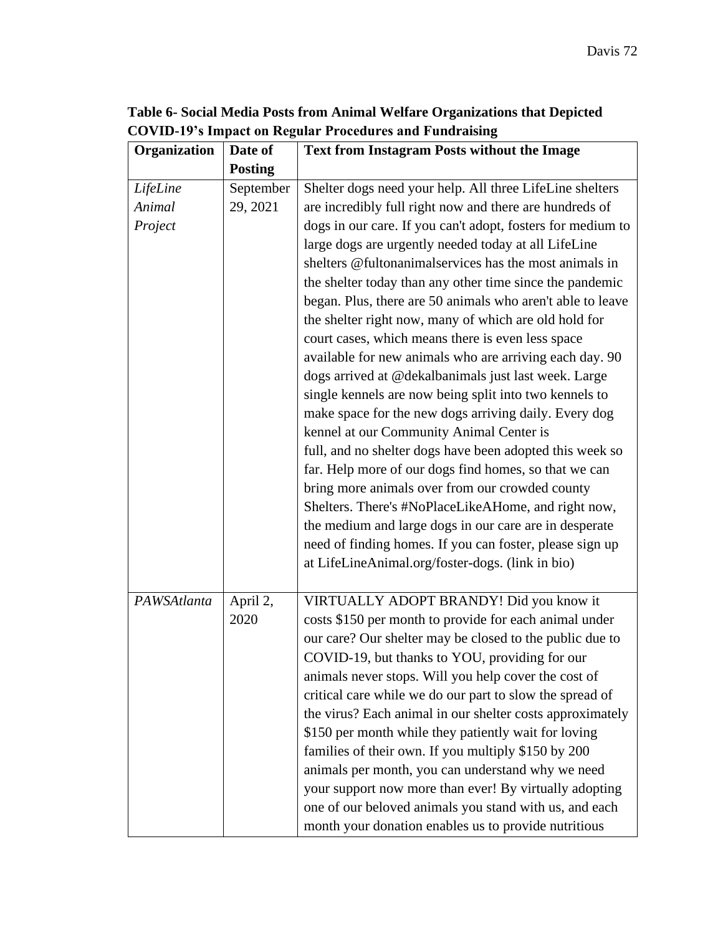| Table 6- Social Media Posts from Animal Welfare Organizations that Depicted |
|-----------------------------------------------------------------------------|
| <b>COVID-19's Impact on Regular Procedures and Fundraising</b>              |

| Organization                  | Date of               | <b>Text from Instagram Posts without the Image</b>                                                                                                                                                                                                                                                                                                                                                                                                                                                                                                                                                                                                                                                                                               |
|-------------------------------|-----------------------|--------------------------------------------------------------------------------------------------------------------------------------------------------------------------------------------------------------------------------------------------------------------------------------------------------------------------------------------------------------------------------------------------------------------------------------------------------------------------------------------------------------------------------------------------------------------------------------------------------------------------------------------------------------------------------------------------------------------------------------------------|
|                               | <b>Posting</b>        |                                                                                                                                                                                                                                                                                                                                                                                                                                                                                                                                                                                                                                                                                                                                                  |
| LifeLine<br>Animal<br>Project | September<br>29, 2021 | Shelter dogs need your help. All three LifeLine shelters<br>are incredibly full right now and there are hundreds of<br>dogs in our care. If you can't adopt, fosters for medium to<br>large dogs are urgently needed today at all LifeLine<br>shelters @fultonanimalservices has the most animals in<br>the shelter today than any other time since the pandemic<br>began. Plus, there are 50 animals who aren't able to leave<br>the shelter right now, many of which are old hold for<br>court cases, which means there is even less space<br>available for new animals who are arriving each day. 90<br>dogs arrived at @dekalbanimals just last week. Large                                                                                  |
|                               |                       | single kennels are now being split into two kennels to<br>make space for the new dogs arriving daily. Every dog<br>kennel at our Community Animal Center is<br>full, and no shelter dogs have been adopted this week so<br>far. Help more of our dogs find homes, so that we can<br>bring more animals over from our crowded county<br>Shelters. There's #NoPlaceLikeAHome, and right now,<br>the medium and large dogs in our care are in desperate<br>need of finding homes. If you can foster, please sign up<br>at LifeLineAnimal.org/foster-dogs. (link in bio)                                                                                                                                                                             |
| PAWSAtlanta                   | April 2,<br>2020      | VIRTUALLY ADOPT BRANDY! Did you know it<br>costs \$150 per month to provide for each animal under<br>our care? Our shelter may be closed to the public due to<br>COVID-19, but thanks to YOU, providing for our<br>animals never stops. Will you help cover the cost of<br>critical care while we do our part to slow the spread of<br>the virus? Each animal in our shelter costs approximately<br>\$150 per month while they patiently wait for loving<br>families of their own. If you multiply \$150 by 200<br>animals per month, you can understand why we need<br>your support now more than ever! By virtually adopting<br>one of our beloved animals you stand with us, and each<br>month your donation enables us to provide nutritious |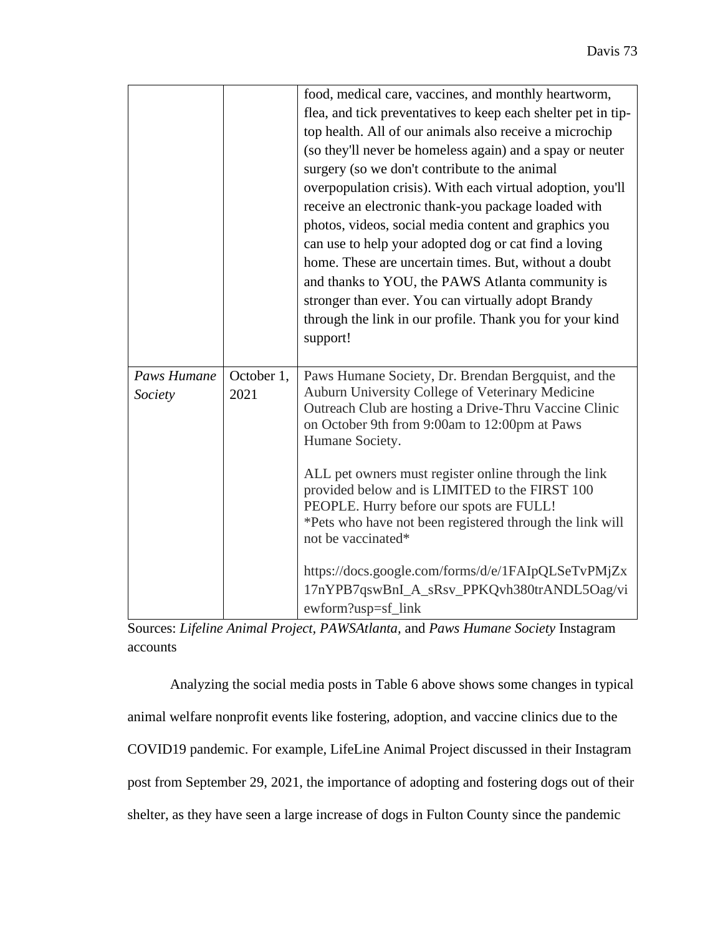|             |            | food, medical care, vaccines, and monthly heartworm,                                                   |
|-------------|------------|--------------------------------------------------------------------------------------------------------|
|             |            | flea, and tick preventatives to keep each shelter pet in tip-                                          |
|             |            | top health. All of our animals also receive a microchip                                                |
|             |            | (so they'll never be homeless again) and a spay or neuter                                              |
|             |            | surgery (so we don't contribute to the animal                                                          |
|             |            | overpopulation crisis). With each virtual adoption, you'll                                             |
|             |            | receive an electronic thank-you package loaded with                                                    |
|             |            | photos, videos, social media content and graphics you                                                  |
|             |            | can use to help your adopted dog or cat find a loving                                                  |
|             |            | home. These are uncertain times. But, without a doubt                                                  |
|             |            | and thanks to YOU, the PAWS Atlanta community is                                                       |
|             |            | stronger than ever. You can virtually adopt Brandy                                                     |
|             |            | through the link in our profile. Thank you for your kind                                               |
|             |            | support!                                                                                               |
|             |            |                                                                                                        |
| Paws Humane | October 1, | Paws Humane Society, Dr. Brendan Bergquist, and the                                                    |
| Society     | 2021       | Auburn University College of Veterinary Medicine                                                       |
|             |            | Outreach Club are hosting a Drive-Thru Vaccine Clinic<br>on October 9th from 9:00am to 12:00pm at Paws |
|             |            | Humane Society.                                                                                        |
|             |            |                                                                                                        |
|             |            | ALL pet owners must register online through the link                                                   |
|             |            | provided below and is LIMITED to the FIRST 100                                                         |
|             |            |                                                                                                        |
|             |            | PEOPLE. Hurry before our spots are FULL!                                                               |
|             |            | *Pets who have not been registered through the link will                                               |
|             |            | not be vaccinated*                                                                                     |
|             |            | https://docs.google.com/forms/d/e/1FAIpQLSeTvPMjZx                                                     |
|             |            | 17nYPB7qswBnI_A_sRsv_PPKQvh380trANDL5Oag/vi                                                            |

Sources: *Lifeline Animal Project, PAWSAtlanta,* and *Paws Humane Society* Instagram accounts

Analyzing the social media posts in Table 6 above shows some changes in typical animal welfare nonprofit events like fostering, adoption, and vaccine clinics due to the COVID19 pandemic. For example, LifeLine Animal Project discussed in their Instagram post from September 29, 2021, the importance of adopting and fostering dogs out of their shelter, as they have seen a large increase of dogs in Fulton County since the pandemic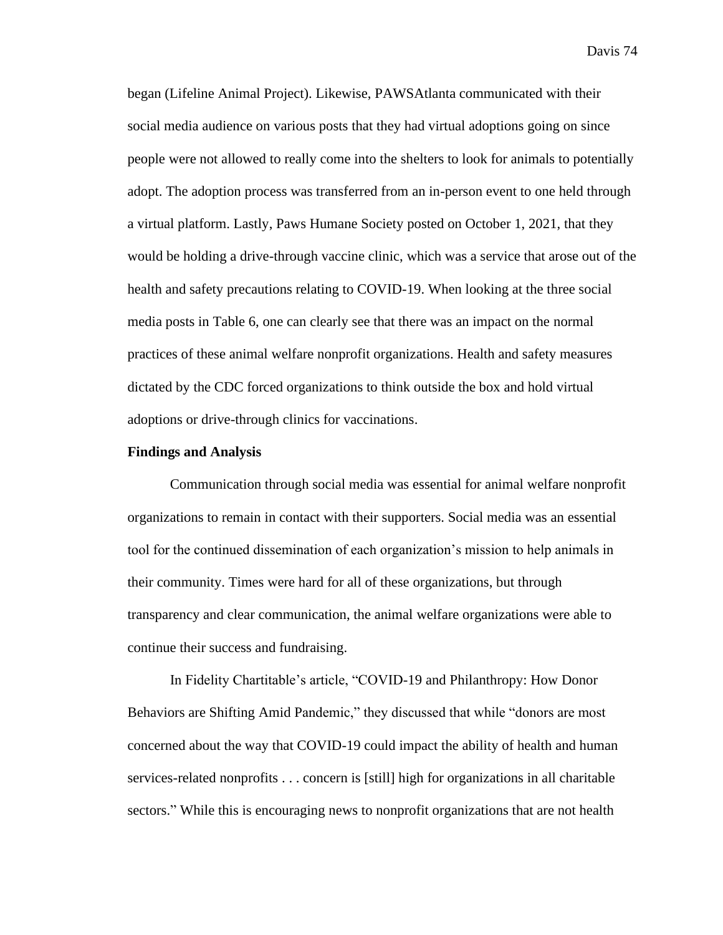began (Lifeline Animal Project). Likewise, PAWSAtlanta communicated with their social media audience on various posts that they had virtual adoptions going on since people were not allowed to really come into the shelters to look for animals to potentially adopt. The adoption process was transferred from an in-person event to one held through a virtual platform. Lastly, Paws Humane Society posted on October 1, 2021, that they would be holding a drive-through vaccine clinic, which was a service that arose out of the health and safety precautions relating to COVID-19. When looking at the three social media posts in Table 6, one can clearly see that there was an impact on the normal practices of these animal welfare nonprofit organizations. Health and safety measures dictated by the CDC forced organizations to think outside the box and hold virtual adoptions or drive-through clinics for vaccinations.

#### **Findings and Analysis**

Communication through social media was essential for animal welfare nonprofit organizations to remain in contact with their supporters. Social media was an essential tool for the continued dissemination of each organization's mission to help animals in their community. Times were hard for all of these organizations, but through transparency and clear communication, the animal welfare organizations were able to continue their success and fundraising.

In Fidelity Chartitable's article, "COVID-19 and Philanthropy: How Donor Behaviors are Shifting Amid Pandemic," they discussed that while "donors are most concerned about the way that COVID-19 could impact the ability of health and human services-related nonprofits . . . concern is [still] high for organizations in all charitable sectors." While this is encouraging news to nonprofit organizations that are not health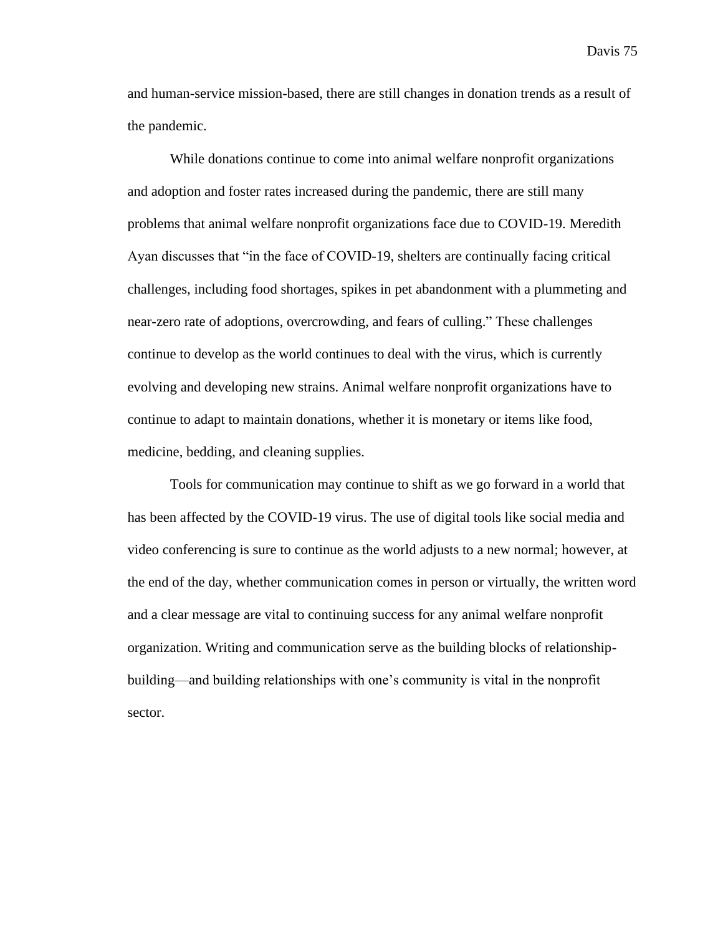and human-service mission-based, there are still changes in donation trends as a result of the pandemic.

While donations continue to come into animal welfare nonprofit organizations and adoption and foster rates increased during the pandemic, there are still many problems that animal welfare nonprofit organizations face due to COVID-19. Meredith Ayan discusses that "in the face of COVID-19, shelters are continually facing critical challenges, including food shortages, spikes in pet abandonment with a plummeting and near-zero rate of adoptions, overcrowding, and fears of culling." These challenges continue to develop as the world continues to deal with the virus, which is currently evolving and developing new strains. Animal welfare nonprofit organizations have to continue to adapt to maintain donations, whether it is monetary or items like food, medicine, bedding, and cleaning supplies.

Tools for communication may continue to shift as we go forward in a world that has been affected by the COVID-19 virus. The use of digital tools like social media and video conferencing is sure to continue as the world adjusts to a new normal; however, at the end of the day, whether communication comes in person or virtually, the written word and a clear message are vital to continuing success for any animal welfare nonprofit organization. Writing and communication serve as the building blocks of relationshipbuilding—and building relationships with one's community is vital in the nonprofit sector.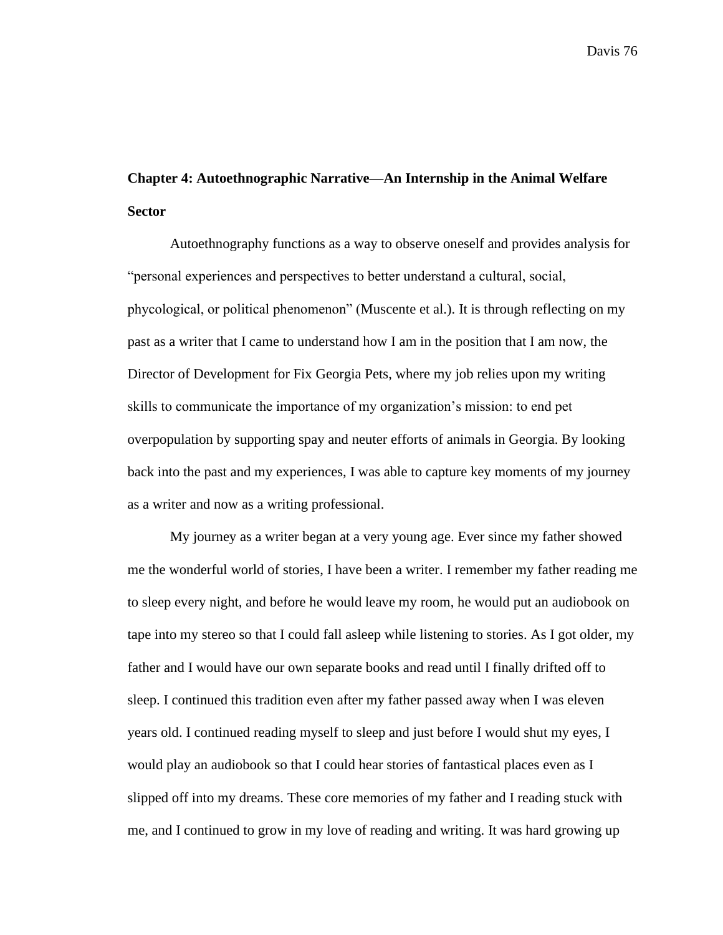## **Chapter 4: Autoethnographic Narrative—An Internship in the Animal Welfare Sector**

Autoethnography functions as a way to observe oneself and provides analysis for "personal experiences and perspectives to better understand a cultural, social, phycological, or political phenomenon" (Muscente et al.). It is through reflecting on my past as a writer that I came to understand how I am in the position that I am now, the Director of Development for Fix Georgia Pets, where my job relies upon my writing skills to communicate the importance of my organization's mission: to end pet overpopulation by supporting spay and neuter efforts of animals in Georgia. By looking back into the past and my experiences, I was able to capture key moments of my journey as a writer and now as a writing professional.

My journey as a writer began at a very young age. Ever since my father showed me the wonderful world of stories, I have been a writer. I remember my father reading me to sleep every night, and before he would leave my room, he would put an audiobook on tape into my stereo so that I could fall asleep while listening to stories. As I got older, my father and I would have our own separate books and read until I finally drifted off to sleep. I continued this tradition even after my father passed away when I was eleven years old. I continued reading myself to sleep and just before I would shut my eyes, I would play an audiobook so that I could hear stories of fantastical places even as I slipped off into my dreams. These core memories of my father and I reading stuck with me, and I continued to grow in my love of reading and writing. It was hard growing up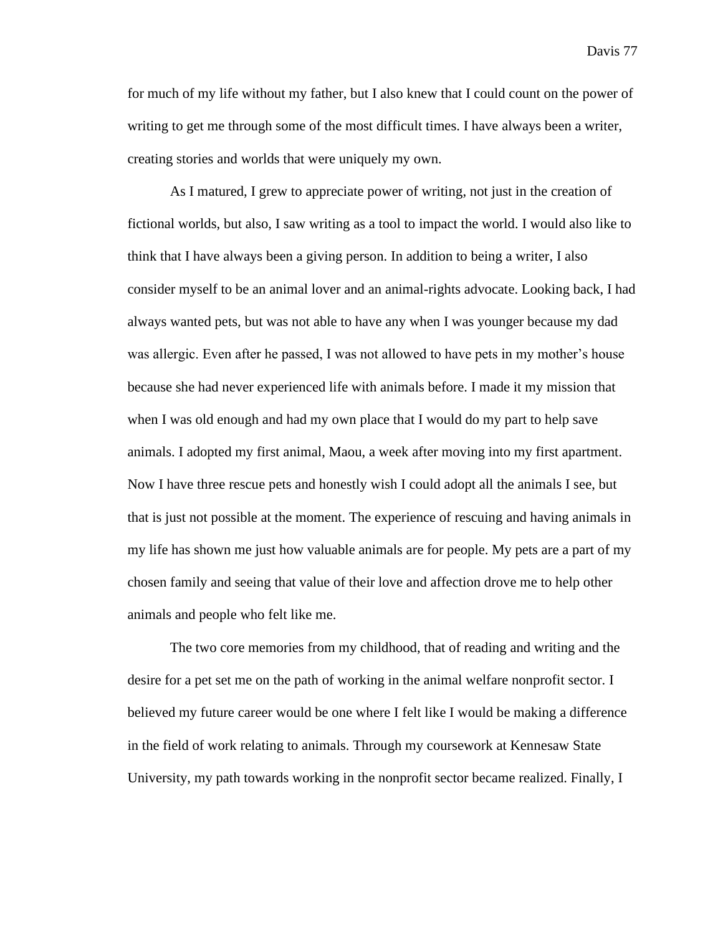for much of my life without my father, but I also knew that I could count on the power of writing to get me through some of the most difficult times. I have always been a writer, creating stories and worlds that were uniquely my own.

As I matured, I grew to appreciate power of writing, not just in the creation of fictional worlds, but also, I saw writing as a tool to impact the world. I would also like to think that I have always been a giving person. In addition to being a writer, I also consider myself to be an animal lover and an animal-rights advocate. Looking back, I had always wanted pets, but was not able to have any when I was younger because my dad was allergic. Even after he passed, I was not allowed to have pets in my mother's house because she had never experienced life with animals before. I made it my mission that when I was old enough and had my own place that I would do my part to help save animals. I adopted my first animal, Maou, a week after moving into my first apartment. Now I have three rescue pets and honestly wish I could adopt all the animals I see, but that is just not possible at the moment. The experience of rescuing and having animals in my life has shown me just how valuable animals are for people. My pets are a part of my chosen family and seeing that value of their love and affection drove me to help other animals and people who felt like me.

The two core memories from my childhood, that of reading and writing and the desire for a pet set me on the path of working in the animal welfare nonprofit sector. I believed my future career would be one where I felt like I would be making a difference in the field of work relating to animals. Through my coursework at Kennesaw State University, my path towards working in the nonprofit sector became realized. Finally, I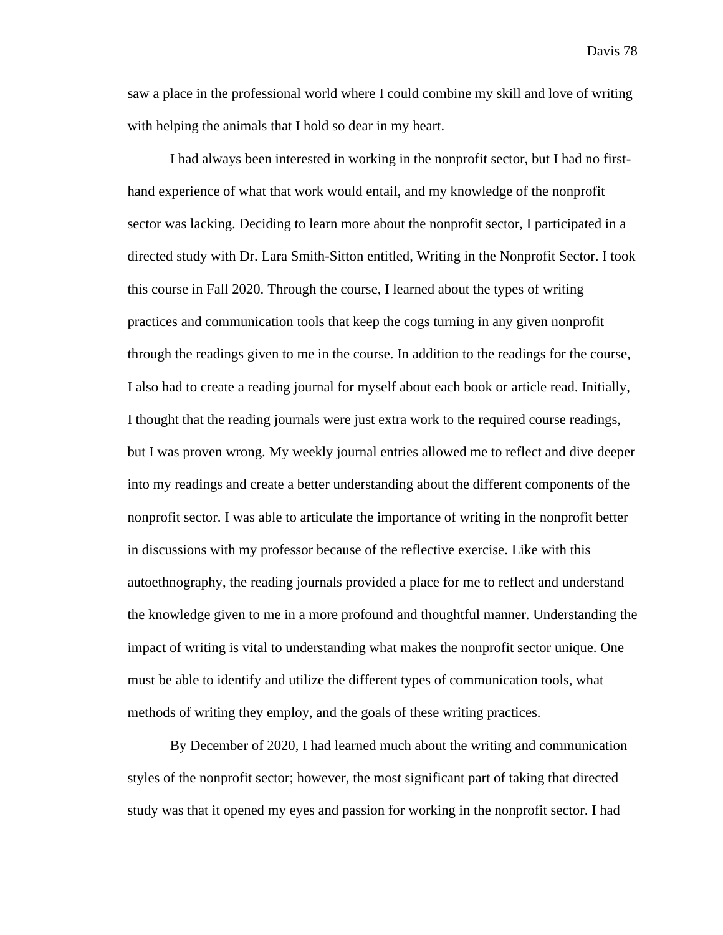saw a place in the professional world where I could combine my skill and love of writing with helping the animals that I hold so dear in my heart.

I had always been interested in working in the nonprofit sector, but I had no firsthand experience of what that work would entail, and my knowledge of the nonprofit sector was lacking. Deciding to learn more about the nonprofit sector, I participated in a directed study with Dr. Lara Smith-Sitton entitled, Writing in the Nonprofit Sector. I took this course in Fall 2020. Through the course, I learned about the types of writing practices and communication tools that keep the cogs turning in any given nonprofit through the readings given to me in the course. In addition to the readings for the course, I also had to create a reading journal for myself about each book or article read. Initially, I thought that the reading journals were just extra work to the required course readings, but I was proven wrong. My weekly journal entries allowed me to reflect and dive deeper into my readings and create a better understanding about the different components of the nonprofit sector. I was able to articulate the importance of writing in the nonprofit better in discussions with my professor because of the reflective exercise. Like with this autoethnography, the reading journals provided a place for me to reflect and understand the knowledge given to me in a more profound and thoughtful manner. Understanding the impact of writing is vital to understanding what makes the nonprofit sector unique. One must be able to identify and utilize the different types of communication tools, what methods of writing they employ, and the goals of these writing practices.

By December of 2020, I had learned much about the writing and communication styles of the nonprofit sector; however, the most significant part of taking that directed study was that it opened my eyes and passion for working in the nonprofit sector. I had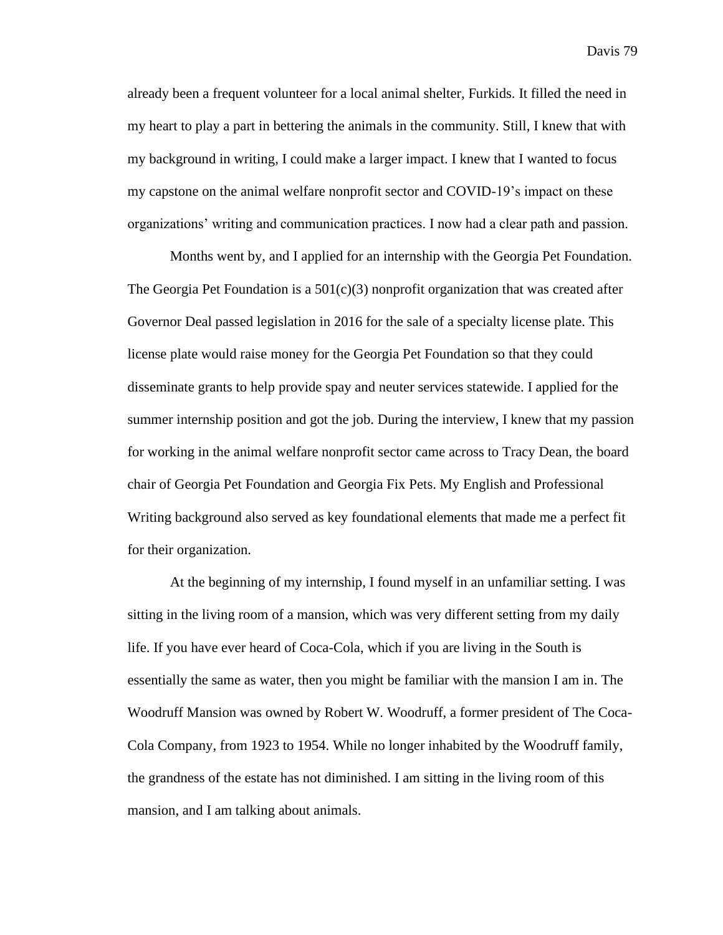already been a frequent volunteer for a local animal shelter, Furkids. It filled the need in my heart to play a part in bettering the animals in the community. Still, I knew that with my background in writing, I could make a larger impact. I knew that I wanted to focus my capstone on the animal welfare nonprofit sector and COVID-19's impact on these organizations' writing and communication practices. I now had a clear path and passion.

Months went by, and I applied for an internship with the Georgia Pet Foundation. The Georgia Pet Foundation is a  $501(c)(3)$  nonprofit organization that was created after Governor Deal passed legislation in 2016 for the sale of a specialty license plate. This license plate would raise money for the Georgia Pet Foundation so that they could disseminate grants to help provide spay and neuter services statewide. I applied for the summer internship position and got the job. During the interview, I knew that my passion for working in the animal welfare nonprofit sector came across to Tracy Dean, the board chair of Georgia Pet Foundation and Georgia Fix Pets. My English and Professional Writing background also served as key foundational elements that made me a perfect fit for their organization.

At the beginning of my internship, I found myself in an unfamiliar setting. I was sitting in the living room of a mansion, which was very different setting from my daily life. If you have ever heard of Coca-Cola, which if you are living in the South is essentially the same as water, then you might be familiar with the mansion I am in. The Woodruff Mansion was owned by Robert W. Woodruff, a former president of The Coca-Cola Company, from 1923 to 1954. While no longer inhabited by the Woodruff family, the grandness of the estate has not diminished. I am sitting in the living room of this mansion, and I am talking about animals.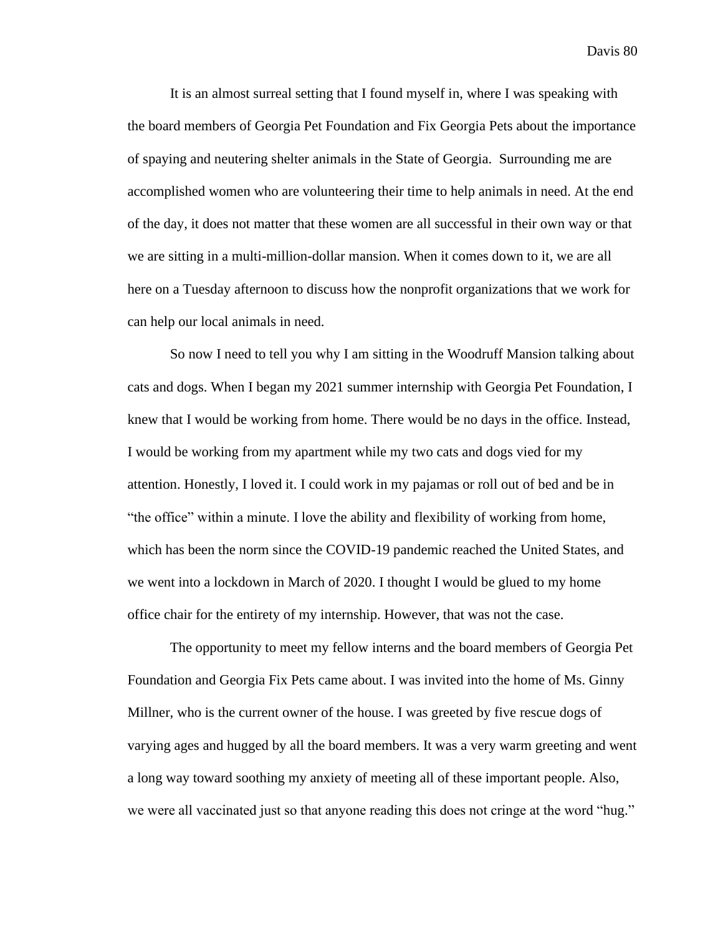It is an almost surreal setting that I found myself in, where I was speaking with the board members of Georgia Pet Foundation and Fix Georgia Pets about the importance of spaying and neutering shelter animals in the State of Georgia. Surrounding me are accomplished women who are volunteering their time to help animals in need. At the end of the day, it does not matter that these women are all successful in their own way or that we are sitting in a multi-million-dollar mansion. When it comes down to it, we are all here on a Tuesday afternoon to discuss how the nonprofit organizations that we work for can help our local animals in need.

So now I need to tell you why I am sitting in the Woodruff Mansion talking about cats and dogs. When I began my 2021 summer internship with Georgia Pet Foundation, I knew that I would be working from home. There would be no days in the office. Instead, I would be working from my apartment while my two cats and dogs vied for my attention. Honestly, I loved it. I could work in my pajamas or roll out of bed and be in "the office" within a minute. I love the ability and flexibility of working from home, which has been the norm since the COVID-19 pandemic reached the United States, and we went into a lockdown in March of 2020. I thought I would be glued to my home office chair for the entirety of my internship. However, that was not the case.

The opportunity to meet my fellow interns and the board members of Georgia Pet Foundation and Georgia Fix Pets came about. I was invited into the home of Ms. Ginny Millner, who is the current owner of the house. I was greeted by five rescue dogs of varying ages and hugged by all the board members. It was a very warm greeting and went a long way toward soothing my anxiety of meeting all of these important people. Also, we were all vaccinated just so that anyone reading this does not cringe at the word "hug."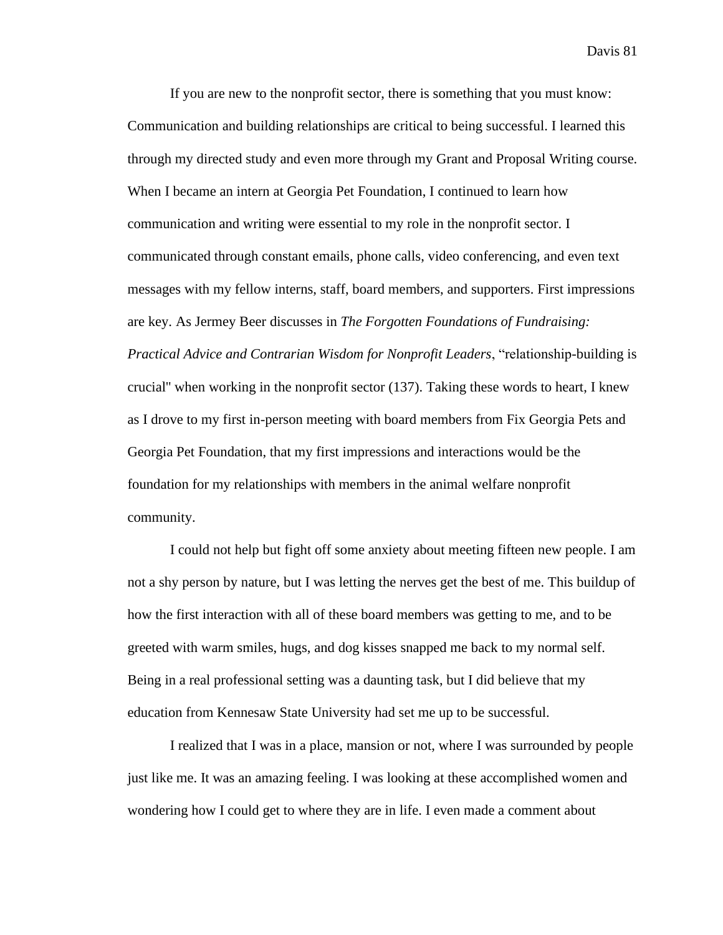If you are new to the nonprofit sector, there is something that you must know: Communication and building relationships are critical to being successful. I learned this through my directed study and even more through my Grant and Proposal Writing course. When I became an intern at Georgia Pet Foundation, I continued to learn how communication and writing were essential to my role in the nonprofit sector. I communicated through constant emails, phone calls, video conferencing, and even text messages with my fellow interns, staff, board members, and supporters. First impressions are key. As Jermey Beer discusses in *The Forgotten Foundations of Fundraising: Practical Advice and Contrarian Wisdom for Nonprofit Leaders*, "relationship-building is crucial'' when working in the nonprofit sector (137). Taking these words to heart, I knew as I drove to my first in-person meeting with board members from Fix Georgia Pets and Georgia Pet Foundation, that my first impressions and interactions would be the foundation for my relationships with members in the animal welfare nonprofit community.

I could not help but fight off some anxiety about meeting fifteen new people. I am not a shy person by nature, but I was letting the nerves get the best of me. This buildup of how the first interaction with all of these board members was getting to me, and to be greeted with warm smiles, hugs, and dog kisses snapped me back to my normal self. Being in a real professional setting was a daunting task, but I did believe that my education from Kennesaw State University had set me up to be successful.

I realized that I was in a place, mansion or not, where I was surrounded by people just like me. It was an amazing feeling. I was looking at these accomplished women and wondering how I could get to where they are in life. I even made a comment about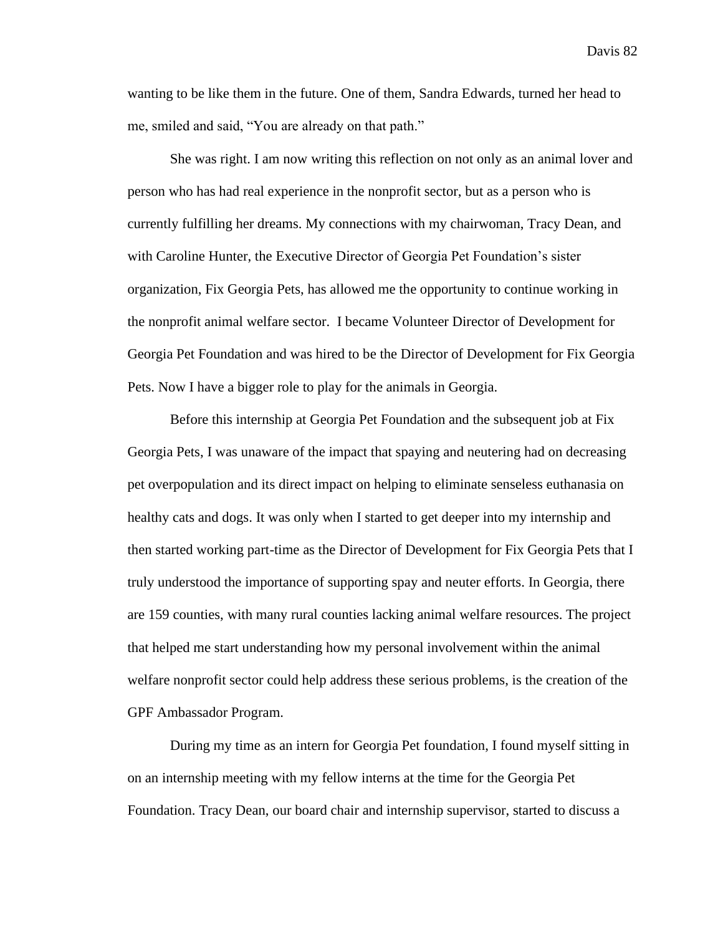wanting to be like them in the future. One of them, Sandra Edwards, turned her head to me, smiled and said, "You are already on that path."

She was right. I am now writing this reflection on not only as an animal lover and person who has had real experience in the nonprofit sector, but as a person who is currently fulfilling her dreams. My connections with my chairwoman, Tracy Dean, and with Caroline Hunter, the Executive Director of Georgia Pet Foundation's sister organization, Fix Georgia Pets, has allowed me the opportunity to continue working in the nonprofit animal welfare sector. I became Volunteer Director of Development for Georgia Pet Foundation and was hired to be the Director of Development for Fix Georgia Pets. Now I have a bigger role to play for the animals in Georgia.

Before this internship at Georgia Pet Foundation and the subsequent job at Fix Georgia Pets, I was unaware of the impact that spaying and neutering had on decreasing pet overpopulation and its direct impact on helping to eliminate senseless euthanasia on healthy cats and dogs. It was only when I started to get deeper into my internship and then started working part-time as the Director of Development for Fix Georgia Pets that I truly understood the importance of supporting spay and neuter efforts. In Georgia, there are 159 counties, with many rural counties lacking animal welfare resources. The project that helped me start understanding how my personal involvement within the animal welfare nonprofit sector could help address these serious problems, is the creation of the GPF Ambassador Program.

During my time as an intern for Georgia Pet foundation, I found myself sitting in on an internship meeting with my fellow interns at the time for the Georgia Pet Foundation. Tracy Dean, our board chair and internship supervisor, started to discuss a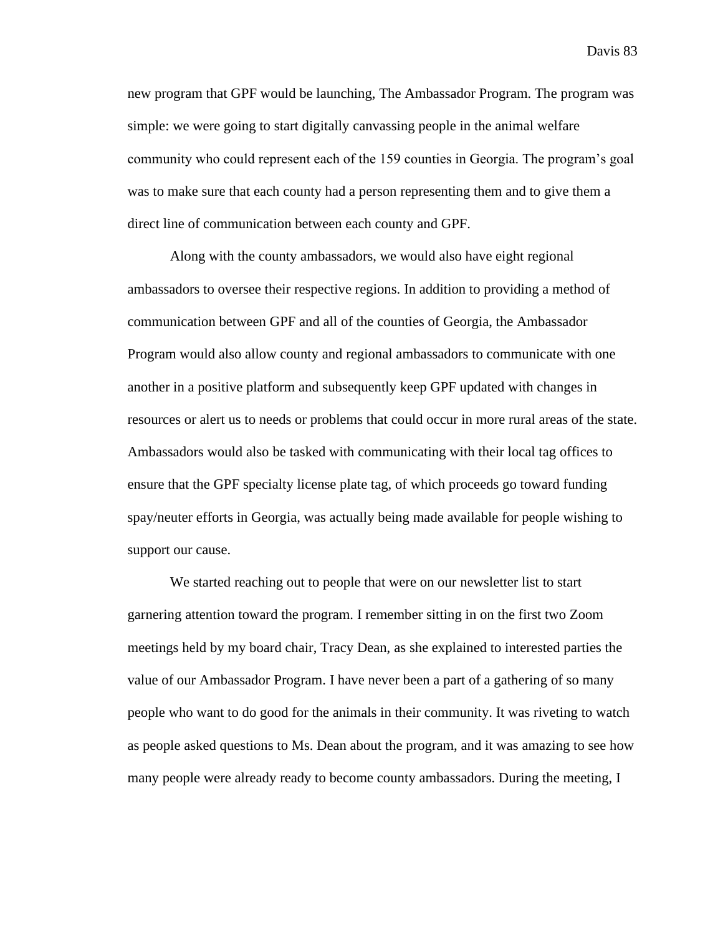new program that GPF would be launching, The Ambassador Program. The program was simple: we were going to start digitally canvassing people in the animal welfare community who could represent each of the 159 counties in Georgia. The program's goal was to make sure that each county had a person representing them and to give them a direct line of communication between each county and GPF.

Along with the county ambassadors, we would also have eight regional ambassadors to oversee their respective regions. In addition to providing a method of communication between GPF and all of the counties of Georgia, the Ambassador Program would also allow county and regional ambassadors to communicate with one another in a positive platform and subsequently keep GPF updated with changes in resources or alert us to needs or problems that could occur in more rural areas of the state. Ambassadors would also be tasked with communicating with their local tag offices to ensure that the GPF specialty license plate tag, of which proceeds go toward funding spay/neuter efforts in Georgia, was actually being made available for people wishing to support our cause.

We started reaching out to people that were on our newsletter list to start garnering attention toward the program. I remember sitting in on the first two Zoom meetings held by my board chair, Tracy Dean, as she explained to interested parties the value of our Ambassador Program. I have never been a part of a gathering of so many people who want to do good for the animals in their community. It was riveting to watch as people asked questions to Ms. Dean about the program, and it was amazing to see how many people were already ready to become county ambassadors. During the meeting, I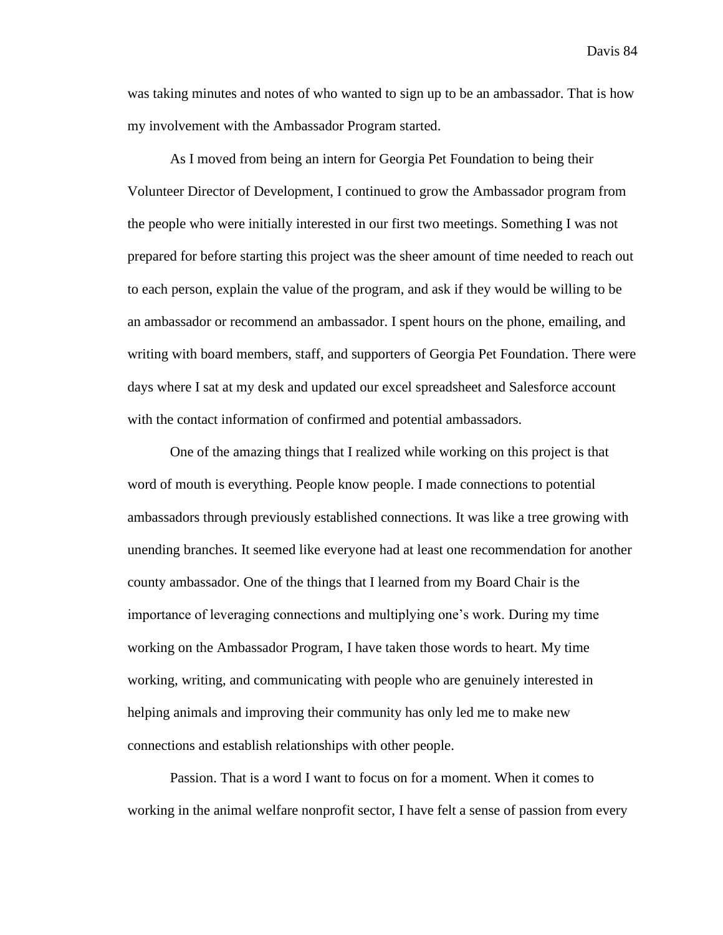was taking minutes and notes of who wanted to sign up to be an ambassador. That is how my involvement with the Ambassador Program started.

As I moved from being an intern for Georgia Pet Foundation to being their Volunteer Director of Development, I continued to grow the Ambassador program from the people who were initially interested in our first two meetings. Something I was not prepared for before starting this project was the sheer amount of time needed to reach out to each person, explain the value of the program, and ask if they would be willing to be an ambassador or recommend an ambassador. I spent hours on the phone, emailing, and writing with board members, staff, and supporters of Georgia Pet Foundation. There were days where I sat at my desk and updated our excel spreadsheet and Salesforce account with the contact information of confirmed and potential ambassadors.

One of the amazing things that I realized while working on this project is that word of mouth is everything. People know people. I made connections to potential ambassadors through previously established connections. It was like a tree growing with unending branches. It seemed like everyone had at least one recommendation for another county ambassador. One of the things that I learned from my Board Chair is the importance of leveraging connections and multiplying one's work. During my time working on the Ambassador Program, I have taken those words to heart. My time working, writing, and communicating with people who are genuinely interested in helping animals and improving their community has only led me to make new connections and establish relationships with other people.

Passion. That is a word I want to focus on for a moment. When it comes to working in the animal welfare nonprofit sector, I have felt a sense of passion from every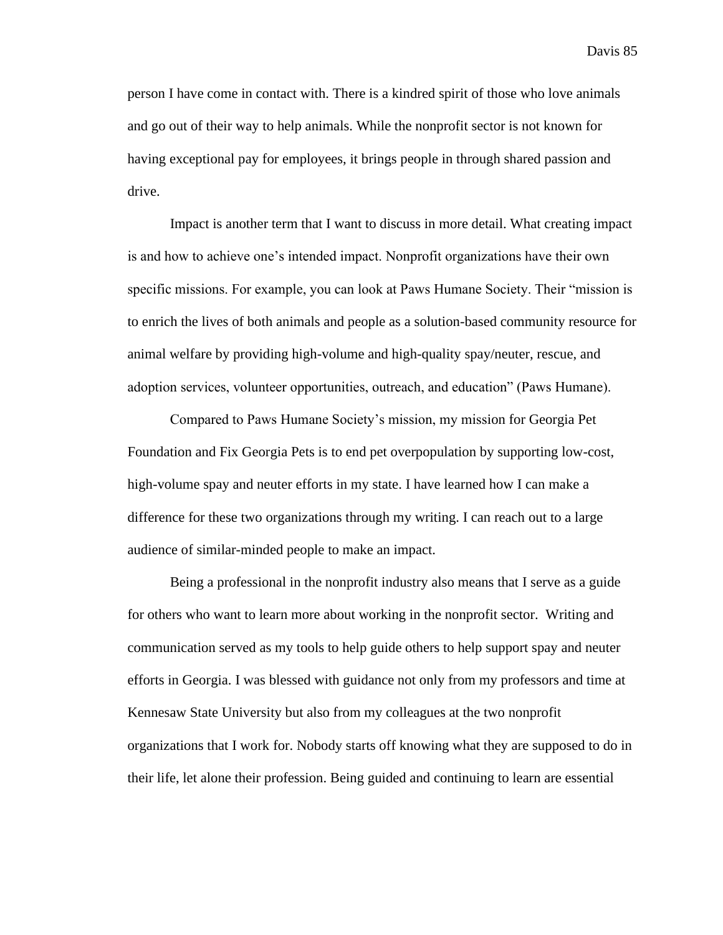person I have come in contact with. There is a kindred spirit of those who love animals and go out of their way to help animals. While the nonprofit sector is not known for having exceptional pay for employees, it brings people in through shared passion and drive.

Impact is another term that I want to discuss in more detail. What creating impact is and how to achieve one's intended impact. Nonprofit organizations have their own specific missions. For example, you can look at Paws Humane Society. Their "mission is to enrich the lives of both animals and people as a solution-based community resource for animal welfare by providing high-volume and high-quality spay/neuter, rescue, and adoption services, volunteer opportunities, outreach, and education" (Paws Humane).

Compared to Paws Humane Society's mission, my mission for Georgia Pet Foundation and Fix Georgia Pets is to end pet overpopulation by supporting low-cost, high-volume spay and neuter efforts in my state. I have learned how I can make a difference for these two organizations through my writing. I can reach out to a large audience of similar-minded people to make an impact.

Being a professional in the nonprofit industry also means that I serve as a guide for others who want to learn more about working in the nonprofit sector. Writing and communication served as my tools to help guide others to help support spay and neuter efforts in Georgia. I was blessed with guidance not only from my professors and time at Kennesaw State University but also from my colleagues at the two nonprofit organizations that I work for. Nobody starts off knowing what they are supposed to do in their life, let alone their profession. Being guided and continuing to learn are essential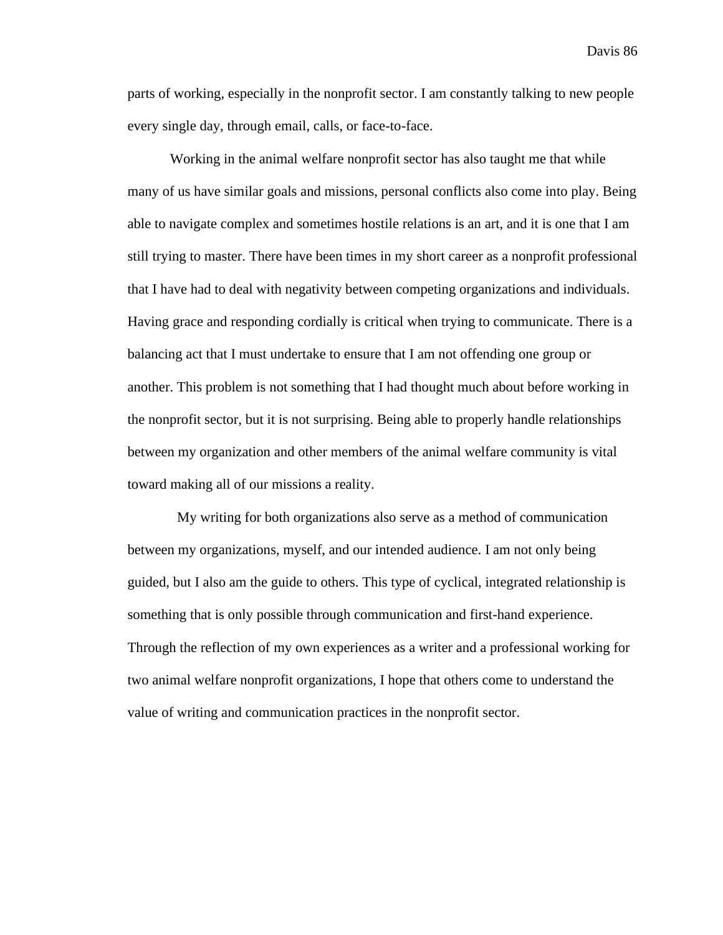parts of working, especially in the nonprofit sector. I am constantly talking to new people every single day, through email, calls, or face-to-face.

Working in the animal welfare nonprofit sector has also taught me that while many of us have similar goals and missions, personal conflicts also come into play. Being able to navigate complex and sometimes hostile relations is an art, and it is one that I am still trying to master. There have been times in my short career as a nonprofit professional that I have had to deal with negativity between competing organizations and individuals. Having grace and responding cordially is critical when trying to communicate. There is a balancing act that I must undertake to ensure that I am not offending one group or another. This problem is not something that I had thought much about before working in the nonprofit sector, but it is not surprising. Being able to properly handle relationships between my organization and other members of the animal welfare community is vital toward making all of our missions a reality.

 My writing for both organizations also serve as a method of communication between my organizations, myself, and our intended audience. I am not only being guided, but I also am the guide to others. This type of cyclical, integrated relationship is something that is only possible through communication and first-hand experience. Through the reflection of my own experiences as a writer and a professional working for two animal welfare nonprofit organizations, I hope that others come to understand the value of writing and communication practices in the nonprofit sector.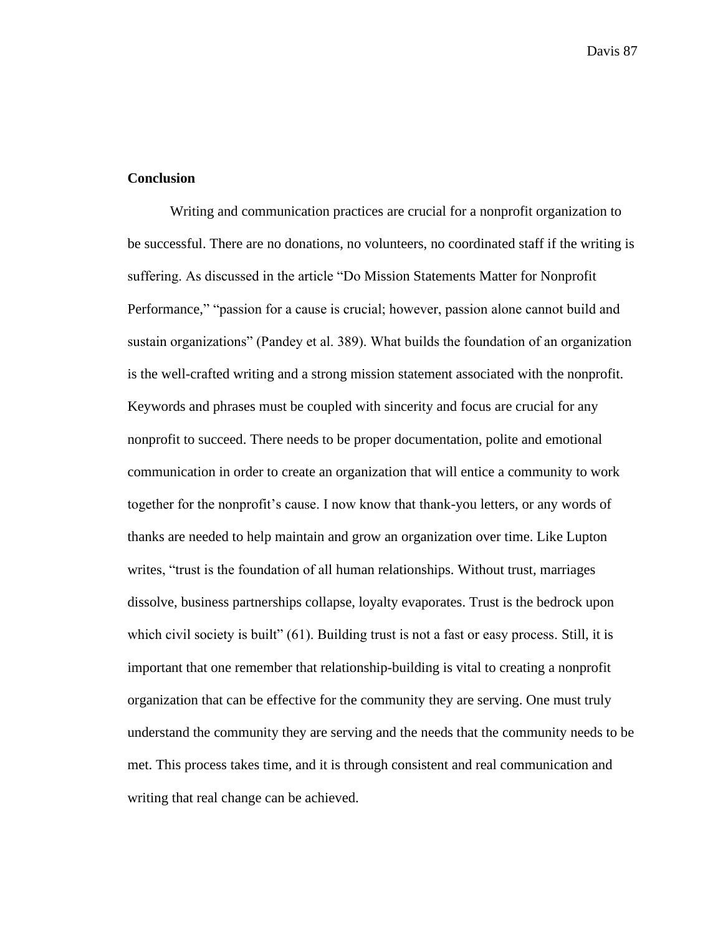#### **Conclusion**

Writing and communication practices are crucial for a nonprofit organization to be successful. There are no donations, no volunteers, no coordinated staff if the writing is suffering. As discussed in the article "Do Mission Statements Matter for Nonprofit Performance," "passion for a cause is crucial; however, passion alone cannot build and sustain organizations" (Pandey et al. 389). What builds the foundation of an organization is the well-crafted writing and a strong mission statement associated with the nonprofit. Keywords and phrases must be coupled with sincerity and focus are crucial for any nonprofit to succeed. There needs to be proper documentation, polite and emotional communication in order to create an organization that will entice a community to work together for the nonprofit's cause. I now know that thank-you letters, or any words of thanks are needed to help maintain and grow an organization over time. Like Lupton writes, "trust is the foundation of all human relationships. Without trust, marriages dissolve, business partnerships collapse, loyalty evaporates. Trust is the bedrock upon which civil society is built" (61). Building trust is not a fast or easy process. Still, it is important that one remember that relationship-building is vital to creating a nonprofit organization that can be effective for the community they are serving. One must truly understand the community they are serving and the needs that the community needs to be met. This process takes time, and it is through consistent and real communication and writing that real change can be achieved.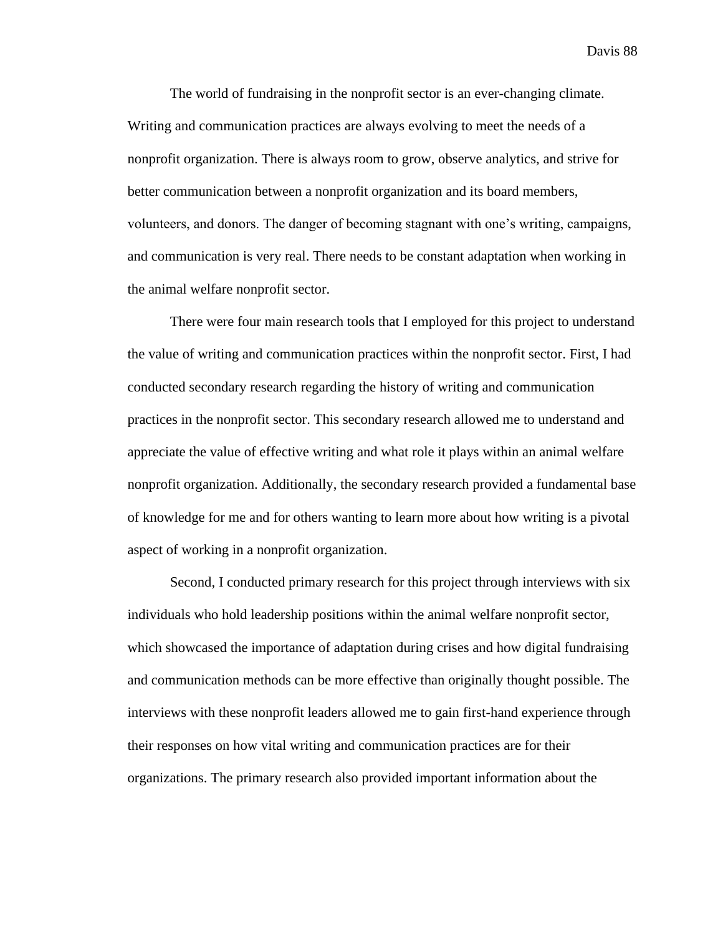The world of fundraising in the nonprofit sector is an ever-changing climate. Writing and communication practices are always evolving to meet the needs of a nonprofit organization. There is always room to grow, observe analytics, and strive for better communication between a nonprofit organization and its board members, volunteers, and donors. The danger of becoming stagnant with one's writing, campaigns, and communication is very real. There needs to be constant adaptation when working in the animal welfare nonprofit sector.

There were four main research tools that I employed for this project to understand the value of writing and communication practices within the nonprofit sector. First, I had conducted secondary research regarding the history of writing and communication practices in the nonprofit sector. This secondary research allowed me to understand and appreciate the value of effective writing and what role it plays within an animal welfare nonprofit organization. Additionally, the secondary research provided a fundamental base of knowledge for me and for others wanting to learn more about how writing is a pivotal aspect of working in a nonprofit organization.

Second, I conducted primary research for this project through interviews with six individuals who hold leadership positions within the animal welfare nonprofit sector, which showcased the importance of adaptation during crises and how digital fundraising and communication methods can be more effective than originally thought possible. The interviews with these nonprofit leaders allowed me to gain first-hand experience through their responses on how vital writing and communication practices are for their organizations. The primary research also provided important information about the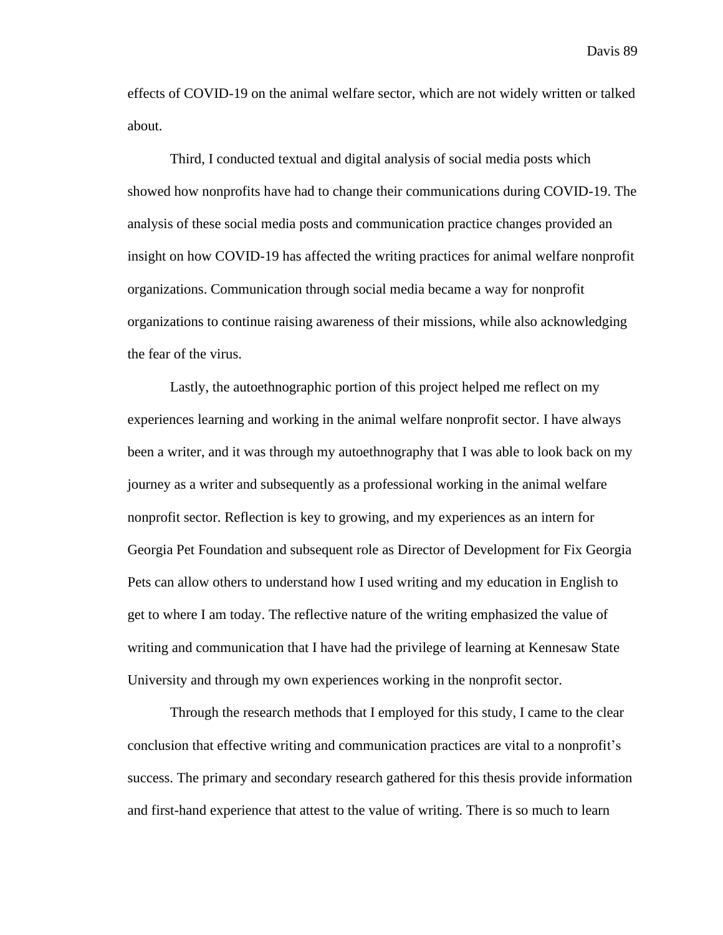effects of COVID-19 on the animal welfare sector, which are not widely written or talked about.

Third, I conducted textual and digital analysis of social media posts which showed how nonprofits have had to change their communications during COVID-19. The analysis of these social media posts and communication practice changes provided an insight on how COVID-19 has affected the writing practices for animal welfare nonprofit organizations. Communication through social media became a way for nonprofit organizations to continue raising awareness of their missions, while also acknowledging the fear of the virus.

Lastly, the autoethnographic portion of this project helped me reflect on my experiences learning and working in the animal welfare nonprofit sector. I have always been a writer, and it was through my autoethnography that I was able to look back on my journey as a writer and subsequently as a professional working in the animal welfare nonprofit sector. Reflection is key to growing, and my experiences as an intern for Georgia Pet Foundation and subsequent role as Director of Development for Fix Georgia Pets can allow others to understand how I used writing and my education in English to get to where I am today. The reflective nature of the writing emphasized the value of writing and communication that I have had the privilege of learning at Kennesaw State University and through my own experiences working in the nonprofit sector.

Through the research methods that I employed for this study, I came to the clear conclusion that effective writing and communication practices are vital to a nonprofit's success. The primary and secondary research gathered for this thesis provide information and first-hand experience that attest to the value of writing. There is so much to learn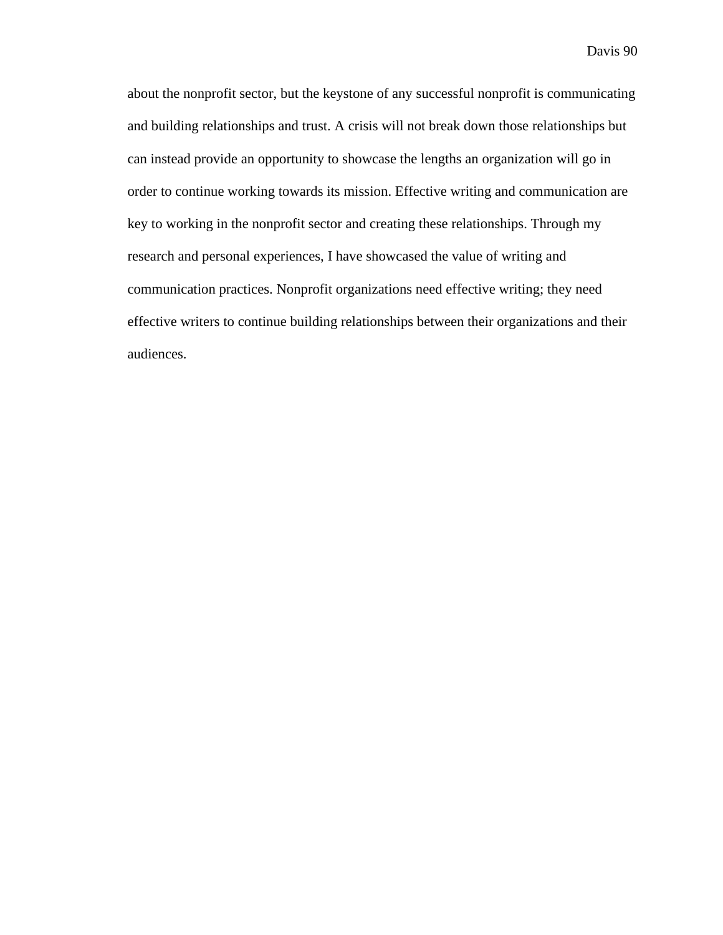about the nonprofit sector, but the keystone of any successful nonprofit is communicating and building relationships and trust. A crisis will not break down those relationships but can instead provide an opportunity to showcase the lengths an organization will go in order to continue working towards its mission. Effective writing and communication are key to working in the nonprofit sector and creating these relationships. Through my research and personal experiences, I have showcased the value of writing and communication practices. Nonprofit organizations need effective writing; they need effective writers to continue building relationships between their organizations and their audiences.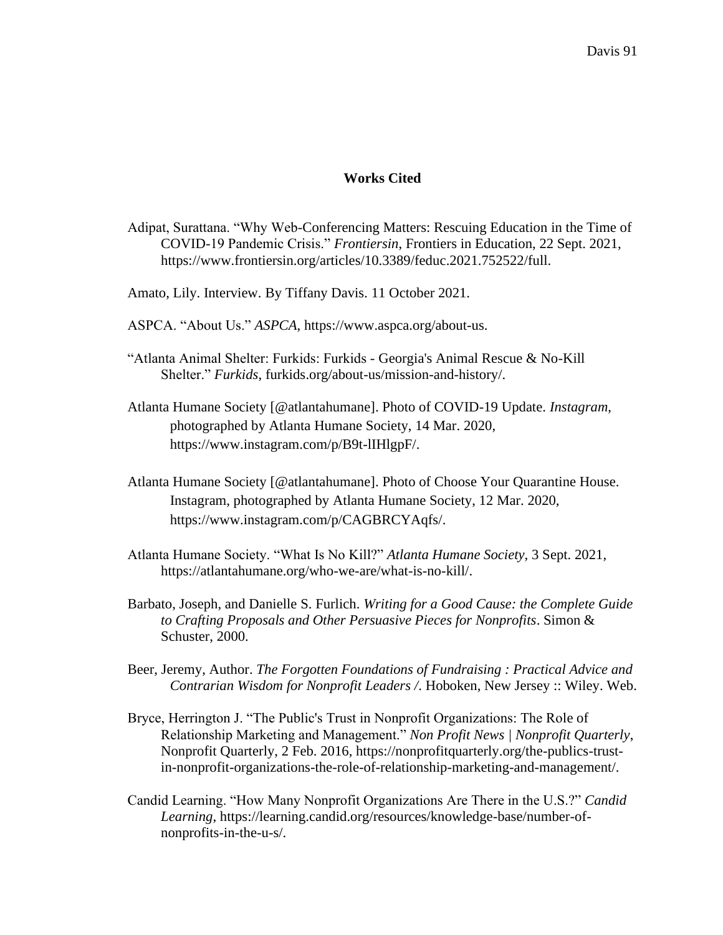### **Works Cited**

- Adipat, Surattana. "Why Web-Conferencing Matters: Rescuing Education in the Time of COVID-19 Pandemic Crisis." *Frontiersin*, Frontiers in Education, 22 Sept. 2021, https://www.frontiersin.org/articles/10.3389/feduc.2021.752522/full.
- Amato, Lily. Interview. By Tiffany Davis. 11 October 2021.
- ASPCA. "About Us." *ASPCA*, https://www.aspca.org/about-us.
- "Atlanta Animal Shelter: Furkids: Furkids Georgia's Animal Rescue & No-Kill Shelter." *Furkids*, furkids.org/about-us/mission-and-history/.
- Atlanta Humane Society [@atlantahumane]. Photo of COVID-19 Update. *Instagram*, photographed by Atlanta Humane Society, 14 Mar. 2020[,](https://www.instagram.com/p/B9t-lIHlgpF/) [https://www.instagram.com/p/B9t-lIHlgpF/.](https://www.instagram.com/p/B9t-lIHlgpF/)
- Atlanta Humane Society [@atlantahumane]. Photo of Choose Your Quarantine House. Instagram, photographed by Atlanta Humane Society, 12 Mar. 2020, [https://www.instagram.com/p/CAGBRCYAqfs/.](https://www.instagram.com/p/CAGBRCYAqfs/)
- Atlanta Humane Society. "What Is No Kill?" *Atlanta Humane Society*, 3 Sept. 2021, https://atlantahumane.org/who-we-are/what-is-no-kill/.
- Barbato, Joseph, and Danielle S. Furlich. *Writing for a Good Cause: the Complete Guide to Crafting Proposals and Other Persuasive Pieces for Nonprofits*. Simon & Schuster, 2000.
- Beer, Jeremy, Author. *The Forgotten Foundations of Fundraising : Practical Advice and Contrarian Wisdom for Nonprofit Leaders /*. Hoboken, New Jersey :: Wiley. Web.
- Bryce, Herrington J. "The Public's Trust in Nonprofit Organizations: The Role of Relationship Marketing and Management." *Non Profit News | Nonprofit Quarterly*, Nonprofit Quarterly, 2 Feb. 2016, https://nonprofitquarterly.org/the-publics-trustin-nonprofit-organizations-the-role-of-relationship-marketing-and-management/.
- Candid Learning. "How Many Nonprofit Organizations Are There in the U.S.?" *Candid Learning*, https://learning.candid.org/resources/knowledge-base/number-ofnonprofits-in-the-u-s/.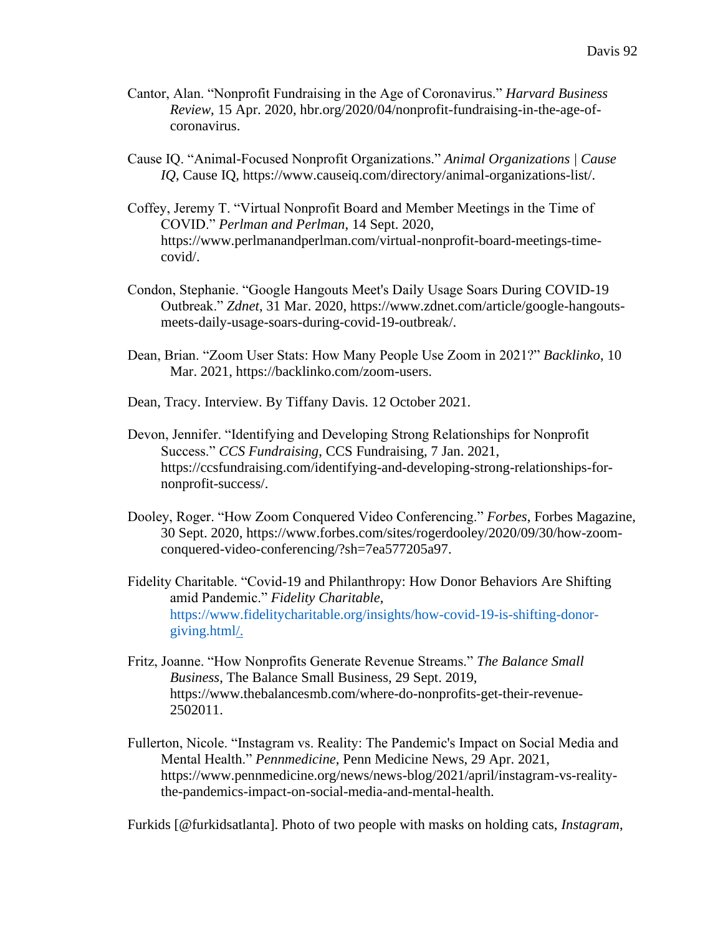- Cantor, Alan. "Nonprofit Fundraising in the Age of Coronavirus." *Harvard Business Review*, 15 Apr. 2020, hbr.org/2020/04/nonprofit-fundraising-in-the-age-ofcoronavirus.
- Cause IQ. "Animal-Focused Nonprofit Organizations." *Animal Organizations | Cause IQ*, Cause IQ, https://www.causeiq.com/directory/animal-organizations-list/.
- Coffey, Jeremy T. "Virtual Nonprofit Board and Member Meetings in the Time of COVID." *Perlman and Perlman*, 14 Sept. 2020, https://www.perlmanandperlman.com/virtual-nonprofit-board-meetings-timecovid/.
- Condon, Stephanie. "Google Hangouts Meet's Daily Usage Soars During COVID-19 Outbreak." *Zdnet*, 31 Mar. 2020, https://www.zdnet.com/article/google-hangoutsmeets-daily-usage-soars-during-covid-19-outbreak/.
- Dean, Brian. "Zoom User Stats: How Many People Use Zoom in 2021?" *Backlinko*, 10 Mar. 2021, https://backlinko.com/zoom-users.
- Dean, Tracy. Interview. By Tiffany Davis. 12 October 2021.
- Devon, Jennifer. "Identifying and Developing Strong Relationships for Nonprofit Success." *CCS Fundraising*, CCS Fundraising, 7 Jan. 2021, https://ccsfundraising.com/identifying-and-developing-strong-relationships-fornonprofit-success/.
- Dooley, Roger. "How Zoom Conquered Video Conferencing." *Forbes*, Forbes Magazine, 30 Sept. 2020, https://www.forbes.com/sites/rogerdooley/2020/09/30/how-zoomconquered-video-conferencing/?sh=7ea577205a97.
- Fidelity Charitable. "Covid-19 and Philanthropy: How Donor Behaviors Are Shifting amid Pandemic." *Fidelity Charitable*, [https://www.fidelitycharitable.org/insights/how-covid-19-is-shifting-donor](https://www.fidelitycharitable.org/insights/how-covid-19-is-shifting-donor-giving.html)[giving.html/](https://www.fidelitycharitable.org/insights/how-covid-19-is-shifting-donor-giving.html).
- Fritz, Joanne. "How Nonprofits Generate Revenue Streams." *The Balance Small Business*, The Balance Small Business, 29 Sept. 2019, https://www.thebalancesmb.com/where-do-nonprofits-get-their-revenue-2502011.
- Fullerton, Nicole. "Instagram vs. Reality: The Pandemic's Impact on Social Media and Mental Health." *Pennmedicine*, Penn Medicine News, 29 Apr. 2021, https://www.pennmedicine.org/news/news-blog/2021/april/instagram-vs-realitythe-pandemics-impact-on-social-media-and-mental-health.

Furkids [@furkidsatlanta]. Photo of two people with masks on holding cats, *Instagram*,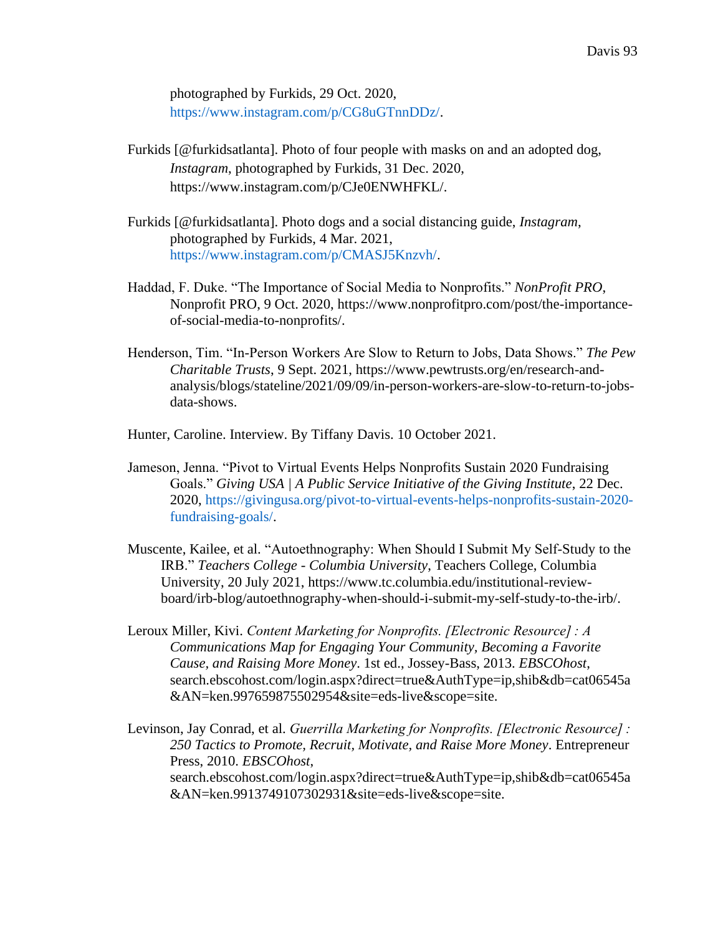photographed by Furkids, 29 Oct. 2020, [https://www.instagram.com/p/CG8uGTnnDDz/.](https://www.instagram.com/p/CG8uGTnnDDz/)

- Furkids [@furkidsatlanta]. Photo of four people with masks on and an adopted dog, *Instagram*, photographed by Furkids, 31 Dec. 2020[,](https://www.instagram.com/p/CJe0ENWHFKL/) [https://www.instagram.com/p/CJe0ENWHFKL/.](https://www.instagram.com/p/CJe0ENWHFKL/)
- Furkids [@furkidsatlanta]. Photo dogs and a social distancing guide, *Instagram*, photographed by Furkids, 4 Mar. 2021[,](https://www.instagram.com/p/CMASJ5Knzvh/) [https://www.instagram.com/p/CMASJ5Knzvh/.](https://www.instagram.com/p/CMASJ5Knzvh/)
- Haddad, F. Duke. "The Importance of Social Media to Nonprofits." *NonProfit PRO*, Nonprofit PRO, 9 Oct. 2020, https://www.nonprofitpro.com/post/the-importanceof-social-media-to-nonprofits/.
- Henderson, Tim. "In-Person Workers Are Slow to Return to Jobs, Data Shows." *The Pew Charitable Trusts*, 9 Sept. 2021, https://www.pewtrusts.org/en/research-andanalysis/blogs/stateline/2021/09/09/in-person-workers-are-slow-to-return-to-jobsdata-shows.
- Hunter, Caroline. Interview. By Tiffany Davis. 10 October 2021.
- Jameson, Jenna. "Pivot to Virtual Events Helps Nonprofits Sustain 2020 Fundraising Goals." *Giving USA | A Public Service Initiative of the Giving Institute*, 22 Dec. 2020, [https://givingusa.org/pivot-to-virtual-events-helps-nonprofits-sustain-2020](https://givingusa.org/pivot-to-virtual-events-helps-nonprofits-sustain-2020-fundraising-goals/) [fundraising-goals/.](https://givingusa.org/pivot-to-virtual-events-helps-nonprofits-sustain-2020-fundraising-goals/)
- Muscente, Kailee, et al. "Autoethnography: When Should I Submit My Self-Study to the IRB." *Teachers College - Columbia University*, Teachers College, Columbia University, 20 July 2021, https://www.tc.columbia.edu/institutional-reviewboard/irb-blog/autoethnography-when-should-i-submit-my-self-study-to-the-irb/.
- Leroux Miller, Kivi. *Content Marketing for Nonprofits. [Electronic Resource] : A Communications Map for Engaging Your Community, Becoming a Favorite Cause, and Raising More Money*. 1st ed., Jossey-Bass, 2013. *EBSCOhost*, search.ebscohost.com/login.aspx?direct=true&AuthType=ip,shib&db=cat06545a &AN=ken.997659875502954&site=eds-live&scope=site.
- Levinson, Jay Conrad, et al. *Guerrilla Marketing for Nonprofits. [Electronic Resource] : 250 Tactics to Promote, Recruit, Motivate, and Raise More Money*. Entrepreneur Press, 2010. *EBSCOhost*, search.ebscohost.com/login.aspx?direct=true&AuthType=ip,shib&db=cat06545a &AN=ken.9913749107302931&site=eds-live&scope=site.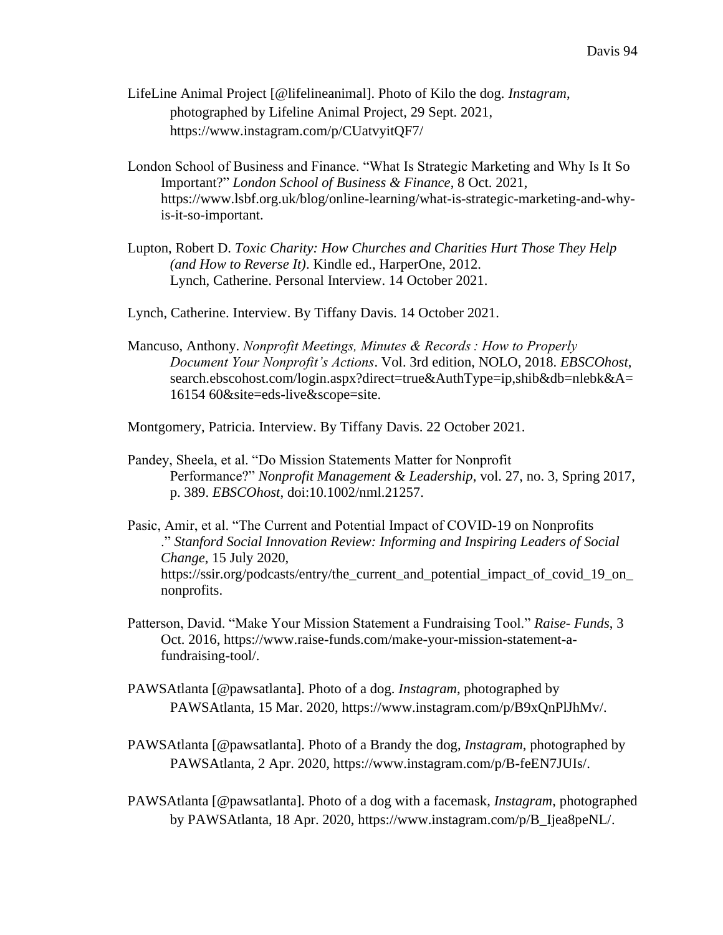- LifeLine Animal Project [@lifelineanimal]. Photo of Kilo the dog. *Instagram*, photographed by Lifeline Animal Project, 29 Sept. 2021[,](https://www.instagram.com/p/CUatvyitQF7/) <https://www.instagram.com/p/CUatvyitQF7/>
- London School of Business and Finance. "What Is Strategic Marketing and Why Is It So Important?" *London School of Business & Finance*, 8 Oct. 2021, https://www.lsbf.org.uk/blog/online-learning/what-is-strategic-marketing-and-whyis-it-so-important.
- Lupton, Robert D. *Toxic Charity: How Churches and Charities Hurt Those They Help (and How to Reverse It)*. Kindle ed., HarperOne, 2012. Lynch, Catherine. Personal Interview. 14 October 2021.
- Lynch, Catherine. Interview. By Tiffany Davis. 14 October 2021.
- Mancuso, Anthony. *Nonprofit Meetings, Minutes & Records : How to Properly Document Your Nonprofit's Actions*. Vol. 3rd edition, NOLO, 2018. *EBSCOhost*, search.ebscohost.com/login.aspx?direct=true&AuthType=ip,shib&db=nlebk&A= 16154 60&site=eds-live&scope=site.

Montgomery, Patricia. Interview. By Tiffany Davis. 22 October 2021.

- Pandey, Sheela, et al. "Do Mission Statements Matter for Nonprofit Performance?" *Nonprofit Management & Leadership*, vol. 27, no. 3, Spring 2017, p. 389. *EBSCOhost*, doi:10.1002/nml.21257.
- Pasic, Amir, et al. "The Current and Potential Impact of COVID-19 on Nonprofits ." *Stanford Social Innovation Review: Informing and Inspiring Leaders of Social Change*, 15 July 2020, https://ssir.org/podcasts/entry/the\_current\_and\_potential\_impact\_of\_covid\_19\_on\_ nonprofits.
- Patterson, David. "Make Your Mission Statement a Fundraising Tool." *Raise- Funds*, 3 Oct. 2016, https://www.raise-funds.com/make-your-mission-statement-afundraising-tool/.
- PAWSAtlanta [@pawsatlanta]. Photo of a dog. *Instagram*, photographed by PAWSAtlanta, 15 Mar. 2020, [https://www.instagram.com/p/B9xQnPlJhMv/.](https://www.instagram.com/p/B9xQnPlJhMv/)
- PAWSAtlanta [@pawsatlanta]. Photo of a Brandy the dog, *Instagram*, photographed by PAWSAtlanta, 2 Apr. 2020, [https://www.instagram.com/p/B-feEN7JUIs/.](https://www.instagram.com/p/B-feEN7JUIs/)
- PAWSAtlanta [@pawsatlanta]. Photo of a dog with a facemask, *Instagram*, photographed by PAWSAtlanta, 18 Apr. 2020, [https://www.instagram.com/p/B\\_Ijea8peNL/.](https://www.instagram.com/p/B_Ijea8peNL/)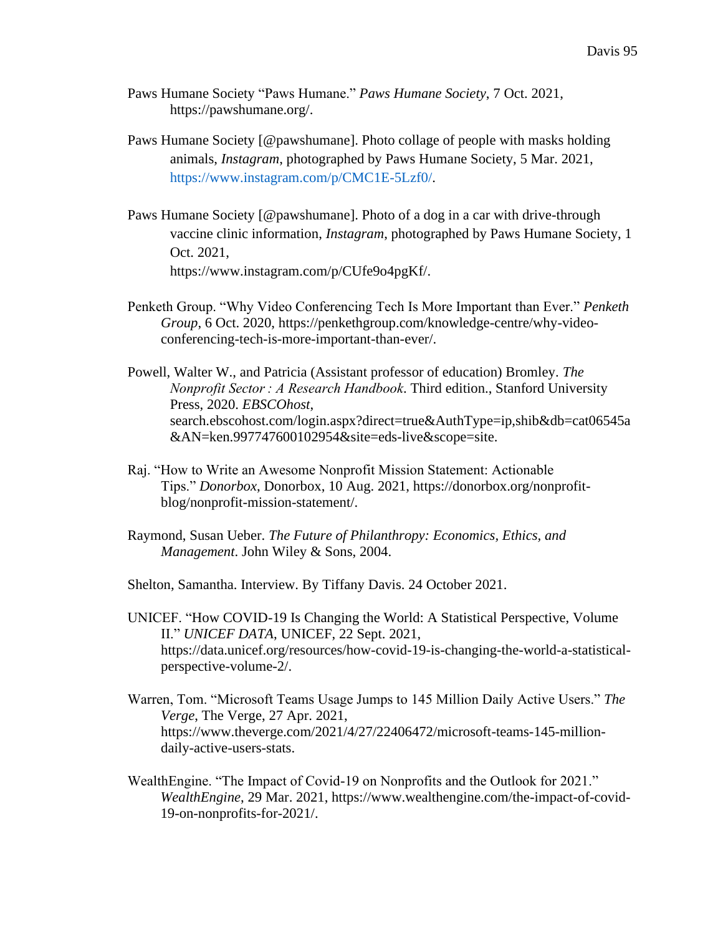- Paws Humane Society "Paws Humane." *Paws Humane Society*, 7 Oct. 2021, https://pawshumane.org/.
- Paws Humane Society [@pawshumane]. Photo collage of people with masks holding animals, *Instagram*, photographed by Paws Humane Society, 5 Mar. 2021, [https://www.instagram.com/p/CMC1E-5Lzf0/.](https://www.instagram.com/p/CMC1E-5Lzf0/)
- Paws Humane Society [@pawshumane]. Photo of a dog in a car with drive-through vaccine clinic information, *Instagram*, photographed by Paws Humane Society, 1 Oct. 2021[,](https://www.instagram.com/p/CUfe9o4pgKf/) [https://www.instagram.com/p/CUfe9o4pgKf/.](https://www.instagram.com/p/CUfe9o4pgKf/)
- Penketh Group. "Why Video Conferencing Tech Is More Important than Ever." *Penketh Group*, 6 Oct. 2020, https://penkethgroup.com/knowledge-centre/why-videoconferencing-tech-is-more-important-than-ever/.
- Powell, Walter W., and Patricia (Assistant professor of education) Bromley. *The Nonprofit Sector : A Research Handbook*. Third edition., Stanford University Press, 2020. *EBSCOhost*, search.ebscohost.com/login.aspx?direct=true&AuthType=ip,shib&db=cat06545a &AN=ken.997747600102954&site=eds-live&scope=site.
- Raj. "How to Write an Awesome Nonprofit Mission Statement: Actionable Tips." *Donorbox*, Donorbox, 10 Aug. 2021, https://donorbox.org/nonprofitblog/nonprofit-mission-statement/.
- Raymond, Susan Ueber. *The Future of Philanthropy: Economics, Ethics, and Management*. John Wiley & Sons, 2004.

Shelton, Samantha. Interview. By Tiffany Davis. 24 October 2021.

- UNICEF. "How COVID-19 Is Changing the World: A Statistical Perspective, Volume II." *UNICEF DATA*, UNICEF, 22 Sept. 2021, https://data.unicef.org/resources/how-covid-19-is-changing-the-world-a-statisticalperspective-volume-2/.
- Warren, Tom. "Microsoft Teams Usage Jumps to 145 Million Daily Active Users." *The Verge*, The Verge, 27 Apr. 2021, https://www.theverge.com/2021/4/27/22406472/microsoft-teams-145-milliondaily-active-users-stats.
- WealthEngine. "The Impact of Covid-19 on Nonprofits and the Outlook for 2021." *WealthEngine*, 29 Mar. 2021, https://www.wealthengine.com/the-impact-of-covid-19-on-nonprofits-for-2021/.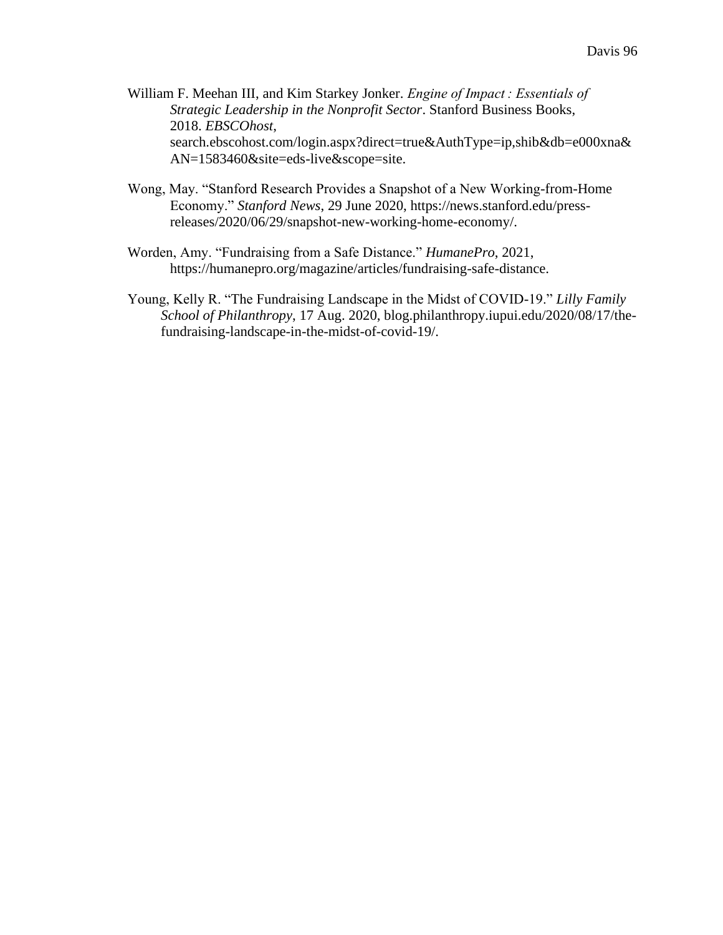- William F. Meehan III, and Kim Starkey Jonker. *Engine of Impact : Essentials of Strategic Leadership in the Nonprofit Sector*. Stanford Business Books, 2018. *EBSCOhost*, search.ebscohost.com/login.aspx?direct=true&AuthType=ip,shib&db=e000xna& AN=1583460&site=eds-live&scope=site.
- Wong, May. "Stanford Research Provides a Snapshot of a New Working-from-Home Economy." *Stanford News*, 29 June 2020, https://news.stanford.edu/pressreleases/2020/06/29/snapshot-new-working-home-economy/.
- Worden, Amy. "Fundraising from a Safe Distance." *HumanePro*, 2021, https://humanepro.org/magazine/articles/fundraising-safe-distance.
- Young, Kelly R. "The Fundraising Landscape in the Midst of COVID-19." *Lilly Family School of Philanthropy*, 17 Aug. 2020, blog.philanthropy.iupui.edu/2020/08/17/thefundraising-landscape-in-the-midst-of-covid-19/.